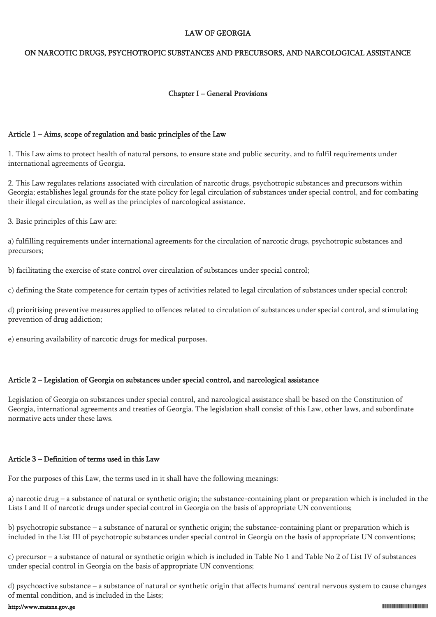#### LAW OF GEORGIA

#### ON NARCOTIC DRUGS, PSYCHOTROPIC SUBSTANCES AND PRECURSORS, AND NARCOLOGICAL ASSISTANCE

#### Chapter I – General Provisions

# Article 1 – Aims, scope of regulation and basic principles of the Law

1. This Law aims to protect health of natural persons, to ensure state and public security, and to fulfil requirements under international agreements of Georgia.

2. This Law regulates relations associated with circulation of narcotic drugs, psychotropic substances and precursors within Georgia; establishes legal grounds for the state policy for legal circulation of substances under special control, and for combating their illegal circulation, as well as the principles of narcological assistance.

3. Basic principles of this Law are:

a) fulfilling requirements under international agreements for the circulation of narcotic drugs, psychotropic substances and precursors;

b) facilitating the exercise of state control over circulation of substances under special control;

c) defining the State competence for certain types of activities related to legal circulation of substances under special control;

d) prioritising preventive measures applied to offences related to circulation of substances under special control, and stimulating prevention of drug addiction;

e) ensuring availability of narcotic drugs for medical purposes.

# Article 2 – Legislation of Georgia on substances under special control, and narcological assistance

Legislation of Georgia on substances under special control, and narcological assistance shall be based on the Constitution of Georgia, international agreements and treaties of Georgia. The legislation shall consist of this Law, other laws, and subordinate normative acts under these laws.

# Article 3 – Definition of terms used in this Law

For the purposes of this Law, the terms used in it shall have the following meanings:

a) narcotic drug – a substance of natural or synthetic origin; the substance-containing plant or preparation which is included in the Lists I and II of narcotic drugs under special control in Georgia on the basis of appropriate UN conventions;

b) psychotropic substance – a substance of natural or synthetic origin; the substance-containing plant or preparation which is included in the List III of psychotropic substances under special control in Georgia on the basis of appropriate UN conventions;

c) precursor – a substance of natural or synthetic origin which is included in Table No 1 and Table No 2 of List IV of substances under special control in Georgia on the basis of appropriate UN conventions;

d) psychoactive substance – a substance of natural or synthetic origin that affects humans' central nervous system to cause changes of mental condition, and is included in the Lists;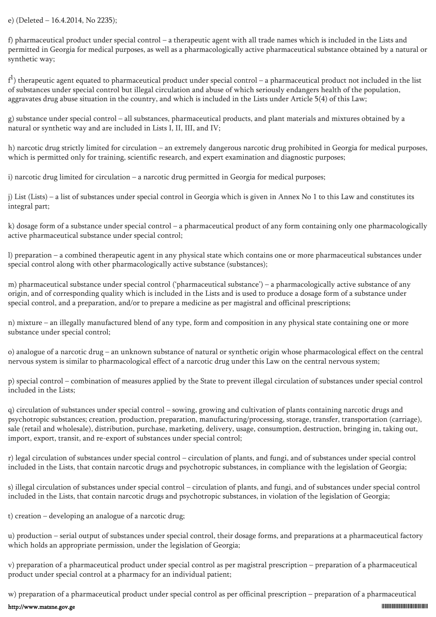#### e) (Deleted – 16.4.2014, No 2235);

f) pharmaceutical product under special control – a therapeutic agent with all trade names which is included in the Lists and permitted in Georgia for medical purposes, as well as a pharmacologically active pharmaceutical substance obtained by a natural or synthetic way;

 $f^1$ ) therapeutic agent equated to pharmaceutical product under special control – a pharmaceutical product not included in the list of substances under special control but illegal circulation and abuse of which seriously endangers health of the population, aggravates drug abuse situation in the country, and which is included in the Lists under Article 5(4) of this Law;

g) substance under special control – all substances, pharmaceutical products, and plant materials and mixtures obtained by a natural or synthetic way and are included in Lists I, II, III, and IV;

h) narcotic drug strictly limited for circulation – an extremely dangerous narcotic drug prohibited in Georgia for medical purposes, which is permitted only for training, scientific research, and expert examination and diagnostic purposes;

i) narcotic drug limited for circulation – a narcotic drug permitted in Georgia for medical purposes;

j) List (Lists) – a list of substances under special control in Georgia which is given in Annex No 1 to this Law and constitutes its integral part;

k) dosage form of a substance under special control – a pharmaceutical product of any form containing only one pharmacologically active pharmaceutical substance under special control;

l) preparation – a combined therapeutic agent in any physical state which contains one or more pharmaceutical substances under special control along with other pharmacologically active substance (substances);

m) pharmaceutical substance under special control ('pharmaceutical substance') – a pharmacologically active substance of any origin, and of corresponding quality which is included in the Lists and is used to produce a dosage form of a substance under special control, and a preparation, and/or to prepare a medicine as per magistral and officinal prescriptions;

n) mixture – an illegally manufactured blend of any type, form and composition in any physical state containing one or more substance under special control;

o) analogue of a narcotic drug – an unknown substance of natural or synthetic origin whose pharmacological effect on the central nervous system is similar to pharmacological effect of a narcotic drug under this Law on the central nervous system;

p) special control – combination of measures applied by the State to prevent illegal circulation of substances under special control included in the Lists;

q) circulation of substances under special control – sowing, growing and cultivation of plants containing narcotic drugs and psychotropic substances; creation, production, preparation, manufacturing/processing, storage, transfer, transportation (carriage), sale (retail and wholesale), distribution, purchase, marketing, delivery, usage, consumption, destruction, bringing in, taking out, import, export, transit, and re-export of substances under special control;

r) legal circulation of substances under special control – circulation of plants, and fungi, and of substances under special control included in the Lists, that contain narcotic drugs and psychotropic substances, in compliance with the legislation of Georgia;

s) illegal circulation of substances under special control – circulation of plants, and fungi, and of substances under special control included in the Lists, that contain narcotic drugs and psychotropic substances, in violation of the legislation of Georgia;

t) creation – developing an analogue of a narcotic drug;

u) production – serial output of substances under special control, their dosage forms, and preparations at a pharmaceutical factory which holds an appropriate permission, under the legislation of Georgia;

v) preparation of a pharmaceutical product under special control as per magistral prescription – preparation of a pharmaceutical product under special control at a pharmacy for an individual patient;

w) preparation of a pharmaceutical product under special control as per officinal prescription – preparation of a pharmaceutical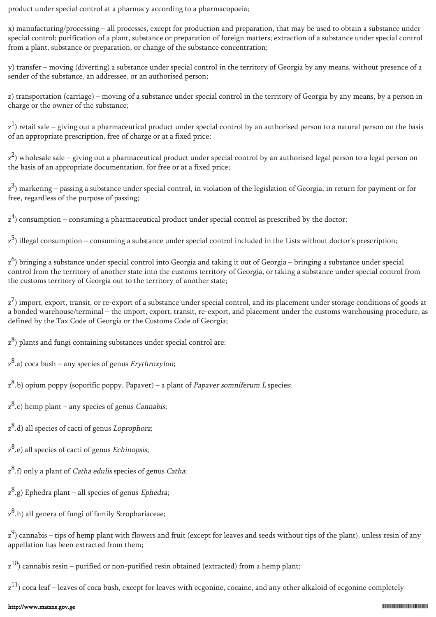product under special control at a pharmacy according to a pharmacopoeia;

x) manufacturing/processing – all processes, except for production and preparation, that may be used to obtain a substance under special control; purification of a plant, substance or preparation of foreign matters; extraction of a substance under special control from a plant, substance or preparation, or change of the substance concentration;

y) transfer – moving (diverting) a substance under special control in the territory of Georgia by any means, without presence of a sender of the substance, an addressee, or an authorised person;

z) transportation (carriage) – moving of a substance under special control in the territory of Georgia by any means, by a person in charge or the owner of the substance;

 $\rm{z}^1$ ) retail sale – giving out a pharmaceutical product under special control by an authorised person to a natural person on the basis of an appropriate prescription, free of charge or at a fixed price;

z<sup>2</sup>) wholesale sale – giving out a pharmaceutical product under special control by an authorised legal person to a legal person on the basis of an appropriate documentation, for free or at a fixed price;

z<sup>3</sup>) marketing – passing a substance under special control, in violation of the legislation of Georgia, in return for payment or for free, regardless of the purpose of passing;

 $z<sup>4</sup>$ ) consumption – consuming a pharmaceutical product under special control as prescribed by the doctor;

z<sup>5</sup>) illegal consumption – consuming a substance under special control included in the Lists without doctor's prescription;

 $z^6$ ) bringing a substance under special control into Georgia and taking it out of Georgia – bringing a substance under special control from the territory of another state into the customs territory of Georgia, or taking a substance under special control from the customs territory of Georgia out to the territory of another state;

 $z^7$ ) import, export, transit, or re-export of a substance under special control, and its placement under storage conditions of goods at a bonded warehouse/terminal – the import, export, transit, re-export, and placement under the customs warehousing procedure, as defined by the Tax Code of Georgia or the Customs Code of Georgia;

 $(z^8)$  plants and fungi containing substances under special control are:

 $z^8$ .a) coca bush – any species of genus *Erythroxylon*;

 $z^8$ .b) opium poppy (soporific poppy, Papaver) – a plant of *Papaver somniferum L* species;

 $z^8$ .c) hemp plant – any species of genus *Cannabis*;

z<sup>8</sup>.d) all species of cacti of genus *Loprophora*;

z<sup>8</sup>.e) all species of cacti of genus Echinopsis;

z<sup>8</sup>.f) only a plant of *Catha edulis* species of genus *Catha*;

 $(z^8,g)$  Ephedra plant – all species of genus *Ephedra*;

z<sup>8</sup>.h) all genera of fungi of family Strophariaceae;

 $z^9$ ) cannabis – tips of hemp plant with flowers and fruit (except for leaves and seeds without tips of the plant), unless resin of any appellation has been extracted from them;

 $\rm{z}^{10}$ ) cannabis resin – purified or non-purified resin obtained (extracted) from a hemp plant;

 $z^{11}$ ) coca leaf – leaves of coca bush, except for leaves with ecgonine, cocaine, and any other alkaloid of ecgonine completely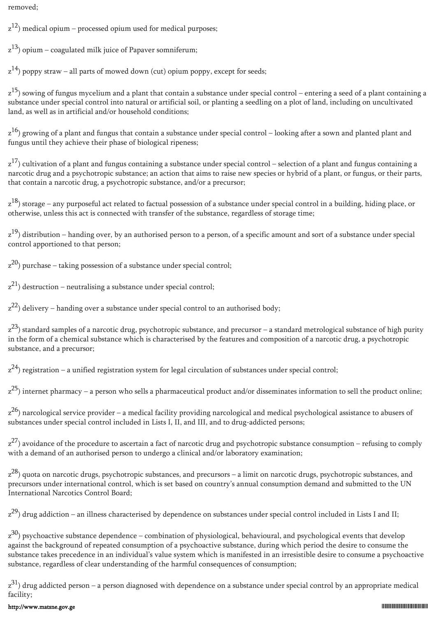removed;

 $|z^{12}\rangle$  medical opium – processed opium used for medical purposes;

 $\rm{z}^{13}$ ) opium – coagulated milk juice of Papaver somniferum;

 $z^{14}$ ) poppy straw – all parts of mowed down (cut) opium poppy, except for seeds;

z<sup>15</sup>) sowing of fungus mycelium and a plant that contain a substance under special control – entering a seed of a plant containing a substance under special control into natural or artificial soil, or planting a seedling on a plot of land, including on uncultivated land, as well as in artificial and/or household conditions;

z<sup>16</sup>) growing of a plant and fungus that contain a substance under special control – looking after a sown and planted plant and fungus until they achieve their phase of biological ripeness;

z<sup>17</sup>) cultivation of a plant and fungus containing a substance under special control – selection of a plant and fungus containing a narcotic drug and a psychotropic substance; an action that aims to raise new species or hybrid of a plant, or fungus, or their parts, that contain a narcotic drug, a psychotropic substance, and/or a precursor;

z<sup>18</sup>) storage – any purposeful act related to factual possession of a substance under special control in a building, hiding place, or otherwise, unless this act is connected with transfer of the substance, regardless of storage time;

z<sup>19</sup>) distribution – handing over, by an authorised person to a person, of a specific amount and sort of a substance under special control apportioned to that person;

 $\rm{z}^{20}$ ) purchase – taking possession of a substance under special control;

 $\rm{z}^{\rm{21}}$ ) destruction – neutralising a substance under special control;

 $z^{22}$ ) delivery – handing over a substance under special control to an authorised body;

 $z^{23}$ ) standard samples of a narcotic drug, psychotropic substance, and precursor – a standard metrological substance of high purity in the form of a chemical substance which is characterised by the features and composition of a narcotic drug, a psychotropic substance, and a precursor;

 $z^{24}$ ) registration – a unified registration system for legal circulation of substances under special control;

z<sup>25</sup>) internet pharmacy – a person who sells a pharmaceutical product and/or disseminates information to sell the product online;

z<sup>26</sup>) narcological service provider – a medical facility providing narcological and medical psychological assistance to abusers of substances under special control included in Lists I, II, and III, and to drug-addicted persons;

 $z^{27}$ ) avoidance of the procedure to ascertain a fact of narcotic drug and psychotropic substance consumption – refusing to comply with a demand of an authorised person to undergo a clinical and/or laboratory examination;

z<sup>28</sup>) quota on narcotic drugs, psychotropic substances, and precursors – a limit on narcotic drugs, psychotropic substances, and precursors under international control, which is set based on country's annual consumption demand and submitted to the UN International Narcotics Control Board;

 $z^{29}$ ) drug addiction – an illness characterised by dependence on substances under special control included in Lists I and II;

z<sup>30</sup>) psychoactive substance dependence – combination of physiological, behavioural, and psychological events that develop against the background of repeated consumption of a psychoactive substance, during which period the desire to consume the substance takes precedence in an individual's value system which is manifested in an irresistible desire to consume a psychoactive substance, regardless of clear understanding of the harmful consequences of consumption;

 $z^{31}$ ) drug addicted person – a person diagnosed with dependence on a substance under special control by an appropriate medical facility;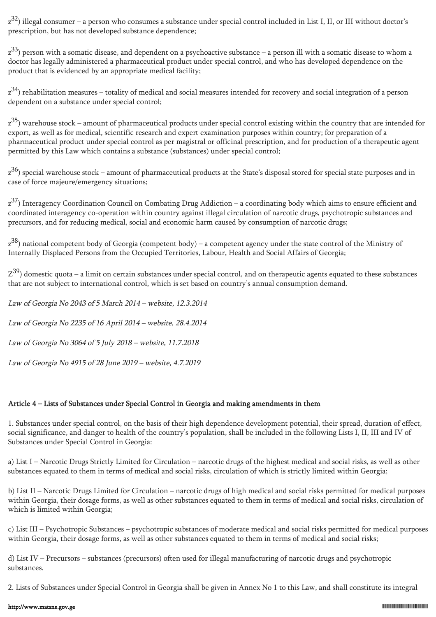z<sup>32</sup>) illegal consumer – a person who consumes a substance under special control included in List I, II, or III without doctor's prescription, but has not developed substance dependence;

 $\rm z^{33}$ ) person with a somatic disease, and dependent on a psychoactive substance – a person ill with a somatic disease to whom a doctor has legally administered a pharmaceutical product under special control, and who has developed dependence on the product that is evidenced by an appropriate medical facility;

 $z^{34}$ ) rehabilitation measures – totality of medical and social measures intended for recovery and social integration of a person dependent on a substance under special control;

z<sup>35</sup>) warehouse stock – amount of pharmaceutical products under special control existing within the country that are intended for export, as well as for medical, scientific research and expert examination purposes within country; for preparation of a pharmaceutical product under special control as per magistral or officinal prescription, and for production of a therapeutic agent permitted by this Law which contains a substance (substances) under special control;

z<sup>36</sup>) special warehouse stock – amount of pharmaceutical products at the State's disposal stored for special state purposes and in case of force majeure/emergency situations;

z<sup>37</sup>) Interagency Coordination Council on Combating Drug Addiction – a coordinating body which aims to ensure efficient and coordinated interagency co-operation within country against illegal circulation of narcotic drugs, psychotropic substances and precursors, and for reducing medical, social and economic harm caused by consumption of narcotic drugs;

z<sup>38</sup>) national competent body of Georgia (competent body) – a competent agency under the state control of the Ministry of Internally Displaced Persons from the Occupied Territories, Labour, Health and Social Affairs of Georgia;

 $Z^{39}$ ) domestic quota – a limit on certain substances under special control, and on therapeutic agents equated to these substances that are not subject to international control, which is set based on country's annual consumption demand.

Law of Georgia No 2043 of 5 March 2014 – website, 12.3.2014 Law of Georgia No 2235 of 16 April 2014 – website, 28.4.2014 Law of Georgia No 3064 of 5 July 2018 – website, 11.7.2018 Law of Georgia No 4915 of 28 June 2019 – website, 4.7.2019

## Article 4 – Lists of Substances under Special Control in Georgia and making amendments in them

1. Substances under special control, on the basis of their high dependence development potential, their spread, duration of effect, social significance, and danger to health of the country's population, shall be included in the following Lists I, II, III and IV of Substances under Special Control in Georgia:

a) List I – Narcotic Drugs Strictly Limited for Circulation – narcotic drugs of the highest medical and social risks, as well as other substances equated to them in terms of medical and social risks, circulation of which is strictly limited within Georgia;

b) List II – Narcotic Drugs Limited for Circulation – narcotic drugs of high medical and social risks permitted for medical purposes within Georgia, their dosage forms, as well as other substances equated to them in terms of medical and social risks, circulation of which is limited within Georgia;

c) List III – Psychotropic Substances – psychotropic substances of moderate medical and social risks permitted for medical purposes within Georgia, their dosage forms, as well as other substances equated to them in terms of medical and social risks;

d) List IV – Precursors – substances (precursors) often used for illegal manufacturing of narcotic drugs and psychotropic substances.

2. Lists of Substances under Special Control in Georgia shall be given in Annex No 1 to this Law, and shall constitute its integral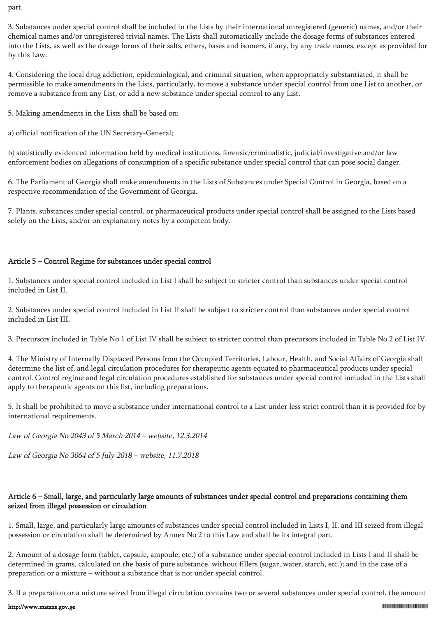part.

3. Substances under special control shall be included in the Lists by their international unregistered (generic) names, and/or their chemical names and/or unregistered trivial names. The Lists shall automatically include the dosage forms of substances entered into the Lists, as well as the dosage forms of their salts, ethers, bases and isomers, if any, by any trade names, except as provided for by this Law.

4. Considering the local drug addiction, epidemiological, and criminal situation, when appropriately substantiated, it shall be permissible to make amendments in the Lists, particularly, to move a substance under special control from one List to another, or remove a substance from any List, or add a new substance under special control to any List.

5. Making amendments in the Lists shall be based on:

a) official notification of the UN Secretary-General;

b) statistically evidenced information held by medical institutions, forensic/criminalistic, judicial/investigative and/or law enforcement bodies on allegations of consumption of a specific substance under special control that can pose social danger.

6. The Parliament of Georgia shall make amendments in the Lists of Substances under Special Control in Georgia, based on a respective recommendation of the Government of Georgia.

7. Plants, substances under special control, or pharmaceutical products under special control shall be assigned to the Lists based solely on the Lists, and/or on explanatory notes by a competent body.

## Article 5 – Control Regime for substances under special control

1. Substances under special control included in List I shall be subject to stricter control than substances under special control included in List II.

2. Substances under special control included in List II shall be subject to stricter control than substances under special control included in List III.

3. Precursors included in Table No 1 of List IV shall be subject to stricter control than precursors included in Table No 2 of List IV.

4. The Ministry of Internally Displaced Persons from the Occupied Territories, Labour, Health, and Social Affairs of Georgia shall determine the list of, and legal circulation procedures for therapeutic agents equated to pharmaceutical products under special control. Control regime and legal circulation procedures established for substances under special control included in the Lists shall apply to therapeutic agents on this list, including preparations.

5. It shall be prohibited to move a substance under international control to a List under less strict control than it is provided for by international requirements.

Law of Georgia No 2043 of 5 March 2014 – website, 12.3.2014

Law of Georgia No 3064 of 5 July 2018 – website, 11.7.2018

# Article 6 – Small, large, and particularly large amounts of substances under special control and preparations containing them seized from illegal possession or circulation

1. Small, large, and particularly large amounts of substances under special control included in Lists I, II, and III seized from illegal possession or circulation shall be determined by Annex No 2 to this Law and shall be its integral part.

2. Amount of a dosage form (tablet, capsule, ampoule, etc.) of a substance under special control included in Lists I and II shall be determined in grams, calculated on the basis of pure substance, without fillers (sugar, water, starch, etc.); and in the case of a preparation or a mixture – without a substance that is not under special control.

3. If a preparation or a mixture seized from illegal circulation contains two or several substances under special control, the amount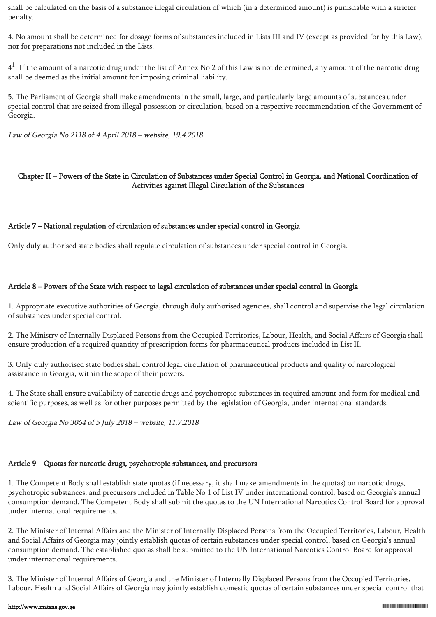shall be calculated on the basis of a substance illegal circulation of which (in a determined amount) is punishable with a stricter penalty.

4. No amount shall be determined for dosage forms of substances included in Lists III and IV (except as provided for by this Law), nor for preparations not included in the Lists.

 $4^1$ . If the amount of a narcotic drug under the list of Annex No 2 of this Law is not determined, any amount of the narcotic drug shall be deemed as the initial amount for imposing criminal liability.

5. The Parliament of Georgia shall make amendments in the small, large, and particularly large amounts of substances under special control that are seized from illegal possession or circulation, based on a respective recommendation of the Government of Georgia.

Law of Georgia No 2118 of 4 April 2018 – website, 19.4.2018

#### Chapter II – Powers of the State in Circulation of Substances under Special Control in Georgia, and National Coordination of Activities against Illegal Circulation of the Substances

#### Article 7 – National regulation of circulation of substances under special control in Georgia

Only duly authorised state bodies shall regulate circulation of substances under special control in Georgia.

#### Article 8 – Powers of the State with respect to legal circulation of substances under special control in Georgia

1. Appropriate executive authorities of Georgia, through duly authorised agencies, shall control and supervise the legal circulation of substances under special control.

2. The Ministry of Internally Displaced Persons from the Occupied Territories, Labour, Health, and Social Affairs of Georgia shall ensure production of a required quantity of prescription forms for pharmaceutical products included in List II.

3. Only duly authorised state bodies shall control legal circulation of pharmaceutical products and quality of narcological assistance in Georgia, within the scope of their powers.

4. The State shall ensure availability of narcotic drugs and psychotropic substances in required amount and form for medical and scientific purposes, as well as for other purposes permitted by the legislation of Georgia, under international standards.

Law of Georgia No 3064 of 5 July 2018 – website, 11.7.2018

# Article 9 – Quotas for narcotic drugs, psychotropic substances, and precursors

1. The Competent Body shall establish state quotas (if necessary, it shall make amendments in the quotas) on narcotic drugs, psychotropic substances, and precursors included in Table No 1 of List IV under international control, based on Georgia's annual consumption demand. The Competent Body shall submit the quotas to the UN International Narcotics Control Board for approval under international requirements.

2. The Minister of Internal Affairs and the Minister of Internally Displaced Persons from the Occupied Territories, Labour, Health and Social Affairs of Georgia may jointly establish quotas of certain substances under special control, based on Georgia's annual consumption demand. The established quotas shall be submitted to the UN International Narcotics Control Board for approval under international requirements.

3. The Minister of Internal Affairs of Georgia and the Minister of Internally Displaced Persons from the Occupied Territories, Labour, Health and Social Affairs of Georgia may jointly establish domestic quotas of certain substances under special control that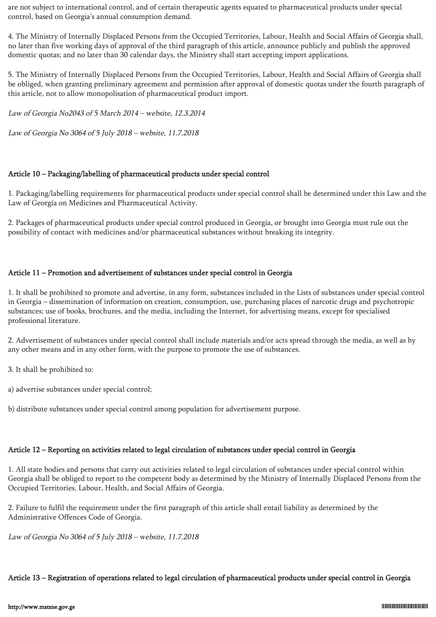are not subject to international control, and of certain therapeutic agents equated to pharmaceutical products under special control, based on Georgia's annual consumption demand.

4. The Ministry of Internally Displaced Persons from the Occupied Territories, Labour, Health and Social Affairs of Georgia shall, no later than five working days of approval of the third paragraph of this article, announce publicly and publish the approved domestic quotas; and no later than 30 calendar days, the Ministry shall start accepting import applications.

5. The Ministry of Internally Displaced Persons from the Occupied Territories, Labour, Health and Social Affairs of Georgia shall be obliged, when granting preliminary agreement and permission after approval of domestic quotas under the fourth paragraph of this article, not to allow monopolisation of pharmaceutical product import.

Law of Georgia No2043 of 5 March 2014 – website, 12.3.2014

Law of Georgia No 3064 of 5 July 2018 – website, 11.7.2018

#### Article 10 – Packaging/labelling of pharmaceutical products under special control

1. Packaging/labelling requirements for pharmaceutical products under special control shall be determined under this Law and the Law of Georgia on Medicines and Pharmaceutical Activity.

2. Packages of pharmaceutical products under special control produced in Georgia, or brought into Georgia must rule out the possibility of contact with medicines and/or pharmaceutical substances without breaking its integrity.

#### Article 11 – Promotion and advertisement of substances under special control in Georgia

1. It shall be prohibited to promote and advertise, in any form, substances included in the Lists of substances under special control in Georgia – dissemination of information on creation, consumption, use, purchasing places of narcotic drugs and psychotropic substances; use of books, brochures, and the media, including the Internet, for advertising means, except for specialised professional literature.

2. Advertisement of substances under special control shall include materials and/or acts spread through the media, as well as by any other means and in any other form, with the purpose to promote the use of substances.

3. It shall be prohibited to:

a) advertise substances under special control;

b) distribute substances under special control among population for advertisement purpose.

#### Article 12 – Reporting on activities related to legal circulation of substances under special control in Georgia

1. All state bodies and persons that carry out activities related to legal circulation of substances under special control within Georgia shall be obliged to report to the competent body as determined by the Ministry of Internally Displaced Persons from the Occupied Territories, Labour, Health, and Social Affairs of Georgia.

2. Failure to fulfil the requirement under the first paragraph of this article shall entail liability as determined by the Administrative Offences Code of Georgia.

Law of Georgia No 3064 of 5 July 2018 – website, 11.7.2018

#### Article 13 – Registration of operations related to legal circulation of pharmaceutical products under special control in Georgia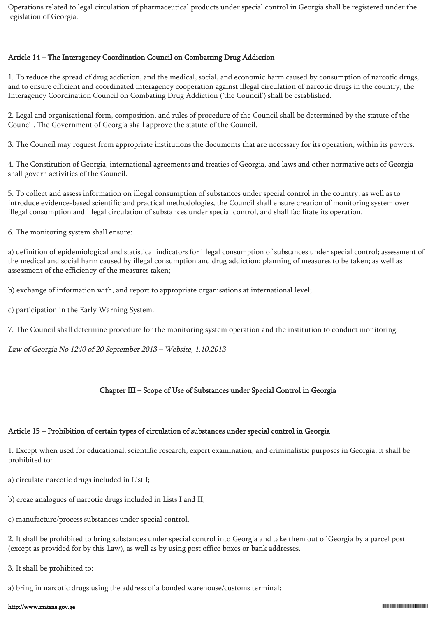Operations related to legal circulation of pharmaceutical products under special control in Georgia shall be registered under the legislation of Georgia.

#### Article 14 – The Interagency Coordination Council on Combatting Drug Addiction

1. To reduce the spread of drug addiction, and the medical, social, and economic harm caused by consumption of narcotic drugs, and to ensure efficient and coordinated interagency cooperation against illegal circulation of narcotic drugs in the country, the Interagency Coordination Council on Combating Drug Addiction ('the Council') shall be established.

2. Legal and organisational form, composition, and rules of procedure of the Council shall be determined by the statute of the Council. The Government of Georgia shall approve the statute of the Council.

3. The Council may request from appropriate institutions the documents that are necessary for its operation, within its powers.

4. The Constitution of Georgia, international agreements and treaties of Georgia, and laws and other normative acts of Georgia shall govern activities of the Council.

5. To collect and assess information on illegal consumption of substances under special control in the country, as well as to introduce evidence-based scientific and practical methodologies, the Council shall ensure creation of monitoring system over illegal consumption and illegal circulation of substances under special control, and shall facilitate its operation.

6. The monitoring system shall ensure:

a) definition of epidemiological and statistical indicators for illegal consumption of substances under special control; assessment of the medical and social harm caused by illegal consumption and drug addiction; planning of measures to be taken; as well as assessment of the efficiency of the measures taken;

b) exchange of information with, and report to appropriate organisations at international level;

c) participation in the Early Warning System.

7. The Council shall determine procedure for the monitoring system operation and the institution to conduct monitoring.

Law of Georgia No 1240 of 20 September 2013 – Website, 1.10.2013

# Chapter III – Scope of Use of Substances under Special Control in Georgia

# Article 15 – Prohibition of certain types of circulation of substances under special control in Georgia

1. Except when used for educational, scientific research, expert examination, and criminalistic purposes in Georgia, it shall be prohibited to:

a) circulate narcotic drugs included in List I;

b) creae analogues of narcotic drugs included in Lists I and II;

c) manufacture/process substances under special control.

2. It shall be prohibited to bring substances under special control into Georgia and take them out of Georgia by a parcel post (except as provided for by this Law), as well as by using post office boxes or bank addresses.

3. It shall be prohibited to:

a) bring in narcotic drugs using the address of a bonded warehouse/customs terminal;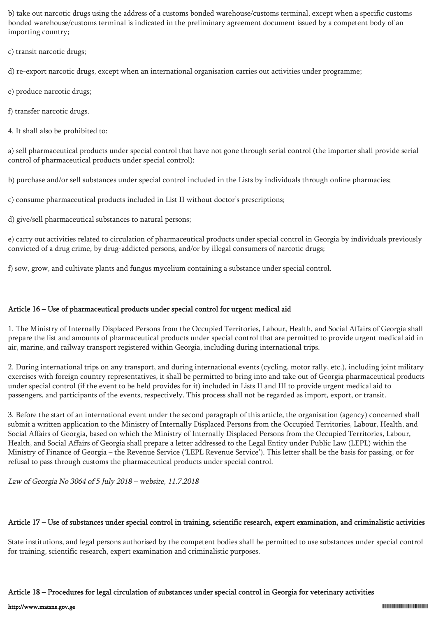b) take out narcotic drugs using the address of a customs bonded warehouse/customs terminal, except when a specific customs bonded warehouse/customs terminal is indicated in the preliminary agreement document issued by a competent body of an importing country;

c) transit narcotic drugs;

d) re-export narcotic drugs, except when an international organisation carries out activities under programme;

e) produce narcotic drugs;

f) transfer narcotic drugs.

4. It shall also be prohibited to:

a) sell pharmaceutical products under special control that have not gone through serial control (the importer shall provide serial control of pharmaceutical products under special control);

b) purchase and/or sell substances under special control included in the Lists by individuals through online pharmacies;

c) consume pharmaceutical products included in List II without doctor's prescriptions;

d) give/sell pharmaceutical substances to natural persons;

e) carry out activities related to circulation of pharmaceutical products under special control in Georgia by individuals previously convicted of a drug crime, by drug-addicted persons, and/or by illegal consumers of narcotic drugs;

f) sow, grow, and cultivate plants and fungus mycelium containing a substance under special control.

#### Article 16 – Use of pharmaceutical products under special control for urgent medical aid

1. The Ministry of Internally Displaced Persons from the Occupied Territories, Labour, Health, and Social Affairs of Georgia shall prepare the list and amounts of pharmaceutical products under special control that are permitted to provide urgent medical aid in air, marine, and railway transport registered within Georgia, including during international trips.

2. During international trips on any transport, and during international events (cycling, motor rally, etc.), including joint military exercises with foreign country representatives, it shall be permitted to bring into and take out of Georgia pharmaceutical products under special control (if the event to be held provides for it) included in Lists II and III to provide urgent medical aid to passengers, and participants of the events, respectively. This process shall not be regarded as import, export, or transit.

3. Before the start of an international event under the second paragraph of this article, the organisation (agency) concerned shall submit a written application to the Ministry of Internally Displaced Persons from the Occupied Territories, Labour, Health, and Social Affairs of Georgia, based on which the Ministry of Internally Displaced Persons from the Occupied Territories, Labour, Health, and Social Affairs of Georgia shall prepare a letter addressed to the Legal Entity under Public Law (LEPL) within the Ministry of Finance of Georgia – the Revenue Service ('LEPL Revenue Service'). This letter shall be the basis for passing, or for refusal to pass through customs the pharmaceutical products under special control.

Law of Georgia No 3064 of 5 July 2018 – website, 11.7.2018

#### Article 17 – Use of substances under special control in training, scientific research, expert examination, and criminalistic activities

State institutions, and legal persons authorised by the competent bodies shall be permitted to use substances under special control for training, scientific research, expert examination and criminalistic purposes.

#### Article 18 – Procedures for legal circulation of substances under special control in Georgia for veterinary activities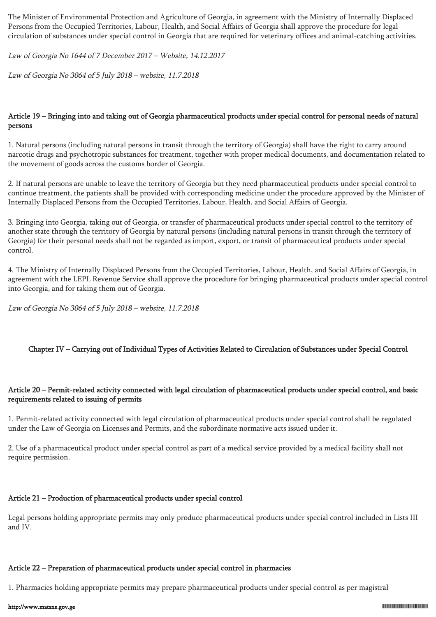The Minister of Environmental Protection and Agriculture of Georgia, in agreement with the Ministry of Internally Displaced Persons from the Occupied Territories, Labour, Health, and Social Affairs of Georgia shall approve the procedure for legal circulation of substances under special control in Georgia that are required for veterinary offices and animal-catching activities.

Law of Georgia No 1644 of 7 December 2017 – Website, 14.12.2017

Law of Georgia No 3064 of 5 July 2018 – website, 11.7.2018

#### Article 19 – Bringing into and taking out of Georgia pharmaceutical products under special control for personal needs of natural persons

1. Natural persons (including natural persons in transit through the territory of Georgia) shall have the right to carry around narcotic drugs and psychotropic substances for treatment, together with proper medical documents, and documentation related to the movement of goods across the customs border of Georgia.

2. If natural persons are unable to leave the territory of Georgia but they need pharmaceutical products under special control to continue treatment, the patients shall be provided with corresponding medicine under the procedure approved by the Minister of Internally Displaced Persons from the Occupied Territories, Labour, Health, and Social Affairs of Georgia.

3. Bringing into Georgia, taking out of Georgia, or transfer of pharmaceutical products under special control to the territory of another state through the territory of Georgia by natural persons (including natural persons in transit through the territory of Georgia) for their personal needs shall not be regarded as import, export, or transit of pharmaceutical products under special control.

4. The Ministry of Internally Displaced Persons from the Occupied Territories, Labour, Health, and Social Affairs of Georgia, in agreement with the LEPL Revenue Service shall approve the procedure for bringing pharmaceutical products under special control into Georgia, and for taking them out of Georgia.

Law of Georgia No 3064 of 5 July 2018 – website, 11.7.2018

## Chapter IV – Carrying out of Individual Types of Activities Related to Circulation of Substances under Special Control

#### Article 20 – Permit-related activity connected with legal circulation of pharmaceutical products under special control, and basic requirements related to issuing of permits

1. Permit-related activity connected with legal circulation of pharmaceutical products under special control shall be regulated under the Law of Georgia on Licenses and Permits, and the subordinate normative acts issued under it.

2. Use of a pharmaceutical product under special control as part of a medical service provided by a medical facility shall not require permission.

#### Article 21 – Production of pharmaceutical products under special control

Legal persons holding appropriate permits may only produce pharmaceutical products under special control included in Lists III and IV.

#### Article 22 – Preparation of pharmaceutical products under special control in pharmacies

1. Pharmacies holding appropriate permits may prepare pharmaceutical products under special control as per magistral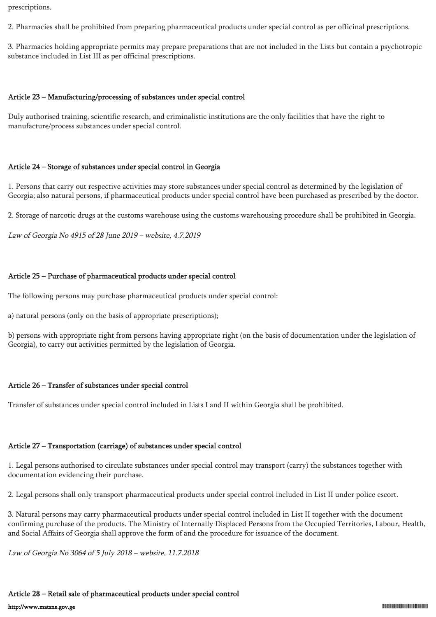prescriptions.

2. Pharmacies shall be prohibited from preparing pharmaceutical products under special control as per officinal prescriptions.

3. Pharmacies holding appropriate permits may prepare preparations that are not included in the Lists but contain a psychotropic substance included in List III as per officinal prescriptions.

#### Article 23 – Manufacturing/processing of substances under special control

Duly authorised training, scientific research, and criminalistic institutions are the only facilities that have the right to manufacture/process substances under special control.

#### Article 24 – Storage of substances under special control in Georgia

1. Persons that carry out respective activities may store substances under special control as determined by the legislation of Georgia; also natural persons, if pharmaceutical products under special control have been purchased as prescribed by the doctor.

2. Storage of narcotic drugs at the customs warehouse using the customs warehousing procedure shall be prohibited in Georgia.

Law of Georgia No 4915 of 28 June 2019 – website, 4.7.2019

#### Article 25 – Purchase of pharmaceutical products under special control

The following persons may purchase pharmaceutical products under special control:

a) natural persons (only on the basis of appropriate prescriptions);

b) persons with appropriate right from persons having appropriate right (on the basis of documentation under the legislation of Georgia), to carry out activities permitted by the legislation of Georgia.

#### Article 26 – Transfer of substances under special control

Transfer of substances under special control included in Lists I and II within Georgia shall be prohibited.

#### Article 27 – Transportation (carriage) of substances under special control

1. Legal persons authorised to circulate substances under special control may transport (carry) the substances together with documentation evidencing their purchase.

2. Legal persons shall only transport pharmaceutical products under special control included in List II under police escort.

3. Natural persons may carry pharmaceutical products under special control included in List II together with the document confirming purchase of the products. The Ministry of Internally Displaced Persons from the Occupied Territories, Labour, Health, and Social Affairs of Georgia shall approve the form of and the procedure for issuance of the document.

Law of Georgia No 3064 of 5 July 2018 – website, 11.7.2018

#### Article 28 – Retail sale of pharmaceutical products under special control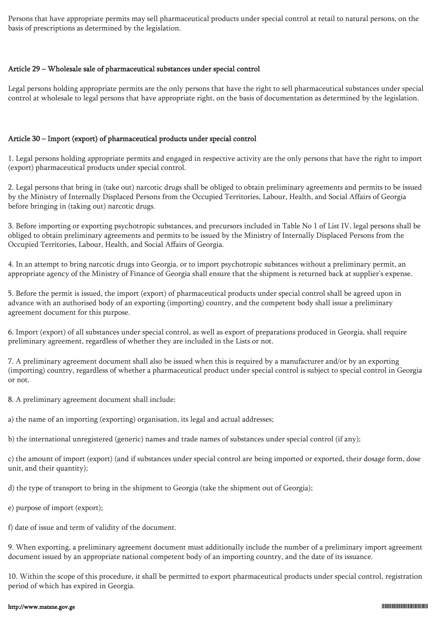Persons that have appropriate permits may sell pharmaceutical products under special control at retail to natural persons, on the basis of prescriptions as determined by the legislation.

#### Article 29 – Wholesale sale of pharmaceutical substances under special control

Legal persons holding appropriate permits are the only persons that have the right to sell pharmaceutical substances under special control at wholesale to legal persons that have appropriate right, on the basis of documentation as determined by the legislation.

#### Article 30 – Import (export) of pharmaceutical products under special control

1. Legal persons holding appropriate permits and engaged in respective activity are the only persons that have the right to import (export) pharmaceutical products under special control.

2. Legal persons that bring in (take out) narcotic drugs shall be obliged to obtain preliminary agreements and permits to be issued by the Ministry of Internally Displaced Persons from the Occupied Territories, Labour, Health, and Social Affairs of Georgia before bringing in (taking out) narcotic drugs.

3. Before importing or exporting psychotropic substances, and precursors included in Table No 1 of List IV, legal persons shall be obliged to obtain preliminary agreements and permits to be issued by the Ministry of Internally Displaced Persons from the Occupied Territories, Labour, Health, and Social Affairs of Georgia.

4. In an attempt to bring narcotic drugs into Georgia, or to import psychotropic substances without a preliminary permit, an appropriate agency of the Ministry of Finance of Georgia shall ensure that the shipment is returned back at supplier's expense.

5. Before the permit is issued, the import (export) of pharmaceutical products under special control shall be agreed upon in advance with an authorised body of an exporting (importing) country, and the competent body shall issue a preliminary agreement document for this purpose.

6. Import (export) of all substances under special control, as well as export of preparations produced in Georgia, shall require preliminary agreement, regardless of whether they are included in the Lists or not.

7. A preliminary agreement document shall also be issued when this is required by a manufacturer and/or by an exporting (importing) country, regardless of whether a pharmaceutical product under special control is subject to special control in Georgia or not.

8. A preliminary agreement document shall include:

a) the name of an importing (exporting) organisation, its legal and actual addresses;

b) the international unregistered (generic) names and trade names of substances under special control (if any);

c) the amount of import (export) (and if substances under special control are being imported or exported, their dosage form, dose unit, and their quantity);

d) the type of transport to bring in the shipment to Georgia (take the shipment out of Georgia);

e) purpose of import (export);

f) date of issue and term of validity of the document.

9. When exporting, a preliminary agreement document must additionally include the number of a preliminary import agreement document issued by an appropriate national competent body of an importing country, and the date of its issuance.

10. Within the scope of this procedure, it shall be permitted to export pharmaceutical products under special control, registration period of which has expired in Georgia.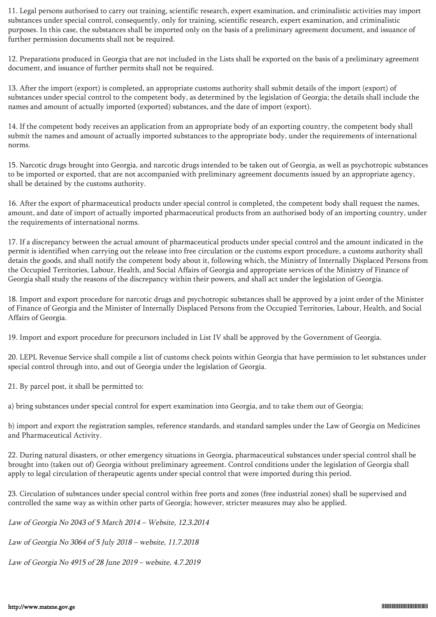11. Legal persons authorised to carry out training, scientific research, expert examination, and criminalistic activities may import substances under special control, consequently, only for training, scientific research, expert examination, and criminalistic purposes. In this case, the substances shall be imported only on the basis of a preliminary agreement document, and issuance of further permission documents shall not be required.

12. Preparations produced in Georgia that are not included in the Lists shall be exported on the basis of a preliminary agreement document, and issuance of further permits shall not be required.

13. After the import (export) is completed, an appropriate customs authority shall submit details of the import (export) of substances under special control to the competent body, as determined by the legislation of Georgia; the details shall include the names and amount of actually imported (exported) substances, and the date of import (export).

14. If the competent body receives an application from an appropriate body of an exporting country, the competent body shall submit the names and amount of actually imported substances to the appropriate body, under the requirements of international norms.

15. Narcotic drugs brought into Georgia, and narcotic drugs intended to be taken out of Georgia, as well as psychotropic substances to be imported or exported, that are not accompanied with preliminary agreement documents issued by an appropriate agency, shall be detained by the customs authority.

16. After the export of pharmaceutical products under special control is completed, the competent body shall request the names, amount, and date of import of actually imported pharmaceutical products from an authorised body of an importing country, under the requirements of international norms.

17. If a discrepancy between the actual amount of pharmaceutical products under special control and the amount indicated in the permit is identified when carrying out the release into free circulation or the customs export procedure, a customs authority shall detain the goods, and shall notify the competent body about it, following which, the Ministry of Internally Displaced Persons from the Occupied Territories, Labour, Health, and Social Affairs of Georgia and appropriate services of the Ministry of Finance of Georgia shall study the reasons of the discrepancy within their powers, and shall act under the legislation of Georgia.

18. Import and export procedure for narcotic drugs and psychotropic substances shall be approved by a joint order of the Minister of Finance of Georgia and the Minister of Internally Displaced Persons from the Occupied Territories, Labour, Health, and Social Affairs of Georgia.

19. Import and export procedure for precursors included in List IV shall be approved by the Government of Georgia.

20. LEPL Revenue Service shall compile a list of customs check points within Georgia that have permission to let substances under special control through into, and out of Georgia under the legislation of Georgia.

21. By parcel post, it shall be permitted to:

a) bring substances under special control for expert examination into Georgia, and to take them out of Georgia;

b) import and export the registration samples, reference standards, and standard samples under the Law of Georgia on Medicines and Pharmaceutical Activity.

22. During natural disasters, or other emergency situations in Georgia, pharmaceutical substances under special control shall be brought into (taken out of) Georgia without preliminary agreement. Control conditions under the legislation of Georgia shall apply to legal circulation of therapeutic agents under special control that were imported during this period.

23. Circulation of substances under special control within free ports and zones (free industrial zones) shall be supervised and controlled the same way as within other parts of Georgia; however, stricter measures may also be applied.

Law of Georgia No 2043 of 5 March 2014 – Website, 12.3.2014

Law of Georgia No 3064 of 5 July 2018 – website, 11.7.2018

Law of Georgia No 4915 of 28 June 2019 – website, 4.7.2019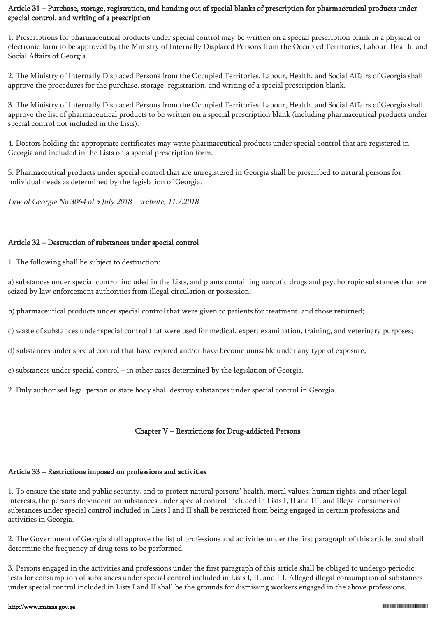## Article 31 – Purchase, storage, registration, and handing out of special blanks of prescription for pharmaceutical products under special control, and writing of a prescription

1. Prescriptions for pharmaceutical products under special control may be written on a special prescription blank in a physical or electronic form to be approved by the Ministry of Internally Displaced Persons from the Occupied Territories, Labour, Health, and Social Affairs of Georgia.

2. The Ministry of Internally Displaced Persons from the Occupied Territories, Labour, Health, and Social Affairs of Georgia shall approve the procedures for the purchase, storage, registration, and writing of a special prescription blank.

3. The Ministry of Internally Displaced Persons from the Occupied Territories, Labour, Health, and Social Affairs of Georgia shall approve the list of pharmaceutical products to be written on a special prescription blank (including pharmaceutical products under special control not included in the Lists).

4. Doctors holding the appropriate certificates may write pharmaceutical products under special control that are registered in Georgia and included in the Lists on a special prescription form.

5. Pharmaceutical products under special control that are unregistered in Georgia shall be prescribed to natural persons for individual needs as determined by the legislation of Georgia.

Law of Georgia No 3064 of 5 July 2018 – website, 11.7.2018

#### Article 32 – Destruction of substances under special control

1. The following shall be subject to destruction:

a) substances under special control included in the Lists, and plants containing narcotic drugs and psychotropic substances that are seized by law enforcement authorities from illegal circulation or possession;

b) pharmaceutical products under special control that were given to patients for treatment, and those returned;

c) waste of substances under special control that were used for medical, expert examination, training, and veterinary purposes;

d) substances under special control that have expired and/or have become unusable under any type of exposure;

e) substances under special control – in other cases determined by the legislation of Georgia.

2. Duly authorised legal person or state body shall destroy substances under special control in Georgia.

## Chapter V – Restrictions for Drug-addicted Persons

# Article 33 – Restrictions imposed on professions and activities

1. To ensure the state and public security, and to protect natural persons' health, moral values, human rights, and other legal interests, the persons dependent on substances under special control included in Lists I, II and III, and illegal consumers of substances under special control included in Lists I and II shall be restricted from being engaged in certain professions and activities in Georgia.

2. The Government of Georgia shall approve the list of professions and activities under the first paragraph of this article, and shall determine the frequency of drug tests to be performed.

3. Persons engaged in the activities and professions under the first paragraph of this article shall be obliged to undergo periodic tests for consumption of substances under special control included in Lists I, II, and III. Alleged illegal consumption of substances under special control included in Lists I and II shall be the grounds for dismissing workers engaged in the above professions,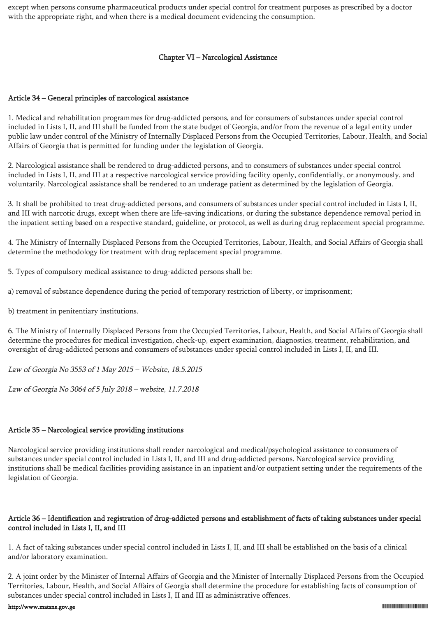except when persons consume pharmaceutical products under special control for treatment purposes as prescribed by a doctor with the appropriate right, and when there is a medical document evidencing the consumption.

#### Chapter VI – Narcological Assistance

#### Article 34 – General principles of narcological assistance

1. Medical and rehabilitation programmes for drug-addicted persons, and for consumers of substances under special control included in Lists I, II, and III shall be funded from the state budget of Georgia, and/or from the revenue of a legal entity under public law under control of the Ministry of Internally Displaced Persons from the Occupied Territories, Labour, Health, and Social Affairs of Georgia that is permitted for funding under the legislation of Georgia.

2. Narcological assistance shall be rendered to drug-addicted persons, and to consumers of substances under special control included in Lists I, II, and III at a respective narcological service providing facility openly, confidentially, or anonymously, and voluntarily. Narcological assistance shall be rendered to an underage patient as determined by the legislation of Georgia.

3. It shall be prohibited to treat drug-addicted persons, and consumers of substances under special control included in Lists I, II, and III with narcotic drugs, except when there are life-saving indications, or during the substance dependence removal period in the inpatient setting based on a respective standard, guideline, or protocol, as well as during drug replacement special programme.

4. The Ministry of Internally Displaced Persons from the Occupied Territories, Labour, Health, and Social Affairs of Georgia shall determine the methodology for treatment with drug replacement special programme.

5. Types of compulsory medical assistance to drug-addicted persons shall be:

a) removal of substance dependence during the period of temporary restriction of liberty, or imprisonment;

b) treatment in penitentiary institutions.

6. The Ministry of Internally Displaced Persons from the Occupied Territories, Labour, Health, and Social Affairs of Georgia shall determine the procedures for medical investigation, check-up, expert examination, diagnostics, treatment, rehabilitation, and oversight of drug-addicted persons and consumers of substances under special control included in Lists I, II, and III.

Law of Georgia No 3553 of 1 May 2015 – Website, 18.5.2015

Law of Georgia No 3064 of 5 July 2018 – website, 11.7.2018

#### Article 35 – Narcological service providing institutions

Narcological service providing institutions shall render narcological and medical/psychological assistance to consumers of substances under special control included in Lists I, II, and III and drug-addicted persons. Narcological service providing institutions shall be medical facilities providing assistance in an inpatient and/or outpatient setting under the requirements of the legislation of Georgia.

#### Article 36 – Identification and registration of drug-addicted persons and establishment of facts of taking substances under special control included in Lists I, II, and III

1. A fact of taking substances under special control included in Lists I, II, and III shall be established on the basis of a clinical and/or laboratory examination.

2. A joint order by the Minister of Internal Affairs of Georgia and the Minister of Internally Displaced Persons from the Occupied Territories, Labour, Health, and Social Affairs of Georgia shall determine the procedure for establishing facts of consumption of substances under special control included in Lists I, II and III as administrative offences.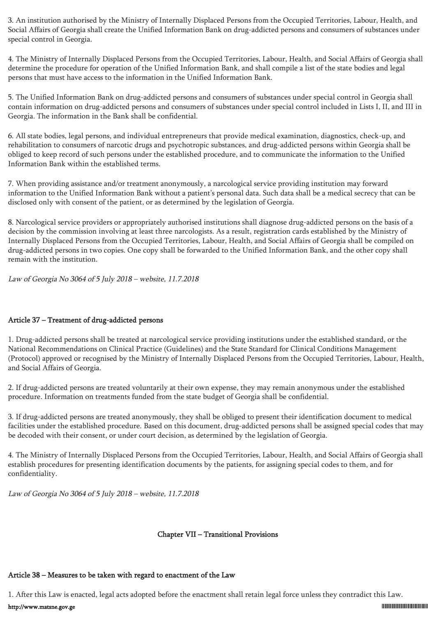3. An institution authorised by the Ministry of Internally Displaced Persons from the Occupied Territories, Labour, Health, and Social Affairs of Georgia shall create the Unified Information Bank on drug-addicted persons and consumers of substances under special control in Georgia.

4. The Ministry of Internally Displaced Persons from the Occupied Territories, Labour, Health, and Social Affairs of Georgia shall determine the procedure for operation of the Unified Information Bank, and shall compile a list of the state bodies and legal persons that must have access to the information in the Unified Information Bank.

5. The Unified Information Bank on drug-addicted persons and consumers of substances under special control in Georgia shall contain information on drug-addicted persons and consumers of substances under special control included in Lists I, II, and III in Georgia. The information in the Bank shall be confidential.

6. All state bodies, legal persons, and individual entrepreneurs that provide medical examination, diagnostics, check-up, and rehabilitation to consumers of narcotic drugs and psychotropic substances, and drug-addicted persons within Georgia shall be obliged to keep record of such persons under the established procedure, and to communicate the information to the Unified Information Bank within the established terms.

7. When providing assistance and/or treatment anonymously, a narcological service providing institution may forward information to the Unified Information Bank without a patient's personal data. Such data shall be a medical secrecy that can be disclosed only with consent of the patient, or as determined by the legislation of Georgia.

8. Narcological service providers or appropriately authorised institutions shall diagnose drug-addicted persons on the basis of a decision by the commission involving at least three narcologists. As a result, registration cards established by the Ministry of Internally Displaced Persons from the Occupied Territories, Labour, Health, and Social Affairs of Georgia shall be compiled on drug-addicted persons in two copies. One copy shall be forwarded to the Unified Information Bank, and the other copy shall remain with the institution.

Law of Georgia No 3064 of 5 July 2018 – website, 11.7.2018

## Article 37 – Treatment of drug-addicted persons

1. Drug-addicted persons shall be treated at narcological service providing institutions under the established standard, or the National Recommendations on Clinical Practice (Guidelines) and the State Standard for Clinical Conditions Management (Protocol) approved or recognised by the Ministry of Internally Displaced Persons from the Occupied Territories, Labour, Health, and Social Affairs of Georgia.

2. If drug-addicted persons are treated voluntarily at their own expense, they may remain anonymous under the established procedure. Information on treatments funded from the state budget of Georgia shall be confidential.

3. If drug-addicted persons are treated anonymously, they shall be obliged to present their identification document to medical facilities under the established procedure. Based on this document, drug-addicted persons shall be assigned special codes that may be decoded with their consent, or under court decision, as determined by the legislation of Georgia.

4. The Ministry of Internally Displaced Persons from the Occupied Territories, Labour, Health, and Social Affairs of Georgia shall establish procedures for presenting identification documents by the patients, for assigning special codes to them, and for confidentiality.

Law of Georgia No 3064 of 5 July 2018 – website, 11.7.2018

#### Chapter VII – Transitional Provisions

# Article 38 – Measures to be taken with regard to enactment of the Law

1. After this Law is enacted, legal acts adopted before the enactment shall retain legal force unless they contradict this Law.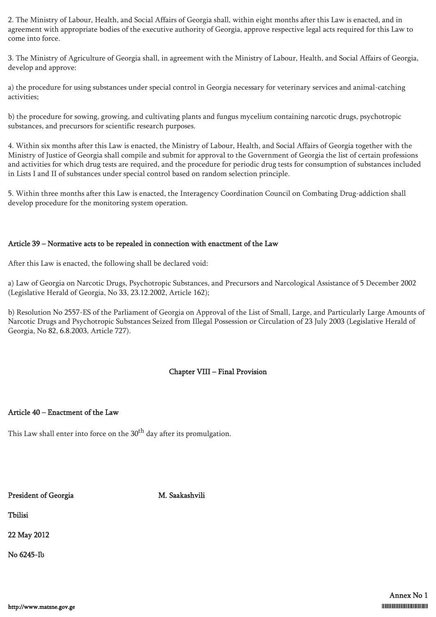2. The Ministry of Labour, Health, and Social Affairs of Georgia shall, within eight months after this Law is enacted, and in agreement with appropriate bodies of the executive authority of Georgia, approve respective legal acts required for this Law to come into force.

3. The Ministry of Agriculture of Georgia shall, in agreement with the Ministry of Labour, Health, and Social Affairs of Georgia, develop and approve:

a) the procedure for using substances under special control in Georgia necessary for veterinary services and animal-catching activities;

b) the procedure for sowing, growing, and cultivating plants and fungus mycelium containing narcotic drugs, psychotropic substances, and precursors for scientific research purposes.

4. Within six months after this Law is enacted, the Ministry of Labour, Health, and Social Affairs of Georgia together with the Ministry of Justice of Georgia shall compile and submit for approval to the Government of Georgia the list of certain professions and activities for which drug tests are required, and the procedure for periodic drug tests for consumption of substances included in Lists I and II of substances under special control based on random selection principle.

5. Within three months after this Law is enacted, the Interagency Coordination Council on Combating Drug-addiction shall develop procedure for the monitoring system operation.

#### Article 39 – Normative acts to be repealed in connection with enactment of the Law

After this Law is enacted, the following shall be declared void:

a) Law of Georgia on Narcotic Drugs, Psychotropic Substances, and Precursors and Narcological Assistance of 5 December 2002 (Legislative Herald of Georgia, No 33, 23.12.2002, Article 162);

b) Resolution No 2557-ES of the Parliament of Georgia on Approval of the List of Small, Large, and Particularly Large Amounts of Narcotic Drugs and Psychotropic Substances Seized from Illegal Possession or Circulation of 23 July 2003 (Legislative Herald of Georgia, No 82, 6.8.2003, Article 727).

## Chapter VIII – Final Provision

#### Article 40 – Enactment of the Law

This Law shall enter into force on the  $30<sup>th</sup>$  day after its promulgation.

# President of Georgia M. Saakashvili

Tbilisi

22 May 2012

No 6245-Iს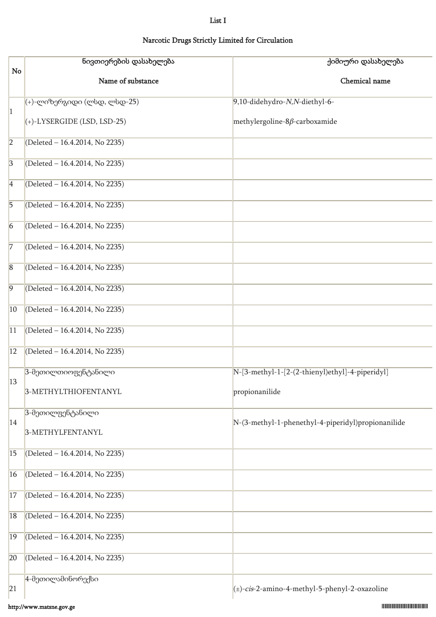#### List I

# Narcotic Drugs Strictly Limited for Circulation

|                | ნივთიერების დასახელება              | ქიმიური დასახელება                                 |
|----------------|-------------------------------------|----------------------------------------------------|
| No             | Name of substance                   | Chemical name                                      |
|                | (+)-ლიზერგიდი (ლსდ, ლსდ-25)         | 9,10-didehydro-N,N-diethyl-6-                      |
| 1              | $\vert$ (+)-LYSERGIDE (LSD, LSD-25) | methylergoline-8 $\beta$ -carboxamide              |
| $\overline{2}$ | (Deleted - 16.4.2014, No 2235)      |                                                    |
| $\overline{3}$ | (Deleted - 16.4.2014, No 2235)      |                                                    |
| $\overline{4}$ | (Deleted - 16.4.2014, No 2235)      |                                                    |
| $\overline{5}$ | (Deleted - 16.4.2014, No 2235)      |                                                    |
| $\overline{6}$ | (Deleted - 16.4.2014, No 2235)      |                                                    |
| 7              | (Deleted - 16.4.2014, No 2235)      |                                                    |
| $\overline{8}$ | (Deleted - 16.4.2014, No 2235)      |                                                    |
| $\overline{9}$ | (Deleted - 16.4.2014, No 2235)      |                                                    |
| $ 10\rangle$   | (Deleted - 16.4.2014, No 2235)      |                                                    |
| 11             | (Deleted - 16.4.2014, No 2235)      |                                                    |
| 12             | (Deleted - 16.4.2014, No 2235)      |                                                    |
| 13             | 3-მეთილთიოფენტანილი                 | [N-[3-methyl-1-[2-(2-thienyl)ethyl]-4-piperidyl]   |
|                | 3-METHYLTHIOFENTANYL                | propionanilide                                     |
| 14             | 3-მეთილფენტანილი                    | N-(3-methyl-1-phenethyl-4-piperidyl)propionanilide |
|                | 3-METHYLFENTANYL                    |                                                    |
| 15             | (Deleted - 16.4.2014, No 2235)      |                                                    |
| 16             | (Deleted - 16.4.2014, No 2235)      |                                                    |
| 17             | (Deleted - 16.4.2014, No 2235)      |                                                    |
| 18             | (Deleted - 16.4.2014, No 2235)      |                                                    |
| 19             | (Deleted - 16.4.2014, No 2235)      |                                                    |
| 20             | (Deleted - 16.4.2014, No 2235)      |                                                    |
| 21             | 4-მეთილამინორექსი                   | (±)-cis-2-amino-4-methyl-5-phenyl-2-oxazoline      |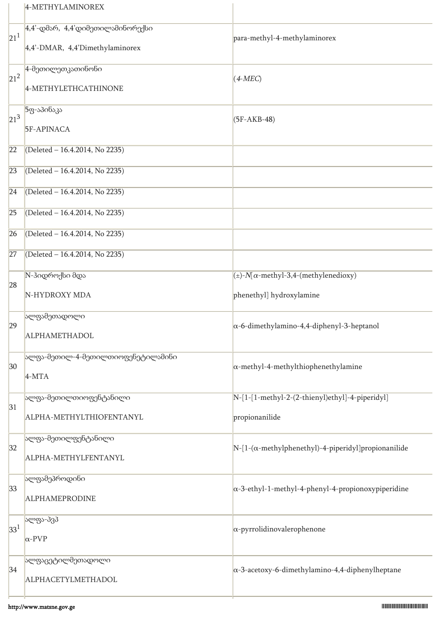|                 | 4-METHYLAMINOREX                                                                          |                                                                   |
|-----------------|-------------------------------------------------------------------------------------------|-------------------------------------------------------------------|
| $\sqrt{21^1}$   | $4.4 - \text{cols}$ რ, $4.4 \text{col}$ ეთილამინორექსი<br>4,4'-DMAR, 4,4'Dimethylaminorex | para-methyl-4-methylaminorex                                      |
| $21^2$          | 4-მეთილეთკათინონი<br>4-METHYLETHCATHINONE                                                 | $(4-MEC)$                                                         |
| $21^3$          | 5ფ-აპინაკა<br>5F-APINACA                                                                  | $(5F-AKB-48)$                                                     |
| 22              | (Deleted - 16.4.2014, No 2235)                                                            |                                                                   |
| 23              | (Deleted - 16.4.2014, No 2235)                                                            |                                                                   |
| 24              | (Deleted - 16.4.2014, No 2235)                                                            |                                                                   |
| 25              | (Deleted - 16.4.2014, No 2235)                                                            |                                                                   |
| 26              | (Deleted - 16.4.2014, No 2235)                                                            |                                                                   |
| 27              | (Deleted - 16.4.2014, No 2235)                                                            |                                                                   |
| 28              | N-ჰიდროქსი მდა                                                                            | $(\pm)$ -N[ $\alpha$ -methyl-3,4-(methylenedioxy)                 |
|                 | N-HYDROXY MDA                                                                             | phenethyl] hydroxylamine                                          |
| 29              | ალფამეთადოლი<br>ALPHAMETHADOL                                                             | $\alpha$ -6-dimethylamino-4,4-diphenyl-3-heptanol                 |
| 30 <sup>°</sup> | ალფა-მეთილ-4-მეთილთიოფენეტილამინი<br>$4-MTA$                                              | $\alpha$ -methyl-4-methylthiophenethylamine                       |
| 31              | ალფა-მეთილთიოფენტანილი<br>ALPHA-METHYLTHIOFENTANYL                                        | N-[1-[1-methyl-2-(2-thienyl)ethyl]-4-piperidyl]<br>propionanilide |
| 32              | ალფა-მეთილფენტანილი<br>ALPHA-METHYLFENTANYL                                               | $N-[1-(\alpha-methylphenethyl)-4-piperidy1]$ propionanilide       |
| 33              | ალფამეპროდინი<br>ALPHAMEPRODINE                                                           | $\alpha$ -3-ethyl-1-methyl-4-phenyl-4-propionoxypiperidine        |
| 33 <sup>1</sup> | ალფა-პვპ<br>$\alpha$ -PVP                                                                 | $\alpha$ -pyrrolidinovalerophenone                                |
| 34              | ალფაცეტილმეთადოლი<br>ALPHACETYLMETHADOL                                                   | $\alpha$ -3-acetoxy-6-dimethylamino-4,4-diphenylheptane           |
|                 |                                                                                           |                                                                   |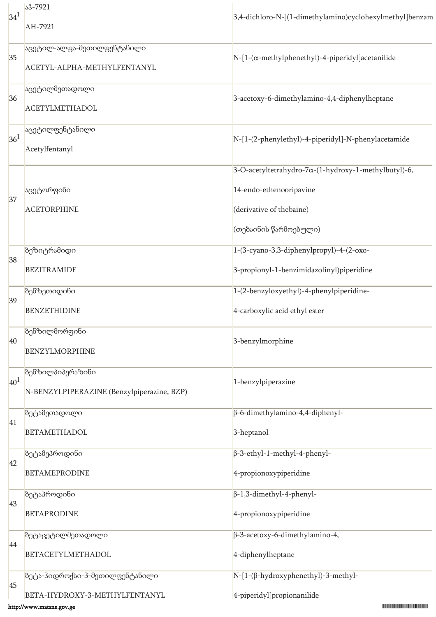| 34 <sup>1</sup>       | 33-7921                                    | 3,4-dichloro-N-[(1-dimethylamino)cyclohexylmethyl]benzam |
|-----------------------|--------------------------------------------|----------------------------------------------------------|
|                       | AH-7921                                    |                                                          |
| 35                    | <mark>აცეტილ-ალფა-მეთილფენტანილი</mark>    | $N-[1-(\alpha-methylphenethyl)-4-piperidyl]acetanilide$  |
|                       | ACETYL-ALPHA-METHYLFENTANYL                |                                                          |
| 36<br>36 <sup>1</sup> | აცეტილმეთადოლი                             | 3-acetoxy-6-dimethylamino-4,4-diphenylheptane            |
|                       | <b>ACETYLMETHADOL</b>                      |                                                          |
|                       | აცეტილფენტანილი                            | N-[1-(2-phenylethyl)-4-piperidyl]-N-phenylacetamide      |
|                       | Acetylfentanyl                             |                                                          |
|                       |                                            | 3-O-acetyltetrahydro-7α-(1-hydroxy-1-methylbutyl)-6,     |
| 37                    | აცეტორფინი                                 | 14-endo-ethenooripavine                                  |
|                       | <b>ACETORPHINE</b>                         | (derivative of thebaine)                                 |
|                       |                                            | (თებაინის წარმოებული)                                    |
| 38                    | ბეზიტრამიდი                                | 1-(3-cyano-3,3-diphenylpropyl)-4-(2-oxo-                 |
|                       | <b>BEZITRAMIDE</b>                         | 3-propionyl-1-benzimidazolinyl)piperidine                |
|                       | ბენზეთიდინი                                | 1-(2-benzyloxyethyl)-4-phenylpiperidine-                 |
| 39                    | <b>BENZETHIDINE</b>                        | 4-carboxylic acid ethyl ester                            |
|                       | ბენზილმორფინი                              |                                                          |
| 40                    | <b>BENZYLMORPHINE</b>                      | 3-benzylmorphine                                         |
| 40 <sup>1</sup>       | <b>ბენზილპიპერაზინი</b>                    |                                                          |
|                       | N-BENZYLPIPERAZINE (Benzylpiperazine, BZP) | 1-benzylpiperazine                                       |
| 41                    | ზეტამეთადოლი                               | $\beta$ -6-dimethylamino-4,4-diphenyl-                   |
|                       | <b>BETAMETHADOL</b>                        | 3-heptanol                                               |
| 42                    | ზეტამეპროდინი                              | $\beta$ -3-ethyl-1-methyl-4-phenyl-                      |
|                       | <b>BETAMEPRODINE</b>                       | 4-propionoxypiperidine                                   |
|                       | ზეტაპროდინი                                | $\beta$ -1,3-dimethyl-4-phenyl-                          |
| 43                    | <b>BETAPRODINE</b>                         | 4-propionoxypiperidine                                   |
|                       | ზეტაცეტილმეთადოლი                          | $\beta$ -3-acetoxy-6-dimethylamino-4,                    |
| 44                    | BETACETYLMETHADOL                          | 4-diphenylheptane                                        |
|                       | ბეტა-ჰიდროქსი-3-მეთილფენტანილი             | N-[1-(β-hydroxyphenethyl)-3-methyl-                      |
| 45                    | BETA-HYDROXY-3-METHYLFENTANYL              | 4-piperidyl]propionanilide                               |
|                       | http://www.matsne.gov.ge                   |                                                          |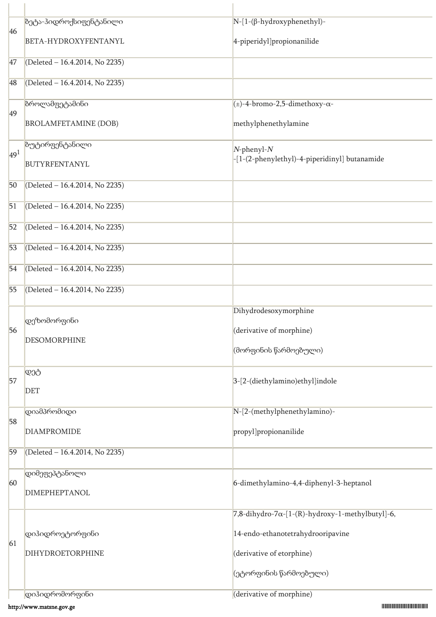|                 | ბეტა-ჰიდროქსიფენტანილი         | $N-[1-(\beta-hydroxyphenethyl)-$                            |
|-----------------|--------------------------------|-------------------------------------------------------------|
| 46              | BETA-HYDROXYFENTANYL           | 4-piperidyl]propionanilide                                  |
| 47              | (Deleted - 16.4.2014, No 2235) |                                                             |
| 48              | (Deleted - 16.4.2014, No 2235) |                                                             |
| 49              | ზროლამფეტამინი                 | $\left(\pm\right)$ -4-bromo-2,5-dimethoxy- $\alpha$ -       |
|                 | <b>BROLAMFETAMINE (DOB)</b>    | methylphenethylamine                                        |
| 49 <sup>1</sup> | ბუტირფენტანილი                 | $N$ -phenyl- $N$                                            |
|                 | BUTYRFENTANYL                  | -[1-(2-phenylethyl)-4-piperidinyl] butanamide               |
| 50              | (Deleted - 16.4.2014, No 2235) |                                                             |
| 51              | (Deleted - 16.4.2014, No 2235) |                                                             |
| 52              | (Deleted - 16.4.2014, No 2235) |                                                             |
| 53              | (Deleted - 16.4.2014, No 2235) |                                                             |
| 54              | (Deleted - 16.4.2014, No 2235) |                                                             |
| 55              | (Deleted - 16.4.2014, No 2235) |                                                             |
|                 | დეზომორფინი                    | Dihydrodesoxymorphine                                       |
| 56              | <b>DESOMORPHINE</b>            | (derivative of morphine)                                    |
|                 |                                | (მორფინის წარმოებული)                                       |
| 57              | დეტ                            | 3-[2-(diethylamino)ethyl]indole                             |
|                 | <b>DET</b>                     |                                                             |
| 58              | დიამპრომიდი                    | N-[2-(methylphenethylamino)-                                |
|                 | <b>DIAMPROMIDE</b>             | propyl]propionanilide                                       |
| 59              | (Deleted - 16.4.2014, No 2235) |                                                             |
| 60              | დიმეფეპტანოლი                  | 6-dimethylamino-4,4-diphenyl-3-heptanol                     |
|                 | DIMEPHEPTANOL                  |                                                             |
|                 |                                | $7,8$ -dihydro-7 $\alpha$ -[1-(R)-hydroxy-1-methylbutyl]-6, |
| 61              | დიჰიდროეტორფინი                | 14-endo-ethanotetrahydrooripavine                           |
|                 | DIHYDROETORPHINE               | (derivative of etorphine)                                   |
|                 |                                | (ეტორფინის წარმოებული)                                      |
|                 | დიჰიდრომორფინი                 | (derivative of morphine)                                    |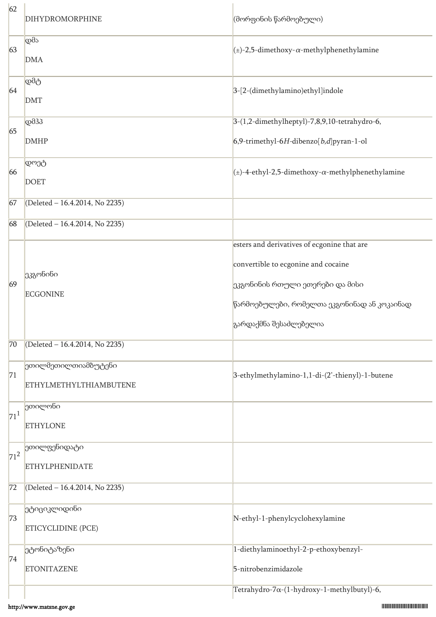| 62              | DIHYDROMORPHINE                                      | (მორფინის წარმოებული)                                                                                                                                                                          |
|-----------------|------------------------------------------------------|------------------------------------------------------------------------------------------------------------------------------------------------------------------------------------------------|
| 63              | დმა<br><b>DMA</b>                                    | $(\pm)$ -2,5-dimethoxy- $\alpha$ -methylphenethylamine                                                                                                                                         |
| 64              | დმტ<br><b>DMT</b>                                    | 3-[2-(dimethylamino)ethyl]indole                                                                                                                                                               |
| 65              | $\overline{\text{co}33}$<br><b>DMHP</b>              | 3-(1,2-dimethylheptyl)-7,8,9,10-tetrahydro-6,<br>6,9-trimethyl-6H-dibenzo $[b,d]$ pyran-1-ol                                                                                                   |
| 66              | დოეტ<br><b>DOET</b>                                  | $\left _{\left(\pm\right)}$ -4-ethyl-2,5-dimethoxy- $\alpha$ -methylphenethylamine                                                                                                             |
| 67              | (Deleted - 16.4.2014, No 2235)                       |                                                                                                                                                                                                |
| 68              | (Deleted - 16.4.2014, No 2235)                       |                                                                                                                                                                                                |
| 69              | ეკგონინი<br><b>ECGONINE</b>                          | esters and derivatives of ecgonine that are<br>convertible to ecgonine and cocaine<br>ეკგონინის რთული ეთერები და მისი<br>წარმოებულები, რომელთა ეკგონინად ან კოკაინად<br>გარდაქმნა შესაძლებელია |
| 70              | (Deleted - 16.4.2014, No 2235)                       |                                                                                                                                                                                                |
| 71              | ეთილმეთილთიამბუტენი<br><b>ETHYLMETHYLTHIAMBUTENE</b> | 3-ethylmethylamino-1,1-di-(2'-thienyl)-1-butene                                                                                                                                                |
| 71 <sup>1</sup> | ეთილონი<br><b>ETHYLONE</b>                           |                                                                                                                                                                                                |
| $71^2$          | <mark>ეთილფენიდა</mark> ტი<br><b>ETHYLPHENIDATE</b>  |                                                                                                                                                                                                |
| 72              | (Deleted - 16.4.2014, No 2235)                       |                                                                                                                                                                                                |
| 73              | ეტიციკლიდინი<br><b>ETICYCLIDINE (PCE)</b>            | N-ethyl-1-phenylcyclohexylamine                                                                                                                                                                |
| 74              | ეტონიტაზენი<br><b>ETONITAZENE</b>                    | 1-diethylaminoethyl-2-p-ethoxybenzyl-<br>5-nitrobenzimidazole                                                                                                                                  |
|                 |                                                      | Tetrahydro-7a-(1-hydroxy-1-methylbutyl)-6,                                                                                                                                                     |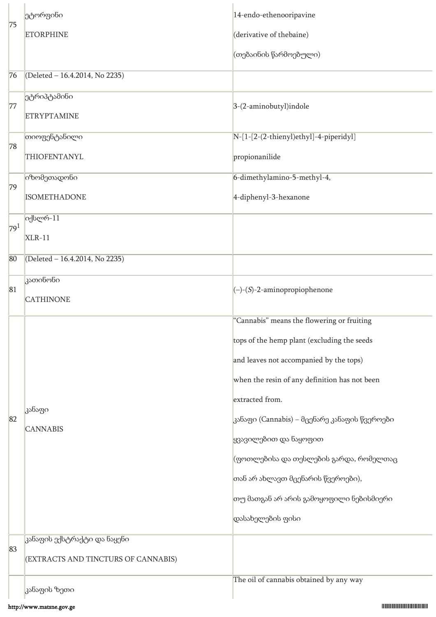| 75              | ეტორფინი                            | 14-endo-ethenooripavine                       |
|-----------------|-------------------------------------|-----------------------------------------------|
|                 | <b>ETORPHINE</b>                    | (derivative of thebaine)                      |
|                 |                                     | (თებაინის წარმოებული)                         |
| 76              | (Deleted - 16.4.2014, No 2235)      |                                               |
| 77              | ეტრიპტამინი                         | 3-(2-aminobutyl)indole                        |
|                 | <b>ETRYPTAMINE</b>                  |                                               |
| 78              | თიოფენტანილი                        | N-[1-[2-(2-thienyl)ethyl]-4-piperidyl]        |
|                 | THIOFENTANYL                        | propionanilide                                |
| 79              | იზომეთადონი                         | 6-dimethylamino-5-methyl-4,                   |
|                 | <b>ISOMETHADONE</b>                 | 4-diphenyl-3-hexanone                         |
| 79 <sup>1</sup> | იქსლრ-11                            |                                               |
|                 | $XLR-11$                            |                                               |
| 80              | (Deleted - 16.4.2014, No 2235)      |                                               |
| 81              | კათინონი                            | $(-)$ - $(S)$ -2-aminopropiophenone           |
|                 | <b>CATHINONE</b>                    |                                               |
|                 | კანაფი<br><b>CANNABIS</b>           | "Cannabis" means the flowering or fruiting    |
|                 |                                     | tops of the hemp plant (excluding the seeds   |
|                 |                                     | and leaves not accompanied by the tops)       |
|                 |                                     | when the resin of any definition has not been |
|                 |                                     | extracted from.                               |
| 82              |                                     | კანაფი (Cannabis) – მცენარე კანაფის წვეროები  |
|                 |                                     | ყვავილებით და ნაყოფით                         |
|                 |                                     | (ფოთლებისა და თესლების გარდა, რომელთაც        |
|                 |                                     | თან არ ახლავთ მცენარის წვეროები),             |
|                 |                                     | თუ მათგან არ არის გამოყოფილი ნებისმიერი       |
|                 |                                     | დასახელების ფისი                              |
| 83              | კანაფის ექსტრაქტი და ნაყენი         |                                               |
|                 | (EXTRACTS AND TINCTURS OF CANNABIS) |                                               |
|                 | კანაფის ზეთი                        | The oil of cannabis obtained by any way       |
|                 |                                     |                                               |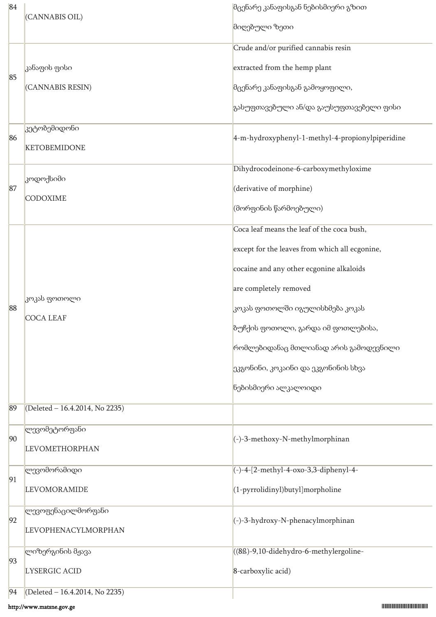| 84 | (CANNABIS OIL)                   | მცენარე კანაფისგან ნებისმიერი გზით               |
|----|----------------------------------|--------------------------------------------------|
|    |                                  | მიღებული ზეთი                                    |
| 85 |                                  | Crude and/or purified cannabis resin             |
|    | კანაფის ფისი                     | extracted from the hemp plant                    |
|    | (CANNABIS RESIN)                 | მცენარე კანაფისგან გამოყოფილი,                   |
|    |                                  | გასუფთავებული ან/და გაუსუფთავებელი ფისი          |
| 86 | კეტობემიდონი                     | 4-m-hydroxyphenyl-1-methyl-4-propionylpiperidine |
|    | <b>KETOBEMIDONE</b>              |                                                  |
|    | კოდოქსიმი                        | Dihydrocodeinone-6-carboxymethyloxime            |
| 87 | <b>CODOXIME</b>                  | (derivative of morphine)                         |
|    |                                  | (მორფინის წარმოებული)                            |
|    |                                  | Coca leaf means the leaf of the coca bush,       |
|    |                                  | except for the leaves from which all ecgonine,   |
|    |                                  | cocaine and any other ecgonine alkaloids         |
|    | კოკას ფოთოლი<br><b>COCA LEAF</b> | are completely removed                           |
| 88 |                                  | კოკას ფოთოლში იგულისხმება კოკას                  |
|    |                                  | ზუჩქის ფოთოლი, გარდა იმ ფოთლებისა,               |
|    |                                  | რომლებიდანაც მთლიანად არის გამოდევნილი           |
|    |                                  | ეკგონინი, კოკაინი და ეკგონინის სხვა              |
|    |                                  | ნებისმიერი ალკალოიდი                             |
| 89 | (Deleted - 16.4.2014, No 2235)   |                                                  |
| 90 | ლევომეტორფანი                    | (-)-3-methoxy-N-methylmorphinan                  |
|    | <b>LEVOMETHORPHAN</b>            |                                                  |
| 91 | ლევომორამიდი                     | (-)-4-[2-methyl-4-oxo-3,3-diphenyl-4-            |
|    | <b>LEVOMORAMIDE</b>              | (1-pyrrolidinyl)butyl]morpholine                 |
| 92 | ლევოფენაცილმორფანი               | $(-)$ -3-hydroxy-N-phenacylmorphinan             |
|    | <b>LEVOPHENACYLMORPHAN</b>       |                                                  |
|    | ლიზერგინის მჟავა                 | ((8fs)-9,10-didehydro-6-methylergoline-          |
| 93 | LYSERGIC ACID                    | 8-carboxylic acid)                               |
| 94 | (Deleted - 16.4.2014, No 2235)   |                                                  |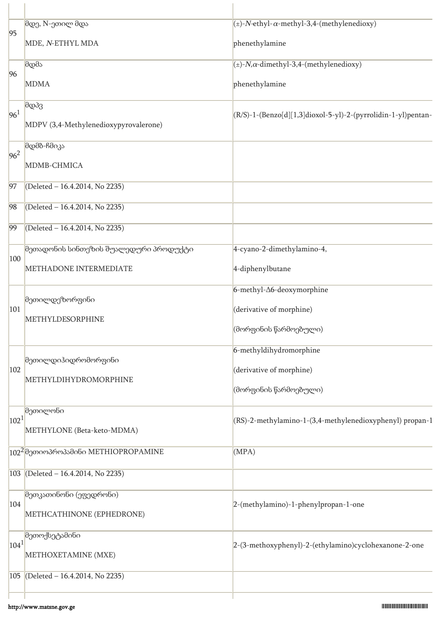| 95              | მდე, N-ეთილ მდა<br>MDE, N-ETHYL MDA                             | $(\pm)$ -N-ethyl- $\alpha$ -methyl-3,4-(methylenedioxy)<br>phenethylamine               |
|-----------------|-----------------------------------------------------------------|-----------------------------------------------------------------------------------------|
| 96              | მდმა<br><b>MDMA</b>                                             | $(\pm)$ -N, $\alpha$ -dimethyl-3,4-(methylenedioxy)<br>phenethylamine                   |
| 96 <sup>1</sup> | მდპვ<br>MDPV (3,4-Methylenedioxypyrovalerone)                   | (R/S)-1-(Benzo[d][1,3]dioxol-5-yl)-2-(pyrrolidin-1-yl)pentan-                           |
| $96^2$          | მდმბ-ჩმიკა<br>MDMB-CHMICA                                       |                                                                                         |
| 97              | (Deleted - 16.4.2014, No 2235)                                  |                                                                                         |
| 98              | (Deleted - 16.4.2014, No 2235)                                  |                                                                                         |
| 99              | (Deleted - 16.4.2014, No 2235)                                  |                                                                                         |
| 100             | მეთადონის სინთეზის შუალედური პროდუქტი<br>METHADONE INTERMEDIATE | 4-cyano-2-dimethylamino-4,<br>4-diphenylbutane                                          |
| 101             | მეთილდეზორფინი<br>METHYLDESORPHINE                              | 6-methyl- $\Delta$ 6-deoxymorphine<br>(derivative of morphine)<br>(მორფინის წარმოებული) |
| 102             | მეთილდიჰიდრომორფინი<br>METHYLDIHYDROMORPHINE                    | 6-methyldihydromorphine<br>(derivative of morphine)<br>(მორფინის წარმოებული)            |
| $ 102^1 $       | <b>მეთილონი</b><br>METHYLONE (Beta-keto-MDMA)                   | (RS)-2-methylamino-1-(3,4-methylenedioxyphenyl) propan-1                                |
|                 | 102 <sup>2</sup> მეთიოპროპამინი METHIOPROPAMINE                 | (MPA)                                                                                   |
| 103             | (Deleted - 16.4.2014, No 2235)                                  |                                                                                         |
| 104             | მეთკათინონი (ეფედრონი)<br>METHCATHINONE (EPHEDRONE)             | 2-(methylamino)-1-phenylpropan-1-one                                                    |
| $ 104^1 $       | მეთოქსეტამინი<br>METHOXETAMINE (MXE)                            | 2-(3-methoxyphenyl)-2-(ethylamino)cyclohexanone-2-one                                   |
| 105             | (Deleted $-16.4.2014$ , No 2235)                                |                                                                                         |
|                 |                                                                 |                                                                                         |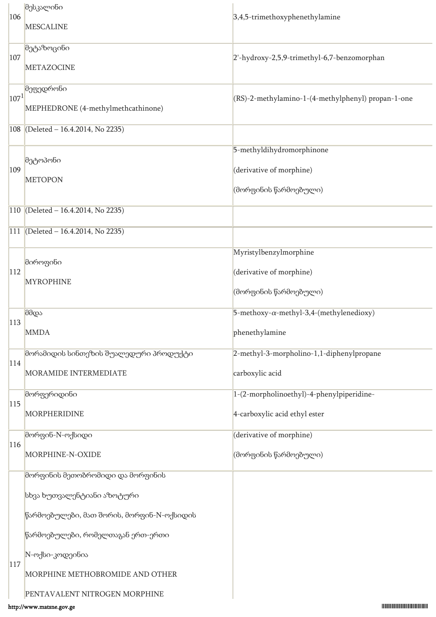| 106            | მესკალინი                                 |                                                     |
|----------------|-------------------------------------------|-----------------------------------------------------|
|                | <b>MESCALINE</b>                          | 3,4,5-trimethoxyphenethylamine                      |
|                | მეტაზოცინი                                |                                                     |
| 107            |                                           | 2'-hydroxy-2,5,9-trimethyl-6,7-benzomorphan         |
|                | <b>METAZOCINE</b>                         |                                                     |
| $ 107^1 $      | მეფედრონი                                 | (RS)-2-methylamino-1-(4-methylphenyl) propan-1-one  |
|                | MEPHEDRONE (4-methylmethcathinone)        |                                                     |
|                | 108 (Deleted $-$ 16.4.2014, No 2235)      |                                                     |
|                |                                           |                                                     |
|                | მეტოპონი                                  | 5-methyldihydromorphinone                           |
| 109            | <b>METOPON</b>                            | (derivative of morphine)                            |
|                |                                           | (მორფინის წარმოებული)                               |
|                | 110 (Deleted – 16.4.2014, No 2235)        |                                                     |
|                | 111 (Deleted – 16.4.2014, No 2235)        |                                                     |
|                |                                           |                                                     |
|                | მიროფინი                                  | Myristylbenzylmorphine                              |
| <sup>112</sup> | <b>MYROPHINE</b>                          | (derivative of morphine)                            |
|                |                                           | (მორფინის წარმოებული)                               |
|                | მმდა                                      | $5$ -methoxy- $\alpha$ -methyl-3,4-(methylenedioxy) |
| 113            | <b>MMDA</b>                               | phenethylamine                                      |
|                |                                           |                                                     |
| 114            | მორამიდის სინთეზის შუალედური პროდუქტი     | 2-methyl-3-morpholino-1,1-diphenylpropane           |
|                | MORAMIDE INTERMEDIATE                     | carboxylic acid                                     |
|                | მორფერიდინი                               | 1-(2-morpholinoethyl)-4-phenylpiperidine-           |
| 115            | <b>MORPHERIDINE</b>                       | 4-carboxylic acid ethyl ester                       |
|                | მორფინ-N-ოქსიდი                           | (derivative of morphine)                            |
| 116            | MORPHINE-N-OXIDE                          | (მორფინის წარმოებული)                               |
|                |                                           |                                                     |
|                | მორფინის მეთობრომიდი და მორფინის          |                                                     |
|                | სხვა ხუთვალენტიანი აზოტური                |                                                     |
|                | წარმოებულები, მათ შორის, მორფინ-N-ოქსიდის |                                                     |
|                | წარმოებულები, რომელთაგან ერთ-ერთი         |                                                     |
| 117            | N-ოქსი-კოდეინია                           |                                                     |
|                | MORPHINE METHOBROMIDE AND OTHER           |                                                     |
|                | PENTAVALENT NITROGEN MORPHINE             |                                                     |
|                | http://www.matsne.gov.ge                  |                                                     |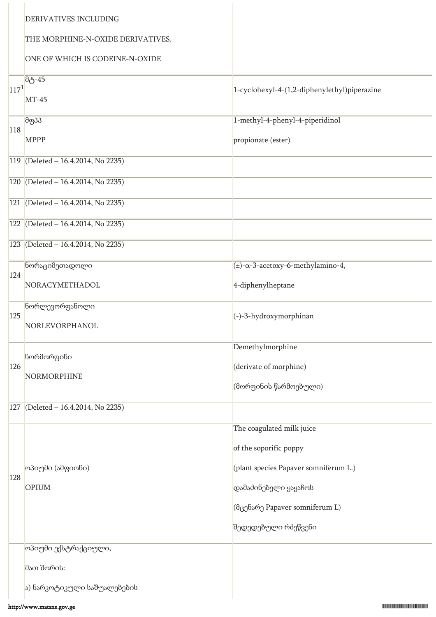|           | DERIVATIVES INCLUDING              |                                                                                                                      |
|-----------|------------------------------------|----------------------------------------------------------------------------------------------------------------------|
|           | THE MORPHINE-N-OXIDE DERIVATIVES,  |                                                                                                                      |
|           | ONE OF WHICH IS CODEINE-N-OXIDE    |                                                                                                                      |
| $117^{1}$ | $\theta_0$ -45<br>$MT-45$          | 1-cyclohexyl-4-(1,2-diphenylethyl)piperazine                                                                         |
| 118       | მფპპ<br><b>MPPP</b>                | 1-methyl-4-phenyl-4-piperidinol<br>propionate (ester)                                                                |
| 119       | (Deleted - 16.4.2014, No 2235)     |                                                                                                                      |
|           | 120 (Deleted - 16.4.2014, No 2235) |                                                                                                                      |
| 121       | (Deleted - 16.4.2014, No 2235)     |                                                                                                                      |
| 122       | (Deleted - 16.4.2014, No 2235)     |                                                                                                                      |
| 123       | (Deleted - 16.4.2014, No 2235)     |                                                                                                                      |
| 124       | წორაციმეთადოლი                     | $(\pm)$ - $\alpha$ -3-acetoxy-6-methylamino-4,                                                                       |
|           | NORACYMETHADOL                     | 4-diphenylheptane                                                                                                    |
| 125       | წორლევორფანოლი<br>NORLEVORPHANOL   | $(-)$ -3-hydroxymorphinan                                                                                            |
| 126       | ნორმორფინი<br>NORMORPHINE          | Demethylmorphine<br>(derivate of morphine)<br>(მორფინის წარმოებული)                                                  |
| 127       | (Deleted - 16.4.2014, No 2235)     |                                                                                                                      |
| 128       | ოპიუმი (ამფიონი)<br>OPIUM          | The coagulated milk juice<br>of the soporific poppy<br>(plant species Papaver somniferum L.)<br>დამაძინებელი ყაყაჩოს |
|           |                                    | (მცენარე Papaver somniferum L)<br>შედედებული რძეწვენი                                                                |
|           | <mark>ოპიუმი ექსტრაქციული,</mark>  |                                                                                                                      |
|           | მათ შორის:                         |                                                                                                                      |
|           | ა) ნარკოტიკული საშუალებების        |                                                                                                                      |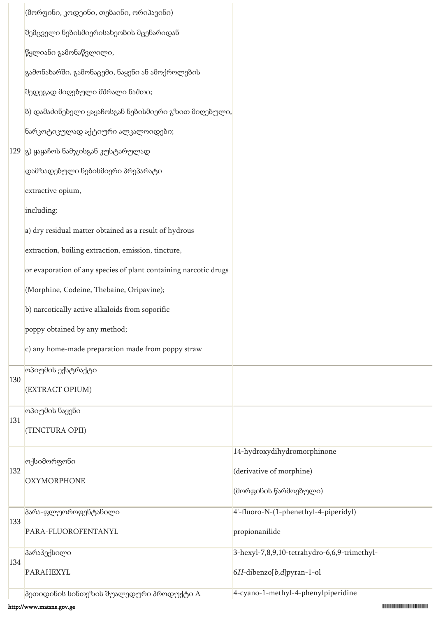|     | (მორფინი, კოდეინი, თებაინი, ორიპავინი)                           |                                              |
|-----|------------------------------------------------------------------|----------------------------------------------|
|     | შემცველი ნებისმიერისახეობის მცენარიდან                           |                                              |
|     | წყლიანი გამონაწვლილი,                                            |                                              |
|     | გამონახარში, გამონაცემი, ნაყენი ან ამოქროლების                   |                                              |
|     | შედეგად მიღებული მშრალი ნაშთი;                                   |                                              |
|     | ბ) დამაძინებელი ყაყაჩოსგან ნებისმიერი გზით მიღებული,             |                                              |
|     | ნარკოტიკულად აქტიური ალკალოიდები;                                |                                              |
|     | $ 129 _8$ ) ყაყაჩოს ნამჯისგან კუსტარულად                         |                                              |
|     | $\left $ დამზადებული ნებისმიერი პრეპარატი                        |                                              |
|     | extractive opium,                                                |                                              |
|     | including:                                                       |                                              |
|     | a) dry residual matter obtained as a result of hydrous           |                                              |
|     | extraction, boiling extraction, emission, tincture,              |                                              |
|     | or evaporation of any species of plant containing narcotic drugs |                                              |
|     | (Morphine, Codeine, Thebaine, Oripavine);                        |                                              |
|     | b) narcotically active alkaloids from soporific                  |                                              |
|     | poppy obtained by any method;                                    |                                              |
|     | $ c\rangle$ any home-made preparation made from poppy straw      |                                              |
|     | ოპიუმის ექსტრაქტი                                                |                                              |
| 130 | (EXTRACT OPIUM)                                                  |                                              |
|     | ოპიუმის ნაყენი                                                   |                                              |
| 131 | (TINCTURA OPII)                                                  |                                              |
|     | ოქსიმორფონი                                                      | 14-hydroxydihydromorphinone                  |
| 132 | <b>OXYMORPHONE</b>                                               | (derivative of morphine)                     |
|     |                                                                  | (მორფინის წარმოებული)                        |
| 133 | პარა-ფლუოროფენტანილი                                             | 4'-fluoro-N-(1-phenethyl-4-piperidyl)        |
|     | PARA-FLUOROFENTANYL                                              | propionanilide                               |
|     | პარაჰექსილი                                                      | 3-hexyl-7,8,9,10-tetrahydro-6,6,9-trimethyl- |
| 134 | <b>PARAHEXYL</b>                                                 | $6H$ -dibenzo $[b,d]$ pyran-1-ol             |
|     | <mark>პეთიდინის სინთეზის შუალედური პროდუქტი A</mark>             | 4-cyano-1-methyl-4-phenylpiperidine          |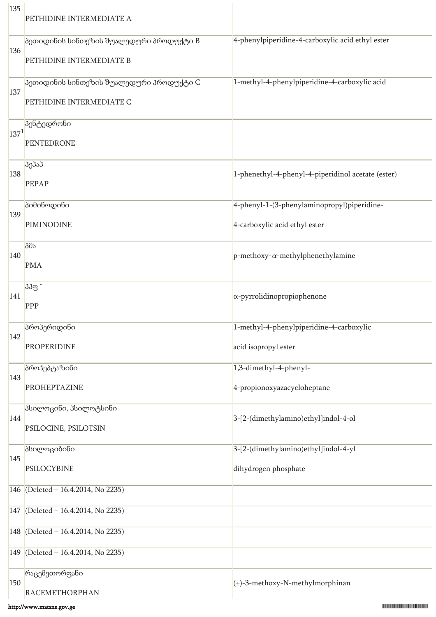| 135     | PETHIDINE INTERMEDIATE A                             |                                                    |
|---------|------------------------------------------------------|----------------------------------------------------|
|         | პეთიდინის სინთეზის შუალედური პროდუქტი B              | 4-phenylpiperidine-4-carboxylic acid ethyl ester   |
| 136     | PETHIDINE INTERMEDIATE B                             |                                                    |
|         | <mark>პეთიდინის სინთეზის შუალედური პროდუქტი C</mark> | 1-methyl-4-phenylpiperidine-4-carboxylic acid      |
| 137     | PETHIDINE INTERMEDIATE C                             |                                                    |
| $137^1$ | <mark>პენტედრონი</mark>                              |                                                    |
|         | <b>PENTEDRONE</b>                                    |                                                    |
| 138     | პეპაპ                                                |                                                    |
|         | PEPAP                                                | 1-phenethyl-4-phenyl-4-piperidinol acetate (ester) |
| 139     | პიმინოდინი                                           | 4-phenyl-1-(3-phenylaminopropyl)piperidine-        |
|         | PIMINODINE                                           | 4-carboxylic acid ethyl ester                      |
| 140     | პმა                                                  | p-methoxy- $\alpha$ -methylphenethylamine          |
|         | <b>PMA</b>                                           |                                                    |
| 141     | პპფ *                                                | $\alpha$ -pyrrolidinopropiophenone                 |
|         | PPP                                                  |                                                    |
| 142     | პროპერიდინი                                          | 1-methyl-4-phenylpiperidine-4-carboxylic           |
|         | PROPERIDINE                                          | acid isopropyl ester                               |
| 143     | პროჰეპტაზინი                                         | 1,3-dimethyl-4-phenyl-                             |
|         | PROHEPTAZINE                                         | 4-propionoxyazacycloheptane                        |
| 144     | პსილოცინი, პსილოტსინი                                | 3-[2-(dimethylamino)ethyl]indol-4-ol               |
|         | PSILOCINE, PSILOTSIN                                 |                                                    |
| 145     | პსილოციბინი                                          | 3-[2-(dimethylamino)ethyl]indol-4-yl               |
|         | PSILOCYBINE                                          | dihydrogen phosphate                               |
|         | 146 (Deleted - 16.4.2014, No 2235)                   |                                                    |
|         | 147 (Deleted - 16.4.2014, No 2235)                   |                                                    |
|         | 148 (Deleted – 16.4.2014, No 2235)                   |                                                    |
|         | 149 (Deleted - 16.4.2014, No 2235)                   |                                                    |
|         | რაცემეთორფანი                                        |                                                    |
| 150     | <b>RACEMETHORPHAN</b>                                | $(\pm)$ -3-methoxy-N-methylmorphinan               |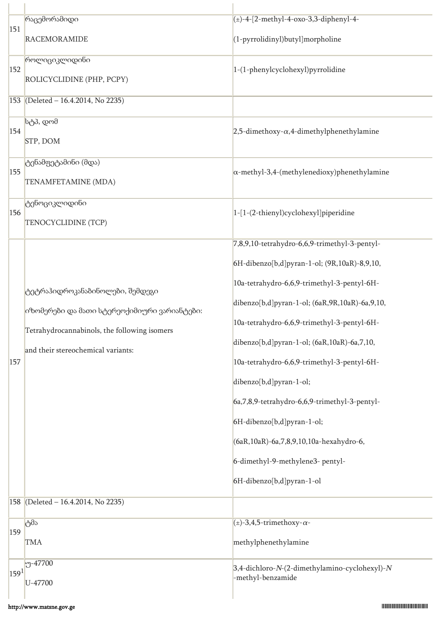| 151       | რაცემორამიდი                                 | $(\pm)$ -4-[2-methyl-4-oxo-3,3-diphenyl-4-          |
|-----------|----------------------------------------------|-----------------------------------------------------|
|           | <b>RACEMORAMIDE</b>                          | (1-pyrrolidinyl)butyl]morpholine                    |
| 152       | როლიციკლიდინი                                | 1-(1-phenylcyclohexyl)pyrrolidine                   |
|           | ROLICYCLIDINE (PHP, PCPY)                    |                                                     |
|           | 153 (Deleted - 16.4.2014, No 2235)           |                                                     |
| 154       | სტპ, დომ                                     | 2,5-dimethoxy- $\alpha$ ,4-dimethylphenethylamine   |
|           | STP, DOM                                     |                                                     |
| 155       | ტენამფეტამინი (მდა)                          | $\alpha$ -methyl-3,4-(methylenedioxy)phenethylamine |
|           | TENAMFETAMINE (MDA)                          |                                                     |
| 156       | ტენოციკლიდინი                                | 1-[1-(2-thienyl)cyclohexyl]piperidine               |
|           | TENOCYCLIDINE (TCP)                          |                                                     |
|           |                                              | 7,8,9,10-tetrahydro-6,6,9-trimethyl-3-pentyl-       |
|           |                                              | 6H-dibenzo[b,d]pyran-1-ol; (9R,10aR)-8,9,10,        |
|           | ტეტრაჰიდროკანაბინოლები, შემდეგი              | 10a-tetrahydro-6,6,9-trimethyl-3-pentyl-6H-         |
|           | იზომერები და მათი სტერეოქიმიური ვარიანტები:  | dibenzo[b,d]pyran-1-ol; (6aR,9R,10aR)-6a,9,10,      |
|           | Tetrahydrocannabinols, the following isomers | 10a-tetrahydro-6,6,9-trimethyl-3-pentyl-6H-         |
|           | and their stereochemical variants:           | dibenzo[b,d]pyran-1-ol; (6aR,10aR)-6a,7,10,         |
| 157       |                                              | 10a-tetrahydro-6,6,9-trimethyl-3-pentyl-6H-         |
|           |                                              | dibenzo[b,d]pyran-1-ol;                             |
|           |                                              | 6a, 7, 8, 9-tetrahydro-6, 6, 9-trimethyl-3-pentyl-  |
|           |                                              | 6H-dibenzo[b,d]pyran-1-ol;                          |
|           |                                              | (6aR, 10aR)-6a, 7, 8, 9, 10, 10a-hexahydro-6,       |
|           |                                              | 6-dimethyl-9-methylene3- pentyl-                    |
|           |                                              | 6H-dibenzo[b,d]pyran-1-ol                           |
| 158       | (Deleted - 16.4.2014, No 2235)               |                                                     |
| 159       | ტმა                                          | $(\pm)$ -3,4,5-trimethoxy- $\alpha$ -               |
|           | <b>TMA</b>                                   | methylphenethylamine                                |
| $159^{1}$ | $-47700$                                     | 3,4-dichloro-N-(2-dimethylamino-cyclohexyl)-N       |
|           | U-47700                                      | -methyl-benzamide                                   |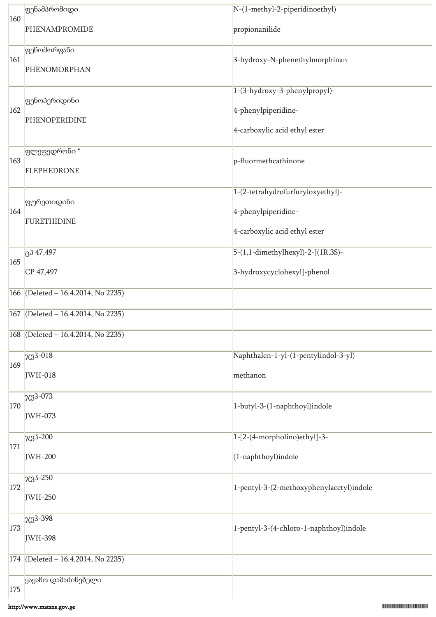|                | ფენამპრომიდი                       | N-(1-methyl-2-piperidinoethyl)           |
|----------------|------------------------------------|------------------------------------------|
| 160            | PHENAMPROMIDE                      | propionanilide                           |
|                | ფენომორფანი                        |                                          |
| 161            | PHENOMORPHAN                       | 3-hydroxy-N-phenethylmorphinan           |
|                |                                    | 1-(3-hydroxy-3-phenylpropyl)-            |
| 162            | <b>ფენოპერიდინი</b>                | 4-phenylpiperidine-                      |
|                | PHENOPERIDINE                      | 4-carboxylic acid ethyl ester            |
|                | ფლეფედრონი *                       |                                          |
| 163            |                                    | p-fluormethcathinone                     |
|                | <b>FLEPHEDRONE</b>                 |                                          |
|                | <mark>ფურეთიდინი</mark>            | 1-(2-tetrahydrofurfuryloxyethyl)-        |
| 164            | <b>FURETHIDINE</b>                 | 4-phenylpiperidine-                      |
|                |                                    | 4-carboxylic acid ethyl ester            |
| 165            | 347,497                            | 5-(1,1-dimethylhexyl)-2-[(1R,3S)-        |
|                | CP 47,497                          | 3-hydroxycyclohexyl]-phenol              |
|                | 166 (Deleted - 16.4.2014, No 2235) |                                          |
|                | 167 (Deleted - 16.4.2014, No 2235) |                                          |
|                | 168 (Deleted - 16.4.2014, No 2235) |                                          |
| 169            | $x3^{3-018}$                       | Naphthalen-1-yl-(1-pentylindol-3-yl)     |
|                | JWH-018                            | methanon                                 |
|                | $\chi$ 3 <sup>3</sup> -073         |                                          |
| 170            | JWH-073                            | 1-butyl-3-(1-naphthoyl)indole            |
|                | $x3^3 - 200$                       | 1-[2-(4-morpholino)ethyl]-3-             |
| <sup>171</sup> | JWH-200                            | (1-naphthoyl)indole                      |
|                | $x3^{3-250}$                       |                                          |
| 172            | JWH-250                            | 1-pentyl-3-(2-methoxyphenylacetyl)indole |
|                | $x3^{3-398}$                       |                                          |
| 173            | JWH-398                            | 1-pentyl-3-(4-chloro-1-naphthoyl)indole  |
|                | 174 (Deleted - 16.4.2014, No 2235) |                                          |
|                | ყაყაჩო დამაძინებელი                |                                          |
| 175            |                                    |                                          |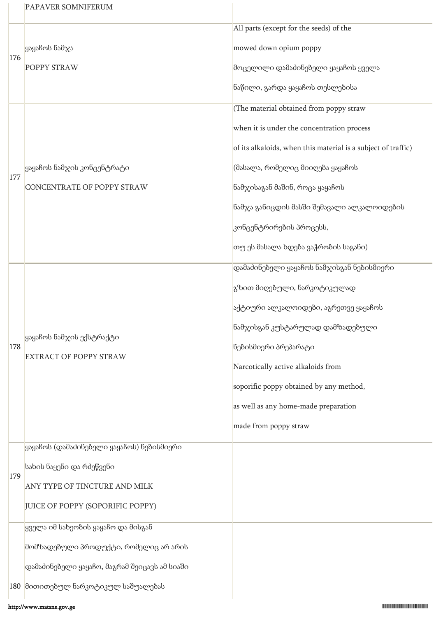|            | <b>PAPAVER SOMNIFERUM</b>                        |                                                               |
|------------|--------------------------------------------------|---------------------------------------------------------------|
|            |                                                  | All parts (except for the seeds) of the                       |
| 176        | ყაყაჩოს ნამჯა                                    | mowed down opium poppy                                        |
|            | POPPY STRAW                                      | მოცელილი დამაძინებელი ყაყაჩოს ყველა                           |
|            |                                                  | ნაწილი, გარდა ყაყაჩოს თესლებისა                               |
|            |                                                  | (The material obtained from poppy straw                       |
|            |                                                  | when it is under the concentration process                    |
|            |                                                  | of its alkaloids, when this material is a subject of traffic) |
| <b>177</b> | ყაყაჩოს ნამჯის კონცენტრატი                       | (მასალა, რომელიც მიიღება ყაყაჩოს                              |
|            | CONCENTRATE OF POPPY STRAW                       | ნამჯისაგან მაშინ, როცა ყაყაჩოს                                |
|            |                                                  | ნამჯა განიცდის მასში შემავალი ალკალოიდების                    |
|            |                                                  | კონცენტრირების პროცესს,                                       |
|            |                                                  | თუ ეს მასალა ხდება ვაჭრობის საგანი)                           |
|            |                                                  | დამაძინებელი ყაყაჩოს ნამჯისგან ნებისმიერი                     |
|            |                                                  | გზით მიღებული, ნარკოტიკულად                                   |
|            |                                                  | აქტიური ალკალოიდები, აგრეთვე ყაყაჩოს                          |
|            | ყაყაჩოს ნამჯის ექსტრაქტი                         | ნამჯისგან კუსტარულად დამზადებული                              |
| 178        | <b>EXTRACT OF POPPY STRAW</b>                    | ნებისმიერი პრეპარატი                                          |
|            |                                                  | Narcotically active alkaloids from                            |
|            |                                                  | soporific poppy obtained by any method,                       |
|            |                                                  | as well as any home-made preparation                          |
|            |                                                  | made from poppy straw                                         |
|            | ყაყაჩოს (დამაძინებელი ყაყაჩოს) ნებისმიერი        |                                                               |
| 179        | სახის ნაყენი და რძეწვენი                         |                                                               |
|            | ANY TYPE OF TINCTURE AND MILK                    |                                                               |
|            | JUICE OF POPPY (SOPORIFIC POPPY)                 |                                                               |
|            | ყველა იმ სახეობის ყაყაჩო და მისგან               |                                                               |
|            | მომზადებული პროდუქტი, რომელიც არ არის            |                                                               |
|            | $ $ დამაძინებელი ყაყაჩო, მაგრამ შეიცავს ამ სიაში |                                                               |
|            | 180 მითითებულ ნარკოტიკულ საშუალებას              |                                                               |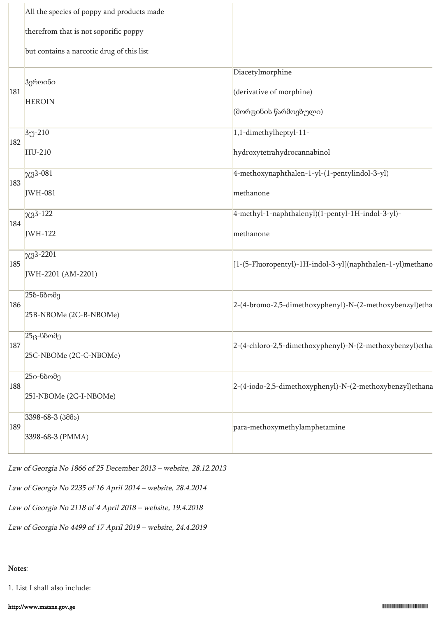|     | All the species of poppy and products made |                                                                       |
|-----|--------------------------------------------|-----------------------------------------------------------------------|
|     | therefrom that is not soporific poppy      |                                                                       |
|     | but contains a narcotic drug of this list  |                                                                       |
| 181 | ჰეროინი<br><b>HEROIN</b>                   | Diacetylmorphine<br>(derivative of morphine)<br>(მორფინის წარმოებული) |
| 182 | 3უ-210                                     | 1,1-dimethylheptyl-11-                                                |
|     | HU-210                                     | hydroxytetrahydrocannabinol                                           |
|     | $x3^{3-081}$                               | 4-methoxynaphthalen-1-yl-(1-pentylindol-3-yl)                         |
| 183 | JWH-081                                    | methanone                                                             |
| 184 | $x3^{3-122}$                               | 4-methyl-1-naphthalenyl)(1-pentyl-1H-indol-3-yl)-                     |
|     | JWH-122                                    | methanone                                                             |
| 185 | $x3^{3-2201}$<br>JWH-2201 (AM-2201)        | [1-(5-Fluoropentyl)-1H-indol-3-yl](naphthalen-1-yl)methano            |
|     | 25ბ-ნბომე                                  |                                                                       |
| 186 | 25B-NBOMe (2C-B-NBOMe)                     | 2-(4-bromo-2,5-dimethoxyphenyl)-N-(2-methoxybenzyl)etha               |
| 187 | $25$ ც-ნბომე                               | 2-(4-chloro-2,5-dimethoxyphenyl)-N-(2-methoxybenzyl)etha              |
|     | 25C-NBOMe (2C-C-NBOMe)                     |                                                                       |
| 188 | 25ი-ნბომე                                  | 2-(4-iodo-2,5-dimethoxyphenyl)-N-(2-methoxybenzyl)ethana              |
|     | 25I-NBOMe (2C-I-NBOMe)                     |                                                                       |
|     | $3398 - 68 - 3(300)$                       |                                                                       |
| 189 | 3398-68-3 (PMMA)                           | para-methoxymethylamphetamine                                         |
|     |                                            |                                                                       |

Law of Georgia No 1866 of 25 December 2013 – website, 28.12.2013

Law of Georgia No 2235 of 16 April 2014 – website, 28.4.2014

Law of Georgia No 2118 of 4 April 2018 – website, 19.4.2018

Law of Georgia No 4499 of 17 April 2019 – website, 24.4.2019

# Notes:

1. List I shall also include: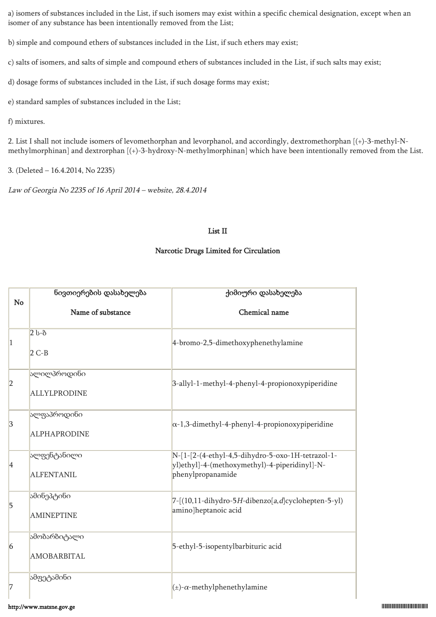a) isomers of substances included in the List, if such isomers may exist within a specific chemical designation, except when an isomer of any substance has been intentionally removed from the List;

b) simple and compound ethers of substances included in the List, if such ethers may exist;

c) salts of isomers, and salts of simple and compound ethers of substances included in the List, if such salts may exist;

d) dosage forms of substances included in the List, if such dosage forms may exist;

e) standard samples of substances included in the List;

f) mixtures.

2. List I shall not include isomers of levomethorphan and levorphanol, and accordingly, dextromethorphan [(+)-3-methyl-Nmethylmorphinan] and dextrorphan [(+)-3-hydroxy-N-methylmorphinan] which have been intentionally removed from the List.

3. (Deleted – 16.4.2014, No 2235)

Law of Georgia No 2235 of 16 April 2014 – website, 28.4.2014

#### List II

#### Narcotic Drugs Limited for Circulation

|                 | ნივთიერების დასახელება             | ქიმიური დასახელება                                                                                                      |
|-----------------|------------------------------------|-------------------------------------------------------------------------------------------------------------------------|
| <b>No</b>       | Name of substance                  | Chemical name                                                                                                           |
| $\vert$ 1       | $2b-8$<br>$2 C-B$                  | 4-bromo-2,5-dimethoxyphenethylamine                                                                                     |
| 2               | ალილპროდინი<br><b>ALLYLPRODINE</b> | 3-allyl-1-methyl-4-phenyl-4-propionoxypiperidine                                                                        |
| 3               | ალფაპროდინი<br><b>ALPHAPRODINE</b> | $\alpha$ -1,3-dimethyl-4-phenyl-4-propionoxypiperidine                                                                  |
| 4               | ალფენტანილი<br><b>ALFENTANIL</b>   | N-[1-[2-(4-ethyl-4,5-dihydro-5-oxo-1H-tetrazol-1-<br>yl)ethyl]-4-(methoxymethyl)-4-piperidinyl]-N-<br>phenylpropanamide |
| 5               | ამინეპტინი<br><b>AMINEPTINE</b>    | $7-[(10,11-dihydro-5H-dibenzo[a,d]cyclohepten-5-y])$<br>amino]heptanoic acid                                            |
| $\vert 6 \vert$ | ამობარბიტალი<br>AMOBARBITAL        | 5-ethyl-5-isopentylbarbituric acid                                                                                      |
| 7               | ამფეტამინი                         | $(\pm)$ - $\alpha$ -methylphenethylamine                                                                                |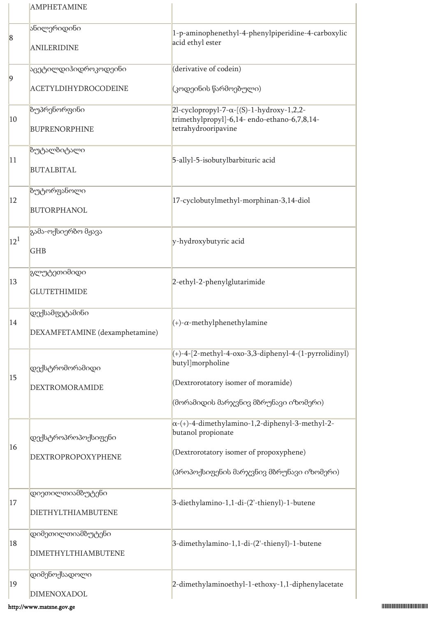|                 | <b>AMPHETAMINE</b>                               |                                                                                                                                                                      |
|-----------------|--------------------------------------------------|----------------------------------------------------------------------------------------------------------------------------------------------------------------------|
| $\bf{8}$        | ანილერიდინი<br><b>ANILERIDINE</b>                | 1-p-aminophenethyl-4-phenylpiperidine-4-carboxylic<br>acid ethyl ester                                                                                               |
| $\overline{9}$  | <mark>აცეტილდიჰიდროკოდეინი</mark>                | (derivative of codein)                                                                                                                                               |
|                 | <b>ACETYLDIHYDROCODEINE</b>                      | (კოდეინის წარმოებული)                                                                                                                                                |
| 10              | ბუპრენორფინი<br><b>BUPRENORPHINE</b>             | $2l$ -cyclopropyl-7- $\alpha$ -[(S)-1-hydroxy-1,2,2-<br>trimethylpropyl]-6,14- endo-ethano-6,7,8,14-<br>tetrahydrooripavine                                          |
| 11              | ზუტალბიტალი<br><b>BUTALBITAL</b>                 | 5-allyl-5-isobutylbarbituric acid                                                                                                                                    |
| $ 12\rangle$    | ბუტორფანოლი<br><b>BUTORPHANOL</b>                | 17-cyclobutylmethyl-morphinan-3,14-diol                                                                                                                              |
| 12 <sup>1</sup> | გამა-ოქსიერბო მჟავა<br><b>GHB</b>                | y-hydroxybutyric acid                                                                                                                                                |
| 13              | გლუტეთიმიდი<br><b>GLUTETHIMIDE</b>               | 2-ethyl-2-phenylglutarimide                                                                                                                                          |
| 14              | დექსამფეტამინი<br>DEXAMFETAMINE (dexamphetamine) | $(+)$ - $\alpha$ -methylphenethylamine                                                                                                                               |
| 15              | დექსტრომორამიდი                                  | $(+)$ -4-[2-methyl-4-oxo-3,3-diphenyl-4-(1-pyrrolidinyl)<br>butyl]morpholine                                                                                         |
|                 | DEXTROMORAMIDE                                   | (Dextrorotatory isomer of moramide)<br>(მორამიდის მარჯვნივ მბრუნავი იზომერი)                                                                                         |
| 16              | დექსტროპროპოქსიფენი<br>DEXTROPROPOXYPHENE        | $\alpha$ -(+)-4-dimethylamino-1,2-diphenyl-3-methyl-2-<br>butanol propionate<br>(Dextrorotatory isomer of propoxyphene)<br>(პროპოქსიფენის მარჯვნივ მბრუნავი იზომერი) |
| <sup>17</sup>   | დიეთილთიამბუტენი<br>DIETHYLTHIAMBUTENE           | 3-diethylamino-1,1-di-(2'-thienyl)-1-butene                                                                                                                          |
| 18              | დიმეთილთიამბუტენი<br>DIMETHYLTHIAMBUTENE         | 3-dimethylamino-1,1-di-(2'-thienyl)-1-butene                                                                                                                         |
| 19              | დიმენოქსადოლი<br>DIMENOXADOL                     | 2-dimethylaminoethyl-1-ethoxy-1,1-diphenylacetate                                                                                                                    |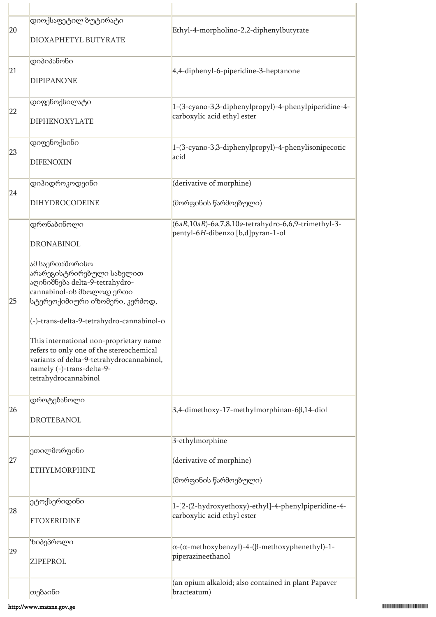| 20 | დიოქსაფეტილ ბუტირატი<br>DIOXAPHETYL BUTYRATE                                                                                                                                                                                                                                                                                                                                                                            | Ethyl-4-morpholino-2,2-diphenylbutyrate                                                      |
|----|-------------------------------------------------------------------------------------------------------------------------------------------------------------------------------------------------------------------------------------------------------------------------------------------------------------------------------------------------------------------------------------------------------------------------|----------------------------------------------------------------------------------------------|
| 21 | დიპიპანონი<br><b>DIPIPANONE</b>                                                                                                                                                                                                                                                                                                                                                                                         | 4,4-diphenyl-6-piperidine-3-heptanone                                                        |
| 22 | დიფენოქსილატი<br><b>DIPHENOXYLATE</b>                                                                                                                                                                                                                                                                                                                                                                                   | 1-(3-cyano-3,3-diphenylpropyl)-4-phenylpiperidine-4-<br>carboxylic acid ethyl ester          |
| 23 | დიფენოქსინი<br><b>DIFENOXIN</b>                                                                                                                                                                                                                                                                                                                                                                                         | 1-(3-cyano-3,3-diphenylpropyl)-4-phenylisonipecotic<br>acid                                  |
| 24 | დიჰიდროკოდეინი<br>DIHYDROCODEINE                                                                                                                                                                                                                                                                                                                                                                                        | (derivative of morphine)<br>(მორფინის წარმოებული)                                            |
| 25 | დრონაბინოლი<br><b>DRONABINOL</b><br>ამ საერთაშორისო<br>არარეგისტრირებული სახელით<br>აღინიშნება delta-9-tetrahydro-<br>cannabinol-ის მხოლოდ ერთი<br>სტერეოქიმიური იზომერი, კერძოდ,<br>(-)-trans-delta-9-tetrahydro-cannabinol-o<br>This international non-proprietary name<br>refers to only one of the stereochemical<br>variants of delta-9-tetrahydrocannabinol,<br>namely (-)-trans-delta-9-<br>tetrahydrocannabinol | $(6aR, 10aR)$ -6a,7,8,10a-tetrahydro-6,6,9-trimethyl-3-<br>pentyl-6H-dibenzo [b,d]pyran-1-ol |
| 26 | დროტებანოლი<br><b>DROTEBANOL</b>                                                                                                                                                                                                                                                                                                                                                                                        | 3,4-dimethoxy-17-methylmorphinan-6β,14-diol                                                  |
| 27 | ეთილმორფინი<br><b>ETHYLMORPHINE</b>                                                                                                                                                                                                                                                                                                                                                                                     | 3-ethylmorphine<br>(derivative of morphine)<br>(მორფინის წარმოებული)                         |
| 28 | ეტოქსერიდინი<br><b>ETOXERIDINE</b>                                                                                                                                                                                                                                                                                                                                                                                      | 1-[2-(2-hydroxyethoxy)-ethyl]-4-phenylpiperidine-4-<br>carboxylic acid ethyl ester           |
| 29 | ზიპეპროლი<br><b>ZIPEPROL</b>                                                                                                                                                                                                                                                                                                                                                                                            | $\alpha$ -( $\alpha$ -methoxybenzyl)-4-( $\beta$ -methoxyphenethyl)-1-<br>piperazineethanol  |
|    | თებაინი                                                                                                                                                                                                                                                                                                                                                                                                                 | (an opium alkaloid; also contained in plant Papaver<br>bracteatum)                           |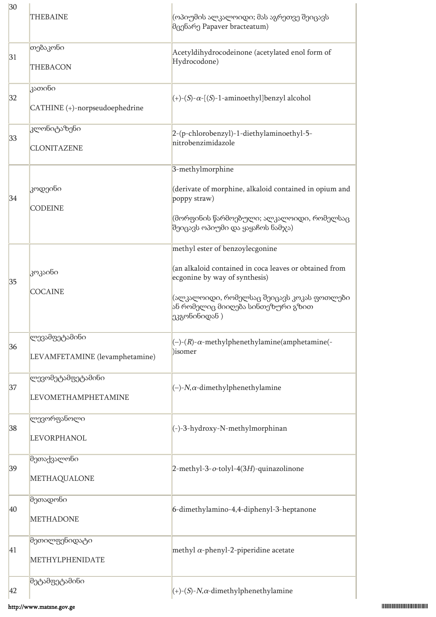| 30 | <b>THEBAINE</b>                                 | (ოპიუმის ალკალოიდი; მას აგრეთვე შეიცავს<br>მცენარე Papaver bracteatum)                                                                                                                                                        |
|----|-------------------------------------------------|-------------------------------------------------------------------------------------------------------------------------------------------------------------------------------------------------------------------------------|
| 31 | თებაკონი<br><b>THEBACON</b>                     | Acetyldihydrocodeinone (acetylated enol form of<br>Hydrocodone)                                                                                                                                                               |
| 32 | კათინი<br>CATHINE (+)-norpseudoephedrine        | $\vert (+)$ - $(S)$ - $\alpha$ - $[(S)$ -1-aminoethyl]benzyl alcohol                                                                                                                                                          |
| 33 | კლონიტაზენი<br><b>CLONITAZENE</b>               | 2-(p-chlorobenzyl)-1-diethylaminoethyl-5-<br>nitrobenzimidazole                                                                                                                                                               |
| 34 | კოდეინი<br><b>CODEINE</b>                       | 3-methylmorphine<br>(derivate of morphine, alkaloid contained in opium and<br>poppy straw)<br>(მორფინის წარმოებული; ალკალოიდი, რომელსაც<br>შეიცავს ოპიუმი და ყაყაჩოს ნამჯა)                                                   |
| 35 | კოკაინი<br><b>COCAINE</b>                       | methyl ester of benzoylecgonine<br>(an alkaloid contained in coca leaves or obtained from<br>ecgonine by way of synthesis)<br>(ალკალოიდი, რომელსაც შეიცავს კოკას ფოთლები<br>ან რომელიც მიიღება სინთეზური გზით<br>ეკგონინიდან) |
| 36 | ლევამფეტამინი<br>LEVAMFETAMINE (levamphetamine) | $(-)$ - $(R)$ - $\alpha$ -methylphenethylamine(amphetamine(-<br>)isomer                                                                                                                                                       |
| 37 | ლევომეტამფეტამინი<br><b>LEVOMETHAMPHETAMINE</b> | $(-)$ -N, $\alpha$ -dimethylphenethylamine                                                                                                                                                                                    |
| 38 | ლევორფანოლი<br><b>LEVORPHANOL</b>               | (-)-3-hydroxy-N-methylmorphinan                                                                                                                                                                                               |
| 39 | მეთაქვალონი<br>METHAQUALONE                     | 2-methyl-3-o-tolyl-4(3H)-quinazolinone                                                                                                                                                                                        |
| 40 | მეთადონი<br><b>METHADONE</b>                    | 6-dimethylamino-4,4-diphenyl-3-heptanone                                                                                                                                                                                      |
| 41 | მეთილფენიდატი<br>METHYLPHENIDATE                | methyl $\alpha$ -phenyl-2-piperidine acetate                                                                                                                                                                                  |
| 42 | მეტამფეტამინი                                   | $(+)$ - $(S)$ - $N, \alpha$ -dimethylphenethylamine                                                                                                                                                                           |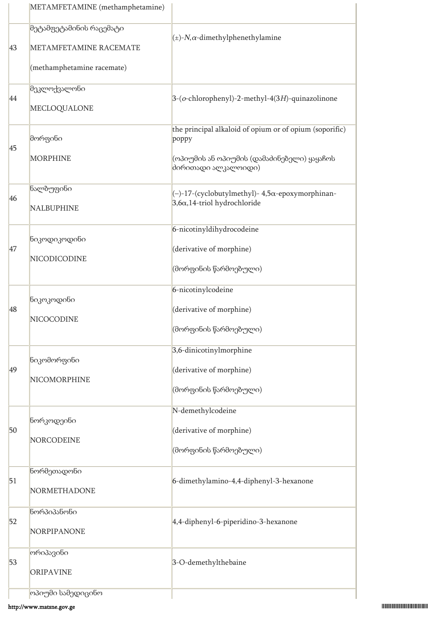|    | METAMFETAMINE (methamphetamine)                                                 |                                                                                                                                       |
|----|---------------------------------------------------------------------------------|---------------------------------------------------------------------------------------------------------------------------------------|
| 43 | მეტამფეტამინის რაცემატი<br>METAMFETAMINE RACEMATE<br>(methamphetamine racemate) | $(\pm)$ -N, $\alpha$ -dimethylphenethylamine                                                                                          |
| 44 | მეკლოქვალონი<br>MECLOQUALONE                                                    | 3-(o-chlorophenyl)-2-methyl-4(3H)-quinazolinone                                                                                       |
| 45 | მორფინი<br><b>MORPHINE</b>                                                      | the principal alkaloid of opium or of opium (soporific)<br>poppy<br>(ოპიუმის ან ოპიუმის (დამაძინებელი) ყაყაჩოს<br>ძირითადი ალკალოიდი) |
| 46 | ნალბუფინი<br><b>NALBUPHINE</b>                                                  | (-)-17-(cyclobutylmethyl)- 4,5α-epoxymorphinan-<br>$3,6\alpha,14$ -triol hydrochloride                                                |
| 47 | ნიკოდიკოდინი<br>NICODICODINE                                                    | 6-nicotinyldihydrocodeine<br>(derivative of morphine)<br>(მორფინის წარმოებული)                                                        |
| 48 | ნიკოკოდინი<br>NICOCODINE                                                        | 6-nicotinylcodeine<br>(derivative of morphine)<br> (მორფინის წარმოებული)                                                              |
| 49 | ნიკომორფინი<br>NICOMORPHINE                                                     | 3,6-dinicotinylmorphine<br>(derivative of morphine)<br>(მორფინის წარმოებული)                                                          |
| 50 | ნორკოდეინი<br>NORCODEINE                                                        | N-demethylcodeine<br>(derivative of morphine)<br>(მორფინის წარმოებული)                                                                |
| 51 | ნორმეთადონი<br>NORMETHADONE                                                     | 6-dimethylamino-4,4-diphenyl-3-hexanone                                                                                               |
| 52 | წორპიპანონი<br>NORPIPANONE                                                      | 4,4-diphenyl-6-piperidino-3-hexanone                                                                                                  |
| 53 | ორიპავინი<br><b>ORIPAVINE</b>                                                   | 3-O-demethylthebaine                                                                                                                  |
|    | ოპიუმი სამედიცინო                                                               |                                                                                                                                       |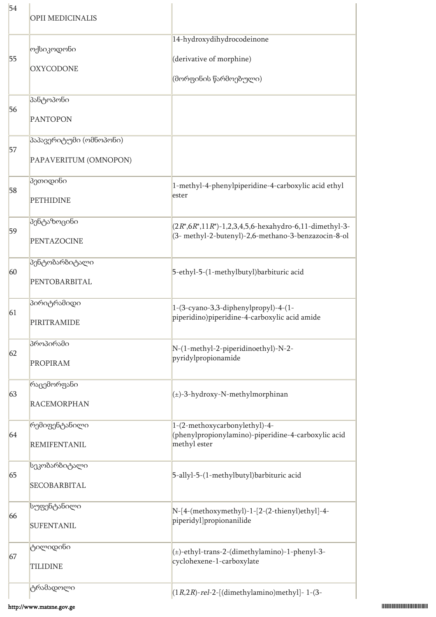| 54 | OPII MEDICINALIS                                 |                                                                                                                      |
|----|--------------------------------------------------|----------------------------------------------------------------------------------------------------------------------|
| 55 | ოქსიკოდონი<br><b>OXYCODONE</b>                   | 14-hydroxydihydrocodeinone<br>(derivative of morphine)<br>(მორფინის წარმოებული)                                      |
| 56 | პანტოპონი<br><b>PANTOPON</b>                     |                                                                                                                      |
| 57 | პაპავერიტუმი (ომნოპონი)<br>PAPAVERITUM (OMNOPON) |                                                                                                                      |
| 58 | პეთიდინი<br><b>PETHIDINE</b>                     | 1-methyl-4-phenylpiperidine-4-carboxylic acid ethyl<br>ester                                                         |
| 59 | პენტაზოცინი<br>PENTAZOCINE                       | $(2R^*, 6R^*, 11R^*)$ -1,2,3,4,5,6-hexahydro-6,11-dimethyl-3-<br>(3- methyl-2-butenyl)-2,6-methano-3-benzazocin-8-ol |
| 60 | პენტობარბიტალი<br>PENTOBARBITAL                  | 5-ethyl-5-(1-methylbutyl)barbituric acid                                                                             |
| 61 | პირიტრამიდი<br>PIRITRAMIDE                       | 1-(3-cyano-3,3-diphenylpropyl)-4-(1-<br>piperidino)piperidine-4-carboxylic acid amide                                |
| 62 | პროპირამი<br><b>PROPIRAM</b>                     | N-(1-methyl-2-piperidinoethyl)-N-2-<br>pyridylpropionamide                                                           |
| 63 | რაცემორფანი<br><b>RACEMORPHAN</b>                | $(\pm)$ -3-hydroxy-N-methylmorphinan                                                                                 |
| 64 | რემიფენტანილი<br><b>REMIFENTANIL</b>             | 1-(2-methoxycarbonylethyl)-4-<br>(phenylpropionylamino)-piperidine-4-carboxylic acid<br>methyl ester                 |
| 65 | სეკობარბიტალი<br>SECOBARBITAL                    | 5-allyl-5-(1-methylbutyl)barbituric acid                                                                             |
| 66 | სუფენტანილი<br><b>SUFENTANIL</b>                 | N-[4-(methoxymethyl)-1-[2-(2-thienyl)ethyl]-4-<br>piperidyl]propionanilide                                           |
| 67 | ტილიდინი<br><b>TILIDINE</b>                      | (±)-ethyl-trans-2-(dimethylamino)-1-phenyl-3-<br>cyclohexene-1-carboxylate                                           |
|    | ტრამადოლი                                        | $(1R,2R)$ -rel-2-[(dimethylamino)methyl]-1-(3-                                                                       |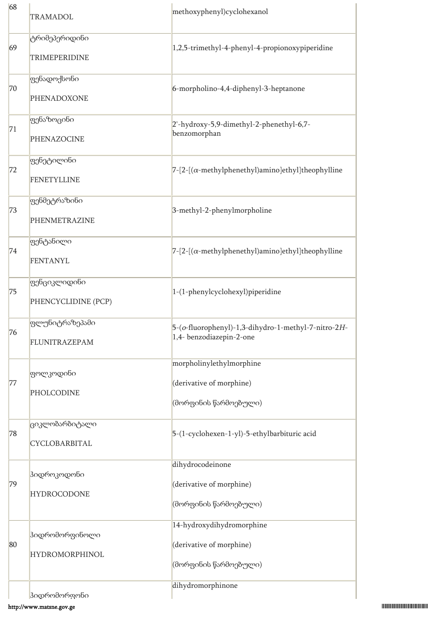| 68 | <b>TRAMADOL</b>                                | methoxyphenyl)cyclohexanol                                                      |
|----|------------------------------------------------|---------------------------------------------------------------------------------|
| 69 | ტრიმეპერიდინი<br>TRIMEPERIDINE                 | 1,2,5-trimethyl-4-phenyl-4-propionoxypiperidine                                 |
| 70 | ფენადოქსონი<br>PHENADOXONE                     | 6-morpholino-4,4-diphenyl-3-heptanone                                           |
| 71 | ფენაზოცინი<br>PHENAZOCINE                      | 2'-hydroxy-5,9-dimethyl-2-phenethyl-6,7-<br>benzomorphan                        |
| 72 | ფენეტილინი<br><b>FENETYLLINE</b>               | $7-[2-[(\alpha-methylphenethyl)amino]ethyl]$ theophylline                       |
| 73 | ფენმეტრაზინი<br>PHENMETRAZINE                  | 3-methyl-2-phenylmorpholine                                                     |
| 74 | ფენტანილი<br><b>FENTANYL</b>                   | $7-[2-[(\alpha-methylphenethyl)amino]ethyl]$ theophylline                       |
| 75 | ფენციკლიდინი<br>PHENCYCLIDINE (PCP)            | 1-(1-phenylcyclohexyl)piperidine                                                |
| 76 | ფლუნიტრაზეპამი<br>FLUNITRAZEPAM                | 5-(o-fluorophenyl)-1,3-dihydro-1-methyl-7-nitro-2H-<br>1,4- benzodiazepin-2-one |
| 77 | <mark>ფოლკოდინი</mark><br>PHOLCODINE           | morpholinylethylmorphine<br>(derivative of morphine)<br>(მორფინის წარმოებული)   |
| 78 | ციკლობარბიტალი<br>CYCLOBARBITAL                | 5-(1-cyclohexen-1-yl)-5-ethylbarbituric acid                                    |
| 79 | ჰიდროკოდონი<br><b>HYDROCODONE</b>              | dihydrocodeinone<br>(derivative of morphine)<br>(მორფინის წარმოებული)           |
| 80 | <b>ჰიდრომორფინოლი</b><br><b>HYDROMORPHINOL</b> | 14-hydroxydihydromorphine<br>(derivative of morphine)<br>(მორფინის წარმოებული)  |
|    | <b>კიდრომორფონი</b>                            | dihydromorphinone                                                               |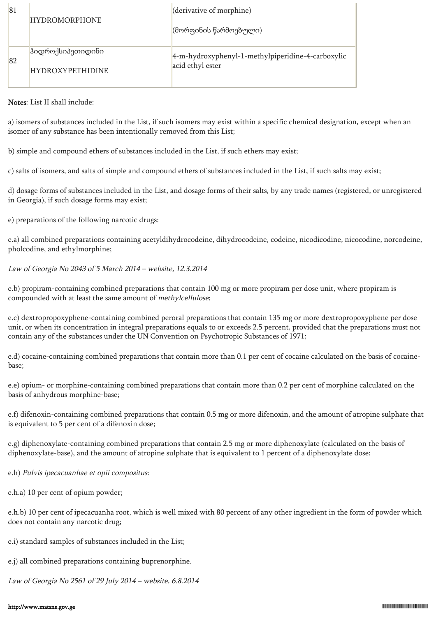| 81 | <b>HYDROMORPHONE</b>    | (derivative of morphine)                          |
|----|-------------------------|---------------------------------------------------|
|    |                         | (მორფინის წარმოებული)                             |
| 82 | პიდროქსიპეთიდინი        | 4-m-hydroxyphenyl-1-methylpiperidine-4-carboxylic |
|    | <b>HYDROXYPETHIDINE</b> | acid ethyl ester                                  |

Notes: List II shall include:

a) isomers of substances included in the List, if such isomers may exist within a specific chemical designation, except when an isomer of any substance has been intentionally removed from this List;

b) simple and compound ethers of substances included in the List, if such ethers may exist;

c) salts of isomers, and salts of simple and compound ethers of substances included in the List, if such salts may exist;

d) dosage forms of substances included in the List, and dosage forms of their salts, by any trade names (registered, or unregistered in Georgia), if such dosage forms may exist;

e) preparations of the following narcotic drugs:

e.a) all combined preparations containing acetyldihydrocodeine, dihydrocodeine, codeine, nicodicodine, nicocodine, norcodeine, pholcodine, and ethylmorphine;

Law of Georgia No 2043 of 5 March 2014 – website, 12.3.2014

e.b) propiram-containing combined preparations that contain 100 mg or more propiram per dose unit, where propiram is compounded with at least the same amount of methylcellulose;

e.c) dextropropoxyphene-containing combined peroral preparations that contain 135 mg or more dextropropoxyphene per dose unit, or when its concentration in integral preparations equals to or exceeds 2.5 percent, provided that the preparations must not contain any of the substances under the UN Convention on Psychotropic Substances of 1971;

e.d) cocaine-containing combined preparations that contain more than 0.1 per cent of cocaine calculated on the basis of cocainebase;

e.e) opium- or morphine-containing combined preparations that contain more than 0.2 per cent of morphine calculated on the basis of anhydrous morphine-base;

e.f) difenoxin-containing combined preparations that contain 0.5 mg or more difenoxin, and the amount of atropine sulphate that is equivalent to 5 per cent of a difenoxin dose;

e.g) diphenoxylate-containing combined preparations that contain 2.5 mg or more diphenoxylate (calculated on the basis of diphenoxylate-base), and the amount of atropine sulphate that is equivalent to 1 percent of a diphenoxylate dose;

e.h) Pulvis ipecacuanhae et opii compositus:

e.h.a) 10 per cent of opium powder;

e.h.b) 10 per cent of ipecacuanha root, which is well mixed with 80 percent of any other ingredient in the form of powder which does not contain any narcotic drug;

e.i) standard samples of substances included in the List;

e.j) all combined preparations containing buprenorphine.

Law of Georgia No 2561 of 29 July 2014 – website, 6.8.2014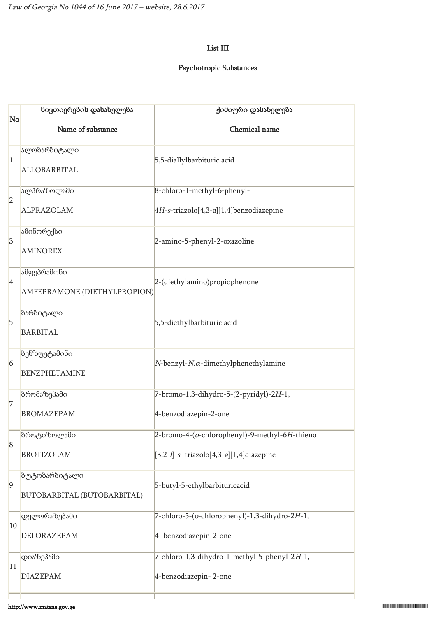# List III

# Psychotropic Substances

|                 | ნივთიერების დასახელება                       | ქიმიური დასახელება                                                                                                      |  |  |  |  |
|-----------------|----------------------------------------------|-------------------------------------------------------------------------------------------------------------------------|--|--|--|--|
| No              | Name of substance                            | Chemical name                                                                                                           |  |  |  |  |
| $\vert$ 1       | ალობარბიტალი<br>ALLOBARBITAL                 | 5,5-diallylbarbituric acid                                                                                              |  |  |  |  |
| 2               | ალპრაზოლამი                                  | 8-chloro-1-methyl-6-phenyl-                                                                                             |  |  |  |  |
|                 | ALPRAZOLAM                                   | 4H-s-triazolo[4,3-a][1,4]benzodiazepine                                                                                 |  |  |  |  |
| $\vert 3 \vert$ | ამინორექსი<br><b>AMINOREX</b>                | 2-amino-5-phenyl-2-oxazoline                                                                                            |  |  |  |  |
| 4               | ამფეპრამონი<br>AMFEPRAMONE (DIETHYLPROPION)  | 2-(diethylamino)propiophenone                                                                                           |  |  |  |  |
| $\overline{5}$  | ბარბიტალი<br><b>BARBITAL</b>                 | 5,5-diethylbarbituric acid                                                                                              |  |  |  |  |
| $6\overline{6}$ | ბენზფეტამინი<br><b>BENZPHETAMINE</b>         | $N$ -benzyl- $N$ , $\alpha$ -dimethylphenethylamine<br>7-bromo-1,3-dihydro-5-(2-pyridyl)-2H-1,<br>4-benzodiazepin-2-one |  |  |  |  |
| 7               | ზრომაზეპამი<br><b>BROMAZEPAM</b>             |                                                                                                                         |  |  |  |  |
| $\vert 8$       | ზროტიზოლამი                                  | 2-bromo-4-(o-chlorophenyl)-9-methyl-6H-thieno                                                                           |  |  |  |  |
|                 | <b>BROTIZOLAM</b>                            | $[3,2-f]-s$ - triazolo $[4,3-a][1,4]$ diazepine                                                                         |  |  |  |  |
| $\vert 9 \vert$ | ბუტობარბიტალი<br>BUTOBARBITAL (BUTOBARBITAL) | 5-butyl-5-ethylbarbituricacid                                                                                           |  |  |  |  |
| 10              | დელორაზეპამი<br>DELORAZEPAM                  | 7-chloro-5-(o-chlorophenyl)-1,3-dihydro-2H-1,<br>4- benzodiazepin-2-one                                                 |  |  |  |  |
|                 | დიაზეპამი                                    | 7-chloro-1,3-dihydro-1-methyl-5-phenyl-2H-1,                                                                            |  |  |  |  |
| 11              | <b>DIAZEPAM</b>                              | 4-benzodiazepin-2-one                                                                                                   |  |  |  |  |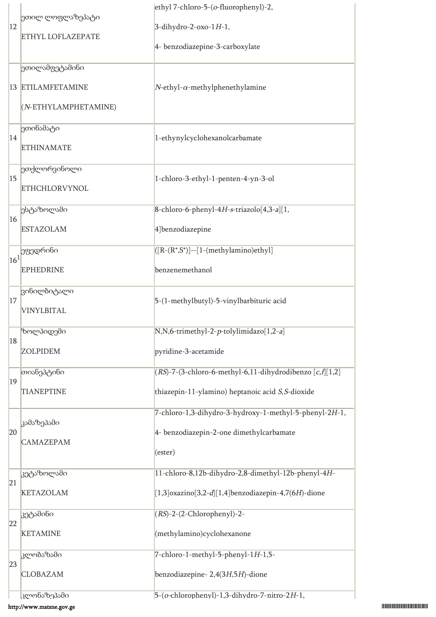| $ 12\rangle$    |                          | ethyl 7-chloro-5-(o-fluorophenyl)-2,                       |  |  |  |
|-----------------|--------------------------|------------------------------------------------------------|--|--|--|
|                 | ეთილ ლოფლაზეპატი         | $3$ -dihydro-2-oxo-1H-1,                                   |  |  |  |
|                 | <b>ETHYL LOFLAZEPATE</b> | 4- benzodiazepine-3-carboxylate                            |  |  |  |
|                 | ეთილამფეტამინი           |                                                            |  |  |  |
|                 | 13 ETILAMFETAMINE        | $N$ -ethyl- $\alpha$ -methylphenethylamine                 |  |  |  |
|                 | (N-ETHYLAMPHETAMINE)     |                                                            |  |  |  |
|                 | ეთინამატი                |                                                            |  |  |  |
| 14              | <b>ETHINAMATE</b>        | 1-ethynylcyclohexanolcarbamate                             |  |  |  |
| 15              | ეთქლორვინოლი             |                                                            |  |  |  |
|                 | <b>ETHCHLORVYNOL</b>     | 1-chloro-3-ethyl-1-penten-4-yn-3-ol                        |  |  |  |
|                 | ესტაზოლამი               | 8-chloro-6-phenyl-4H-s-triazolo[4,3-a][1,                  |  |  |  |
| 16              | <b>ESTAZOLAM</b>         | 4] benzodiazepine                                          |  |  |  |
|                 | ეფედრინი                 | $[(R-(R^*,S^*)] - [1-(\mbox{methylamino})\neth y]$         |  |  |  |
| 16 <sup>1</sup> | <b>EPHEDRINE</b>         | benzenemethanol                                            |  |  |  |
|                 | ვინილბიტალი              |                                                            |  |  |  |
| 17              | <b>VINYLBITAL</b>        | 5-(1-methylbutyl)-5-vinylbarbituric acid                   |  |  |  |
|                 | ზოლპიდემი                | N,N,6-trimethyl-2-p-tolylimidazo[1,2-a]                    |  |  |  |
| 18              | <b>ZOLPIDEM</b>          | pyridine-3-acetamide                                       |  |  |  |
|                 | თიანეპტინი               | (RS)-7-(3-chloro-6-methyl-6,11-dihydrodibenzo [c,f][1,2]   |  |  |  |
| 19              | <b>TIANEPTINE</b>        | thiazepin-11-ylamino) heptanoic acid S,S-dioxide           |  |  |  |
|                 |                          | 7-chloro-1,3-dihydro-3-hydroxy-1-methyl-5-phenyl-2H-1,     |  |  |  |
| 20              | კამაზეპამი               | 4- benzodiazepin-2-one dimethylcarbamate                   |  |  |  |
|                 | <b>CAMAZEPAM</b>         | (ester)                                                    |  |  |  |
|                 | კეტაზოლამი               | 11-chloro-8,12b-dihydro-2,8-dimethyl-12b-phenyl-4H-        |  |  |  |
| 21              | <b>KETAZOLAM</b>         | $[1,3]$ oxazino $[3,2-d][1,4]$ benzodiazepin-4,7(6H)-dione |  |  |  |
|                 | კეტამინი                 | $(RS)-2-(2-Chlorophenyl)-2-$                               |  |  |  |
| 22              | <b>KETAMINE</b>          | (methylamino)cyclohexanone                                 |  |  |  |
|                 | კლობაზამი                | 7-chloro-1-methyl-5-phenyl-1H-1,5-                         |  |  |  |
| 23              | <b>CLOBAZAM</b>          | benzodiazepine-2,4(3H,5H)-dione                            |  |  |  |
|                 | კლონაზეპამი              | $5-(o$ -chlorophenyl)-1,3-dihydro-7-nitro-2H-1,            |  |  |  |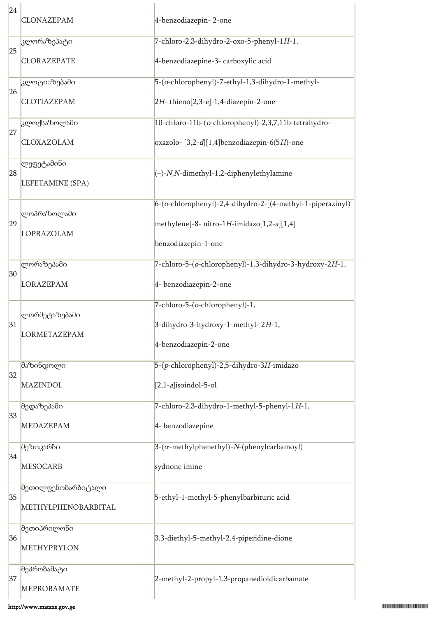| 24 | <b>CLONAZEPAM</b>         | 4-benzodiazepin-2-one                                      |  |  |  |
|----|---------------------------|------------------------------------------------------------|--|--|--|
| 25 | კლორაზეპატი               | 7-chloro-2,3-dihydro-2-oxo-5-phenyl-1H-1,                  |  |  |  |
|    | <b>CLORAZEPATE</b>        | 4-benzodiazepine-3- carboxylic acid                        |  |  |  |
| 26 | <mark>კლოტიაზეპამი</mark> | 5-(o-chlorophenyl)-7-ethyl-1,3-dihydro-1-methyl-           |  |  |  |
|    | <b>CLOTIAZEPAM</b>        | $2H$ -thieno $[2,3-e]$ -1,4-diazepin-2-one                 |  |  |  |
|    | კლოქსაზოლამი              | 10-chloro-11b-(o-chlorophenyl)-2,3,7,11b-tetrahydro-       |  |  |  |
| 27 | CLOXAZOLAM                | oxazolo- $[3,2-d][1,4]$ benzodiazepin-6(5H)-one            |  |  |  |
|    | ლეფეტამინი                |                                                            |  |  |  |
| 28 | LEFETAMINE (SPA)          | $(-)$ -N,N-dimethyl-1,2-diphenylethylamine                 |  |  |  |
|    |                           | 6-(o-chlorophenyl)-2,4-dihydro-2-[(4-methyl-1-piperazinyl) |  |  |  |
| 29 | ლოპრაზოლამი<br>LOPRAZOLAM | methylene]-8- nitro-1H-imidazo $[1,2-a][1,4]$              |  |  |  |
|    |                           | benzodiazepin-1-one                                        |  |  |  |
|    | ლორაზეპამი                | 7-chloro-5-(o-chlorophenyl)-1,3-dihydro-3-hydroxy-2H-1,    |  |  |  |
| 30 | <b>LORAZEPAM</b>          | 4- benzodiazepin-2-one                                     |  |  |  |
|    |                           | 7-chloro-5-(o-chlorophenyl)-1,                             |  |  |  |
|    |                           |                                                            |  |  |  |
| 31 | ლორმეტაზეპამი             | 3-dihydro-3-hydroxy-1-methyl-2H-1,                         |  |  |  |
|    | <b>LORMETAZEPAM</b>       | 4-benzodiazepin-2-one                                      |  |  |  |
|    | მაზინდოლი                 | 5-(p-chlorophenyl)-2,5-dihydro-3H-imidazo                  |  |  |  |
| 32 | <b>MAZINDOL</b>           | $[2,1-a]$ isoindol-5-ol                                    |  |  |  |
|    | მედაზეპამი                | 7-chloro-2,3-dihydro-1-methyl-5-phenyl-1H-1,               |  |  |  |
| 33 | <b>MEDAZEPAM</b>          | 4- benzodiazepine                                          |  |  |  |
|    | მეზოკარბი                 | $3-(\alpha$ -methylphenethyl)-N-(phenylcarbamoyl)          |  |  |  |
| 34 | <b>MESOCARB</b>           | sydnone imine                                              |  |  |  |
|    | მეთილფენობარბიტალი        |                                                            |  |  |  |
| 35 | METHYLPHENOBARBITAL       | 5-ethyl-1-methyl-5-phenylbarbituric acid                   |  |  |  |
|    | მეთიპრილონი               |                                                            |  |  |  |
| 36 | METHYPRYLON               | 3,3-diethyl-5-methyl-2,4-piperidine-dione                  |  |  |  |
| 37 | მეპრობამატი               | 2-methyl-2-propyl-1,3-propanedioldicarbamate               |  |  |  |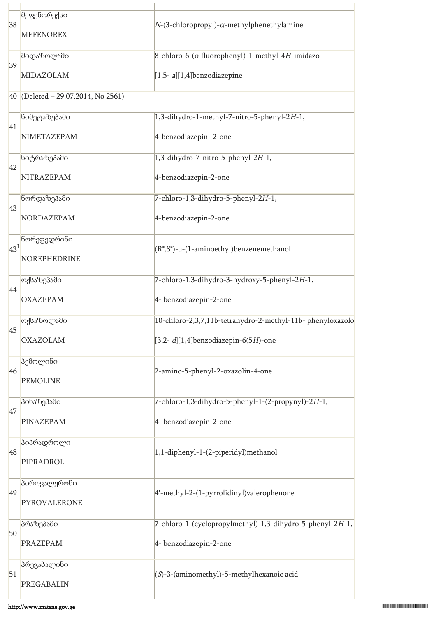| 38              | მეფენორექსი<br><b>MEFENOREX</b> | $N-(3$ -chloropropyl)- $\alpha$ -methylphenethylamine                               |  |  |  |  |
|-----------------|---------------------------------|-------------------------------------------------------------------------------------|--|--|--|--|
| 39              | მიდაზოლამი<br>MIDAZOLAM         | 8-chloro-6-(o-fluorophenyl)-1-methyl-4H-imidazo<br>$[1,5- a][1,4]$ benzodiazepine   |  |  |  |  |
| 40              | (Deleted - 29.07.2014, No 2561) |                                                                                     |  |  |  |  |
| 41              | ნიმეტაზეპამი<br>NIMETAZEPAM     | 1,3-dihydro-1-methyl-7-nitro-5-phenyl-2H-1,<br>4-benzodiazepin-2-one                |  |  |  |  |
|                 |                                 |                                                                                     |  |  |  |  |
| 42              | ნიტრაზეპამი<br>NITRAZEPAM       | 1,3-dihydro-7-nitro-5-phenyl-2H-1,<br>4-benzodiazepin-2-one                         |  |  |  |  |
|                 | ნორდაზეპამი                     | 7-chloro-1,3-dihydro-5-phenyl-2H-1,                                                 |  |  |  |  |
| 43              | NORDAZEPAM                      | 4-benzodiazepin-2-one                                                               |  |  |  |  |
| 43 <sup>1</sup> | ნორეფედრინი<br>NOREPHEDRINE     | $(R^*,S^*)$ -µ-(1-aminoethyl)benzenemethanol                                        |  |  |  |  |
|                 | ოქსაზეპამი                      | 7-chloro-1,3-dihydro-3-hydroxy-5-phenyl-2H-1,                                       |  |  |  |  |
| 44              | <b>OXAZEPAM</b>                 | 4- benzodiazepin-2-one                                                              |  |  |  |  |
|                 | ოქსაზოლამი                      | 10-chloro-2,3,7,11b-tetrahydro-2-methyl-11b-phenyloxazolo                           |  |  |  |  |
| 45              | <b>OXAZOLAM</b>                 | [3,2- $d$ ][1,4]benzodiazepin-6(5H)-one                                             |  |  |  |  |
| 46              | პემოლინი<br><b>PEMOLINE</b>     | 2-amino-5-phenyl-2-oxazolin-4-one                                                   |  |  |  |  |
| 47              | პინაზეპამი                      | 7-chloro-1,3-dihydro-5-phenyl-1-(2-propynyl)-2H-1,                                  |  |  |  |  |
|                 | PINAZEPAM                       | 4- benzodiazepin-2-one                                                              |  |  |  |  |
| 48              | პიპრადროლი<br>PIPRADROL         | 1,1-diphenyl-1-(2-piperidyl)methanol                                                |  |  |  |  |
| 49              | პიროვალერონი<br>PYROVALERONE    | 4'-methyl-2-(1-pyrrolidinyl)valerophenone                                           |  |  |  |  |
| 50              | პრაზეპამი<br><b>PRAZEPAM</b>    | 7-chloro-1-(cyclopropylmethyl)-1,3-dihydro-5-phenyl-2H-1,<br>4- benzodiazepin-2-one |  |  |  |  |
| 51              | პრეგაბალინი<br>PREGABALIN       | $(S)$ -3-(aminomethyl)-5-methylhexanoic acid                                        |  |  |  |  |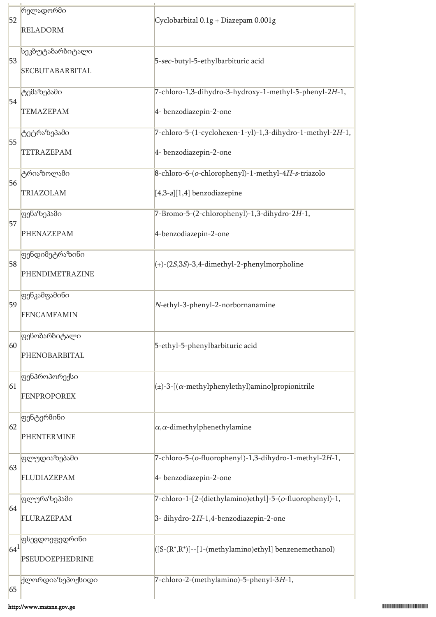|          | რელადორმი                                        |                                                               |  |  |  |
|----------|--------------------------------------------------|---------------------------------------------------------------|--|--|--|
| 52       | <b>RELADORM</b>                                  | Cyclobarbital 0.1g + Diazepam 0.001g                          |  |  |  |
| 53       | სეკბუტაბარბიტალი<br>SECBUTABARBITAL              | 5-sec-butyl-5-ethylbarbituric acid                            |  |  |  |
|          | ტემაზეპამი                                       | 7-chloro-1,3-dihydro-3-hydroxy-1-methyl-5-phenyl-2H-1,        |  |  |  |
| 54       | <b>TEMAZEPAM</b>                                 | 4- benzodiazepin-2-one                                        |  |  |  |
| 55       | ტეტრაზეპამი                                      | 7-chloro-5-(1-cyclohexen-1-yl)-1,3-dihydro-1-methyl-2H-1,     |  |  |  |
|          | <b>TETRAZEPAM</b>                                | 4- benzodiazepin-2-one                                        |  |  |  |
| 56       | ტრიაზოლამი                                       | 8-chloro-6-(o-chlorophenyl)-1-methyl-4H-s-triazolo            |  |  |  |
|          | TRIAZOLAM                                        | $[4,3-a][1,4]$ benzodiazepine                                 |  |  |  |
|          | ფენაზეპამი                                       | 7-Bromo-5-(2-chlorophenyl)-1,3-dihydro-2H-1,                  |  |  |  |
| 57       | PHENAZEPAM                                       | 4-benzodiazepin-2-one                                         |  |  |  |
| 58       | <mark>ფენდიმეტრაზინი</mark><br>PHENDIMETRAZINE   | $(+)$ -(2S,3S)-3,4-dimethyl-2-phenylmorpholine                |  |  |  |
| 59       | ფენკამფამინი<br><b>FENCAMFAMIN</b>               | N-ethyl-3-phenyl-2-norbornanamine                             |  |  |  |
| 60       | ფენობარბიტალი<br>PHENOBARBITAL                   | 5-ethyl-5-phenylbarbituric acid                               |  |  |  |
| 61       | <mark>ფენპროპორექსი</mark><br><b>FENPROPOREX</b> | $(\pm)$ -3-[( $\alpha$ -methylphenylethyl)amino]propionitrile |  |  |  |
| 62       | <mark>ფენტერმინი</mark><br><b>PHENTERMINE</b>    | $\alpha$ , $\alpha$ -dimethylphenethylamine                   |  |  |  |
|          | ფლუდიაზეპამი                                     | 7-chloro-5-(o-fluorophenyl)-1,3-dihydro-1-methyl-2H-1,        |  |  |  |
| 63       | FLUDIAZEPAM                                      | 4- benzodiazepin-2-one                                        |  |  |  |
|          | ფლურაზეპამი                                      | 7-chloro-1-[2-(diethylamino)ethyl]-5-(o-fluorophenyl)-1,      |  |  |  |
| 64       | FLURAZEPAM                                       | 3-dihydro-2H-1,4-benzodiazepin-2-one                          |  |  |  |
|          | ფსევდოეფედრინი                                   |                                                               |  |  |  |
| $ 64^1 $ | PSEUDOEPHEDRINE                                  | ([S-(R*,R*)]--[1-(methylamino)ethyl] benzenemethanol)         |  |  |  |
| 65       | ქლორდიაზეპოქსიდი                                 | 7-chloro-2-(methylamino)-5-phenyl-3H-1,                       |  |  |  |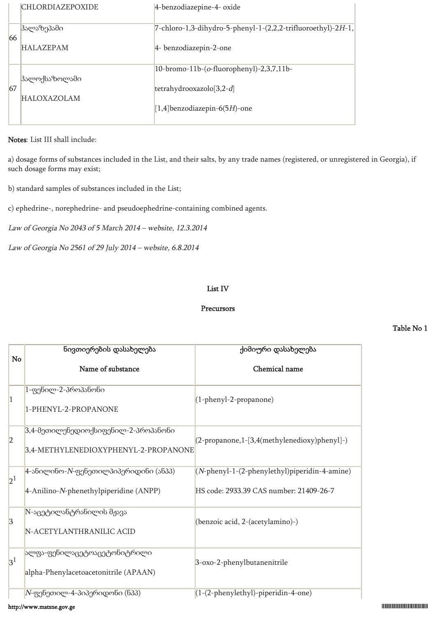| <b>CHLORDIAZEPOXIDE</b> | 4-benzodiazepine-4- oxide                                    |
|-------------------------|--------------------------------------------------------------|
| ჰალაზეპამი              | 7-chloro-1,3-dihydro-5-phenyl-1-(2,2,2-trifluoroethyl)-2H-1, |
|                         | 4- benzodiazepin-2-one                                       |
|                         | 10-bromo-11b-(o-fluorophenyl)-2,3,7,11b-                     |
| <b>HALOXAZOLAM</b>      | tetrahydrooxazolo $[3,2-d]$                                  |
|                         | $[1,4]$ benzodiazepin-6(5H)-one                              |
|                         | 66<br><b>HALAZEPAM</b><br> ჰალოქსაზოლამი<br>67               |

#### Notes: List III shall include:

a) dosage forms of substances included in the List, and their salts, by any trade names (registered, or unregistered in Georgia), if such dosage forms may exist;

b) standard samples of substances included in the List;

c) ephedrine-, norephedrine- and pseudoephedrine-containing combined agents.

Law of Georgia No 2043 of 5 March 2014 – website, 12.3.2014

Law of Georgia No 2561 of 29 July 2014 – website, 6.8.2014

#### List IV

#### Precursors

#### Table No 1

| No              | ნივთიერების დასახელება                                                      | ქიმიური დასახელება                            |  |  |
|-----------------|-----------------------------------------------------------------------------|-----------------------------------------------|--|--|
|                 | Name of substance                                                           | Chemical name                                 |  |  |
| 1               | 1-ფენილ-2-პროპანონი<br>1-PHENYL-2-PROPANONE                                 | $(1$ -phenyl-2-propanone)                     |  |  |
| 2               | 3,4-მეთილენედიოქსიფენილ-2-პროპანონი<br>3,4-METHYLENEDIOXYPHENYL-2-PROPANONE | (2-propanone,1-[3,4(methylenedioxy)phenyl]-)  |  |  |
| 2 <sup>1</sup>  | $4$ -ანილინო- $N$ -ფენეთილპიპერიდინი (ანპპ)                                 | (N-phenyl-1-(2-phenylethyl)piperidin-4-amine) |  |  |
|                 | 4-Anilino-N-phenethylpiperidine (ANPP)                                      | HS code: 2933.39 CAS number: 21409-26-7       |  |  |
| $\vert 3 \vert$ | N-აცეტილანტრანილის მჟავა                                                    | (benzoic acid, 2-(acetylamino)-)              |  |  |
|                 | N-ACETYLANTHRANILIC ACID                                                    |                                               |  |  |
| 3 <sup>1</sup>  | ალფა-ფენილაცეტოაცეტონიტრილი                                                 | 3-oxo-2-phenylbutanenitrile                   |  |  |
|                 | alpha-Phenylacetoacetonitrile (APAAN)                                       |                                               |  |  |
|                 | $N$ -ფენეთილ-4-პიპერიდონი (ნპპ)                                             | (1-(2-phenylethyl)-piperidin-4-one)           |  |  |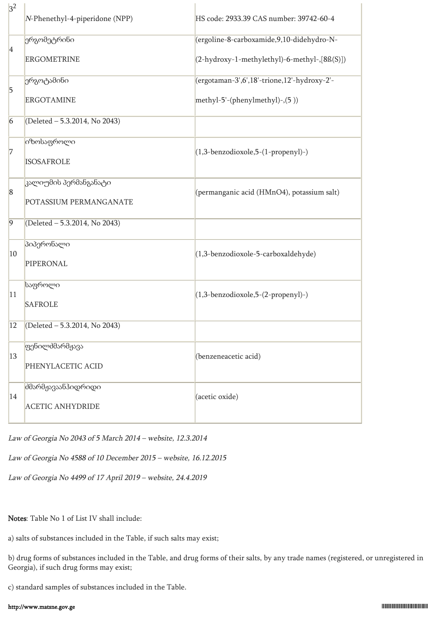| 3 <sup>2</sup> | N-Phenethyl-4-piperidone (NPP) | HS code: 2933.39 CAS number: 39742-60-4      |  |  |
|----------------|--------------------------------|----------------------------------------------|--|--|
|                | ერგომეტრინი                    | (ergoline-8-carboxamide, 9, 10-didehydro-N-  |  |  |
| 4              | <b>ERGOMETRINE</b>             | (2-hydroxy-1-methylethyl)-6-methyl-,[8ß(S)]) |  |  |
|                | ერგოტამინი                     | (ergotaman-3',6',18'-trione,12'-hydroxy-2'-  |  |  |
| $\overline{5}$ | <b>ERGOTAMINE</b>              | methyl-5'-(phenylmethyl)-,(5))               |  |  |
| $\overline{6}$ | (Deleted - 5.3.2014, No 2043)  |                                              |  |  |
| 7              | იზოსაფროლი                     | $(1,3$ -benzodioxole,5- $(1$ -propenyl)-)    |  |  |
|                | <b>ISOSAFROLE</b>              |                                              |  |  |
|                | კალიუმის პერმანგანატი          |                                              |  |  |
| $\sqrt{8}$     | POTASSIUM PERMANGANATE         | (permanganic acid (HMnO4), potassium salt)   |  |  |
| $\overline{9}$ | (Deleted - 5.3.2014, No 2043)  |                                              |  |  |
| 10             | პიპერონალი                     | (1,3-benzodioxole-5-carboxaldehyde)          |  |  |
|                | PIPERONAL                      |                                              |  |  |
| 11             | საფროლი                        | (1,3-benzodioxole,5-(2-propenyl)-)           |  |  |
|                | <b>SAFROLE</b>                 |                                              |  |  |
| 12             | (Deleted - 5.3.2014, No 2043)  |                                              |  |  |
|                | ფენილძმარმჟავა                 |                                              |  |  |
| 13             | PHENYLACETIC ACID              | (benzeneacetic acid)                         |  |  |
| 14             | <b>ძმარმჟავაანჰიდრიდი</b>      | (acetic oxide)                               |  |  |
|                | <b>ACETIC ANHYDRIDE</b>        |                                              |  |  |

Law of Georgia No 2043 of 5 March 2014 – website, 12.3.2014

Law of Georgia No 4588 of 10 December 2015 – website, 16.12.2015

Law of Georgia No 4499 of 17 April 2019 – website, 24.4.2019

Notes: Table No 1 of List IV shall include:

a) salts of substances included in the Table, if such salts may exist;

b) drug forms of substances included in the Table, and drug forms of their salts, by any trade names (registered, or unregistered in Georgia), if such drug forms may exist;

c) standard samples of substances included in the Table.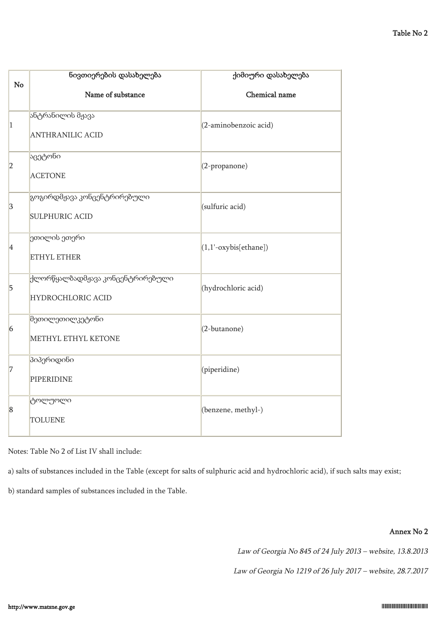|                 | ნივთიერების დასახელება                                | ქიმიური დასახელება      |  |  |  |
|-----------------|-------------------------------------------------------|-------------------------|--|--|--|
| No              | Name of substance                                     | Chemical name           |  |  |  |
| $\vert$ 1       | ანტრანილის მჟავა<br><b>ANTHRANILIC ACID</b>           | (2-aminobenzoic acid)   |  |  |  |
| 2               | აცეტონი<br><b>ACETONE</b>                             | (2-propanone)           |  |  |  |
| 3               | გოგირდმჟავა კონცენტრირებული<br><b>SULPHURIC ACID</b>  | (sulfuric acid)         |  |  |  |
| 4               | ეთილის ეთერი<br>ETHYL ETHER                           | $(1,1'-oxybis[ethane])$ |  |  |  |
| $\overline{5}$  | ქლორწყალბადმჟავა კონცენტრირებული<br>HYDROCHLORIC ACID | (hydrochloric acid)     |  |  |  |
| $\vert 6 \vert$ | მეთილეთილკეტონი<br>METHYL ETHYL KETONE                | (2-butanone)            |  |  |  |
| 7               | პიპერიდინი<br>PIPERIDINE                              | (piperidine)            |  |  |  |
| $\vert 8$       | ტოლუოლი<br><b>TOLUENE</b>                             | (benzene, methyl-)      |  |  |  |

Notes: Table No 2 of List IV shall include:

a) salts of substances included in the Table (except for salts of sulphuric acid and hydrochloric acid), if such salts may exist;

b) standard samples of substances included in the Table.

#### Annex No 2

Law of Georgia No 845 of 24 July 2013 – website, 13.8.2013

Law of Georgia No 1219 of 26 July 2017 – website, 28.7.2017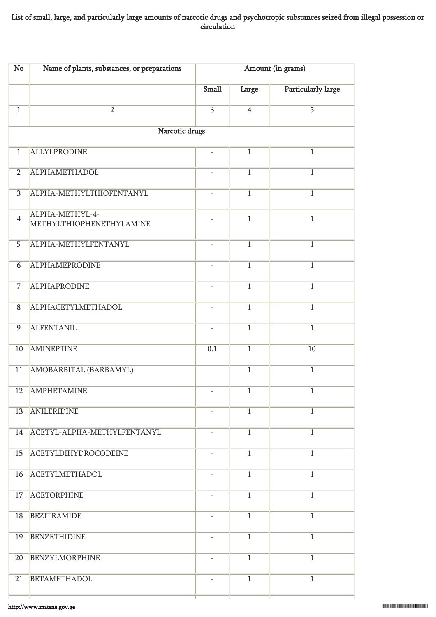## List of small, large, and particularly large amounts of narcotic drugs and psychotropic substances seized from illegal possession or circulation

| No             | Name of plants, substances, or preparations | Amount (in grams)        |                |                           |
|----------------|---------------------------------------------|--------------------------|----------------|---------------------------|
|                |                                             | Small                    | Large          | <b>Particularly large</b> |
| $\overline{1}$ | $\overline{2}$                              | $\overline{3}$           | $\overline{4}$ | $\overline{5}$            |
|                | Narcotic drugs                              |                          |                |                           |
| $\overline{1}$ | <b>ALLYLPRODINE</b>                         |                          | $\overline{1}$ | $\mathbf{1}$              |
| $\overline{2}$ | <b>ALPHAMETHADOL</b>                        |                          | $\overline{1}$ | $\mathbf{1}$              |
| 3              | ALPHA-METHYLTHIOFENTANYL                    |                          | $\mathbf{1}$   | $\mathbf{1}$              |
| $\overline{4}$ | ALPHA-METHYL-4-<br>METHYLTHIOPHENETHYLAMINE |                          | $\mathbf{1}$   | $\mathbf{1}$              |
| $\overline{5}$ | ALPHA-METHYLFENTANYL                        |                          | $\overline{1}$ | $\overline{1}$            |
| 6              | <b>ALPHAMEPRODINE</b>                       | $\overline{\phantom{a}}$ | $\overline{1}$ | $\overline{1}$            |
| $\overline{7}$ | <b>ALPHAPRODINE</b>                         | $\overline{\phantom{a}}$ | $\overline{1}$ | $\mathbf{1}$              |
| $\overline{8}$ | ALPHACETYLMETHADOL                          |                          | $\overline{1}$ | $\overline{1}$            |
| $\overline{9}$ | <b>ALFENTANIL</b>                           |                          | $\overline{1}$ | $\overline{1}$            |
| 10             | <b>AMINEPTINE</b>                           | 0.1                      | $\overline{1}$ | 10                        |
| 11             | AMOBARBITAL (BARBAMYL)                      |                          | $\overline{1}$ | $\overline{1}$            |
| 12             | <b>AMPHETAMINE</b>                          |                          | $\overline{1}$ | $\overline{1}$            |
| 13             | <b>ANILERIDINE</b>                          |                          | $\overline{1}$ | $\overline{1}$            |
| 14             | ACETYL-ALPHA-METHYLFENTANYL                 | $\overline{\phantom{a}}$ | $\mathbf{1}$   | $\mathbf{1}$              |
| 15             | <b>ACETYLDIHYDROCODEINE</b>                 |                          | $\overline{1}$ | $\mathbf{1}$              |
| 16             | <b>ACETYLMETHADOL</b>                       |                          | $\mathbf{1}$   | $\mathbf{1}$              |
| 17             | <b>ACETORPHINE</b>                          |                          | $\overline{1}$ | $\overline{1}$            |
| 18             | <b>BEZITRAMIDE</b>                          | $\overline{\phantom{a}}$ | $\mathbf{1}$   | $\mathbf{1}$              |
| 19             | <b>BENZETHIDINE</b>                         |                          | $\overline{1}$ | $\mathbf{1}$              |
| 20             | <b>BENZYLMORPHINE</b>                       |                          | $\overline{1}$ | $\overline{1}$            |
| 21             | <b>BETAMETHADOL</b>                         |                          | $\overline{1}$ | $\overline{1}$            |
|                |                                             |                          |                |                           |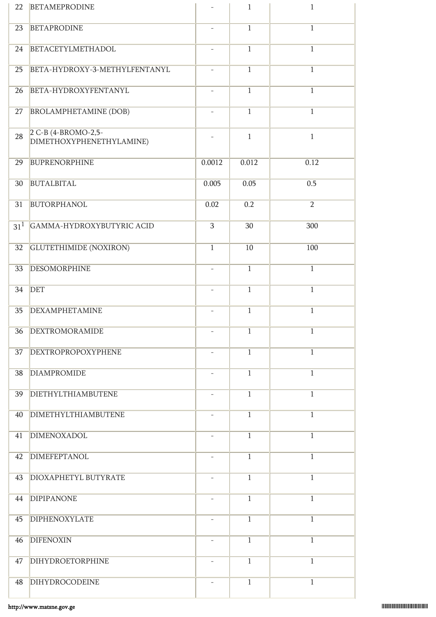| 22              | <b>BETAMEPRODINE</b>                            |                          | $\mathbf{1}$   | $\mathbf{1}$   |
|-----------------|-------------------------------------------------|--------------------------|----------------|----------------|
| 23              | <b>BETAPRODINE</b>                              |                          | $\overline{1}$ | $\overline{1}$ |
| 24              | BETACETYLMETHADOL                               | ÷.                       | $\overline{1}$ | $\overline{1}$ |
| $\overline{25}$ | BETA-HYDROXY-3-METHYLFENTANYL                   | $\overline{\phantom{a}}$ | $\overline{1}$ | $\overline{1}$ |
| 26              | BETA-HYDROXYFENTANYL                            | $\overline{\phantom{a}}$ | $\overline{1}$ | $\overline{1}$ |
| 27              | <b>BROLAMPHETAMINE (DOB)</b>                    |                          | $\overline{1}$ | $\overline{1}$ |
| 28              | 2 C-B (4-BROMO-2,5-<br>DIMETHOXYPHENETHYLAMINE) |                          | $\mathbf{1}$   | $\mathbf{1}$   |
| 29              | <b>BUPRENORPHINE</b>                            | 0.0012                   | 0.012          | 0.12           |
| 30 <sup>°</sup> | <b>BUTALBITAL</b>                               | 0.005                    | 0.05           | 0.5            |
| 31              | <b>BUTORPHANOL</b>                              | 0.02                     | 0.2            | $\overline{2}$ |
| 31 <sup>1</sup> | GAMMA-HYDROXYBUTYRIC ACID                       | 3                        | 30             | 300            |
| 32              | <b>GLUTETHIMIDE (NOXIRON)</b>                   | $\mathbf{1}$             | 10             | 100            |
| 33              | <b>DESOMORPHINE</b>                             |                          | $\mathbf{1}$   | $\overline{1}$ |
| 34              | <b>DET</b>                                      | $\overline{\phantom{a}}$ | $\overline{1}$ | $\overline{1}$ |
| 35              | <b>DEXAMPHETAMINE</b>                           |                          | $\mathbf{1}$   | $\overline{1}$ |
|                 | 36 DEXTROMORAMIDE                               |                          | $\overline{1}$ | $\overline{1}$ |
| 37              | <b>DEXTROPROPOXYPHENE</b>                       |                          | $\overline{1}$ | $\overline{1}$ |
| 38              | <b>DIAMPROMIDE</b>                              | $\overline{\phantom{a}}$ | $\overline{1}$ | $\overline{1}$ |
| 39              | <b>DIETHYLTHIAMBUTENE</b>                       | $\overline{\phantom{a}}$ | $\mathbf{1}$   | $\overline{1}$ |
| 40              | <b>DIMETHYLTHIAMBUTENE</b>                      |                          | $\overline{1}$ | $\overline{1}$ |
| 41              | DIMENOXADOL                                     |                          | $\overline{1}$ | $\overline{1}$ |
| 42              | <b>DIMEFEPTANOL</b>                             | $\overline{\phantom{a}}$ | $\overline{1}$ | $\overline{1}$ |
| 43              | DIOXAPHETYL BUTYRATE                            | $\overline{\phantom{a}}$ | $\overline{1}$ | $\mathbf{1}$   |
| 44              | <b>DIPIPANONE</b>                               |                          | $\overline{1}$ | $\overline{1}$ |
| 45              | <b>DIPHENOXYLATE</b>                            |                          | $\mathbf{1}$   | $\overline{1}$ |
| 46              | <b>DIFENOXIN</b>                                | $\overline{\phantom{a}}$ | $\overline{1}$ | $\overline{1}$ |
| 47              | DIHYDROETORPHINE                                |                          | $\mathbf{1}$   | $\overline{1}$ |
| 48              | <b>DIHYDROCODEINE</b>                           |                          | $\mathbf{1}$   | $\mathbf{1}$   |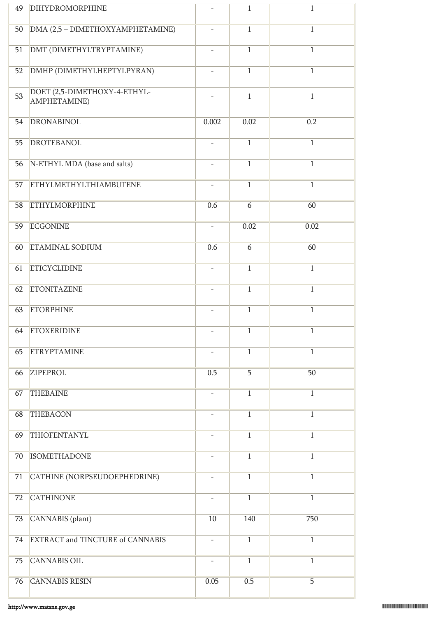| 49              | <b>DIHYDROMORPHINE</b>                       |                          | $\overline{1}$ | $\overline{1}$ |
|-----------------|----------------------------------------------|--------------------------|----------------|----------------|
| 50              | DMA (2,5 - DIMETHOXYAMPHETAMINE)             | $\overline{\phantom{0}}$ | $\overline{1}$ | $\overline{1}$ |
| 51              | DMT (DIMETHYLTRYPTAMINE)                     |                          | $\overline{1}$ | $\overline{1}$ |
| $\overline{52}$ | DMHP (DIMETHYLHEPTYLPYRAN)                   |                          | $\overline{1}$ | $\overline{1}$ |
| 53              | DOET (2,5-DIMETHOXY-4-ETHYL-<br>AMPHETAMINE) |                          | $\mathbf{1}$   | $\mathbf{1}$   |
| 54              | <b>DRONABINOL</b>                            | 0.002                    | 0.02           | 0.2            |
| 55              | <b>DROTEBANOL</b>                            |                          | $\overline{1}$ | $\overline{1}$ |
| 56              | N-ETHYL MDA (base and salts)                 |                          | $\overline{1}$ | $\overline{1}$ |
| 57              | <b>ETHYLMETHYLTHIAMBUTENE</b>                |                          | $\overline{1}$ | $\overline{1}$ |
| 58              | <b>ETHYLMORPHINE</b>                         | 0.6                      | 6              | 60             |
| 59              | <b>ECGONINE</b>                              | $\overline{\phantom{a}}$ | 0.02           | 0.02           |
| 60              | <b>ETAMINAL SODIUM</b>                       | 0.6                      | $\overline{6}$ | 60             |
| 61              | <b>ETICYCLIDINE</b>                          |                          | $\overline{1}$ | $\overline{1}$ |
| 62              | <b>ETONITAZENE</b>                           | $\overline{\phantom{0}}$ | $\overline{1}$ | $\overline{1}$ |
| 63              | <b>ETORPHINE</b>                             |                          | $\overline{1}$ | $\overline{1}$ |
| 64              | <b>ETOXERIDINE</b>                           |                          | $\overline{1}$ | $\mathbf{1}$   |
| 65              | <b>ETRYPTAMINE</b>                           |                          | $\overline{1}$ | $\overline{1}$ |
| 66              | ZIPEPROL                                     | 0.5                      | 5              | 50             |
| 67              | <b>THEBAINE</b>                              |                          | $\overline{1}$ | $\mathbf{1}$   |
| 68              | <b>THEBACON</b>                              |                          | $\mathbf{1}$   | $\mathbf{1}$   |
| 69              | THIOFENTANYL                                 |                          | $\overline{1}$ | $\mathbf{1}$   |
| 70              | <b>ISOMETHADONE</b>                          |                          | $\mathbf{1}$   | $\overline{1}$ |
| 71              | CATHINE (NORPSEUDOEPHEDRINE)                 |                          | $\overline{1}$ | $\mathbf{1}$   |
| 72              | <b>CATHINONE</b>                             |                          | $\overline{1}$ | $\mathbf{1}$   |
| 73              | CANNABIS (plant)                             | 10                       | 140            | 750            |
| 74              | EXTRACT and TINCTURE of CANNABIS             | $\overline{\phantom{0}}$ | $1\,$          | $\mathbf{1}$   |
| 75              | <b>CANNABIS OIL</b>                          | $\overline{\phantom{0}}$ | $\overline{1}$ | $\mathbf{1}$   |
| 76              | <b>CANNABIS RESIN</b>                        | 0.05                     | 0.5            | $\overline{5}$ |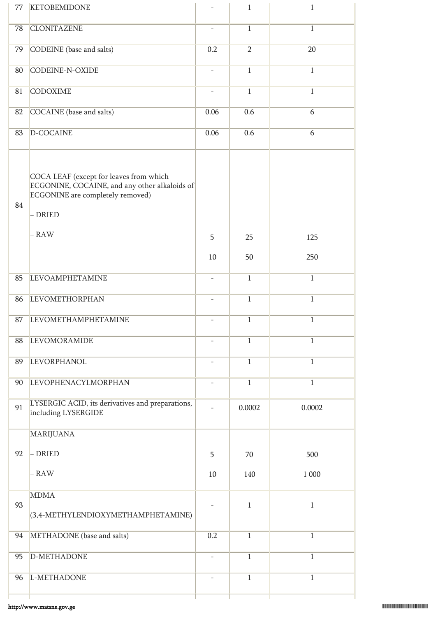| 77 | <b>KETOBEMIDONE</b>                                                                                                                              |                          | $\mathbf{1}$   | $\mathbf{1}$    |
|----|--------------------------------------------------------------------------------------------------------------------------------------------------|--------------------------|----------------|-----------------|
| 78 | <b>CLONITAZENE</b>                                                                                                                               |                          | $\overline{1}$ | $\overline{1}$  |
| 79 | CODEINE (base and salts)                                                                                                                         | 0.2                      | $\overline{2}$ | $\overline{20}$ |
| 80 | <b>CODEINE-N-OXIDE</b>                                                                                                                           | $\overline{\phantom{a}}$ | $\overline{1}$ | $\overline{1}$  |
| 81 | <b>CODOXIME</b>                                                                                                                                  | $\overline{\phantom{a}}$ | $\overline{1}$ | $\mathbf{1}$    |
| 82 | COCAINE (base and salts)                                                                                                                         | 0.06                     | 0.6            | 6               |
| 83 | D-COCAINE                                                                                                                                        | 0.06                     | 0.6            | 6               |
| 84 | COCA LEAF (except for leaves from which<br>ECGONINE, COCAINE, and any other alkaloids of<br>ECGONINE are completely removed)<br>- DRIED<br>- RAW | 5                        | 25             | 125             |
|    |                                                                                                                                                  | 10                       | 50             | 250             |
| 85 | <b>LEVOAMPHETAMINE</b>                                                                                                                           | $\overline{\phantom{a}}$ | $\mathbf{1}$   | $\overline{1}$  |
| 86 | <b>LEVOMETHORPHAN</b>                                                                                                                            | $\overline{\phantom{a}}$ | $\mathbf{1}$   | $\mathbf{1}$    |
| 87 | <b>LEVOMETHAMPHETAMINE</b>                                                                                                                       |                          | $\,1$          | $\mathbf{1}$    |
| 88 | <b>LEVOMORAMIDE</b>                                                                                                                              |                          | $\mathbf{1}$   | $\mathbf{1}$    |
| 89 | <b>LEVORPHANOL</b>                                                                                                                               | $\overline{\phantom{a}}$ | $\overline{1}$ | $\mathbf{1}$    |
| 90 | <b>LEVOPHENACYLMORPHAN</b>                                                                                                                       | $\overline{\phantom{a}}$ | $\mathbf{1}$   | $\mathbf{1}$    |
| 91 | LYSERGIC ACID, its derivatives and preparations,<br>including LYSERGIDE                                                                          |                          | 0.0002         | 0.0002          |
|    | <b>MARIJUANA</b>                                                                                                                                 |                          |                |                 |
| 92 | - DRIED                                                                                                                                          | 5                        | 70             | 500             |
|    | - RAW                                                                                                                                            | 10                       | 140            | 1 000           |
| 93 | <b>MDMA</b><br>(3,4-METHYLENDIOXYMETHAMPHETAMINE)                                                                                                |                          | $\mathbf{1}$   | $\,1\,$         |
| 94 | METHADONE (base and salts)                                                                                                                       | 0.2                      | $\mathbf{1}$   | $\mathbf{1}$    |
| 95 | D-METHADONE                                                                                                                                      |                          | $\overline{1}$ | $\mathbf{1}$    |
| 96 | L-METHADONE                                                                                                                                      | $\overline{\phantom{a}}$ | $\overline{1}$ | $\overline{1}$  |
|    |                                                                                                                                                  |                          |                |                 |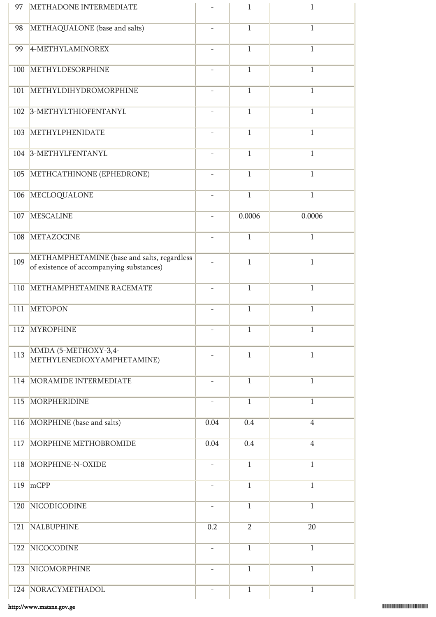| 97  | METHADONE INTERMEDIATE                                                                  |                          | $\mathbf{1}$   | $\,1$          |
|-----|-----------------------------------------------------------------------------------------|--------------------------|----------------|----------------|
| 98  | METHAQUALONE (base and salts)                                                           |                          | $\overline{1}$ | $\overline{1}$ |
| 99  | 4-METHYLAMINOREX                                                                        | ÷,                       | $\overline{1}$ | $\overline{1}$ |
| 100 | <b>METHYLDESORPHINE</b>                                                                 | $\overline{\phantom{a}}$ | $\overline{1}$ | $\overline{1}$ |
| 101 | METHYLDIHYDROMORPHINE                                                                   |                          | $\overline{1}$ | $\overline{1}$ |
| 102 | 3-METHYLTHIOFENTANYL                                                                    |                          | $\overline{1}$ | $\overline{1}$ |
| 103 | METHYLPHENIDATE                                                                         |                          | $\overline{1}$ | $\overline{1}$ |
| 104 | 3-METHYLFENTANYL                                                                        |                          | $\overline{1}$ | $\overline{1}$ |
| 105 | METHCATHINONE (EPHEDRONE)                                                               |                          | $\mathbf{1}$   | $\mathbf{1}$   |
| 106 | MECLOQUALONE                                                                            |                          | $\overline{1}$ | $\overline{1}$ |
| 107 | <b>MESCALINE</b>                                                                        |                          | 0.0006         | 0.0006         |
| 108 | <b>METAZOCINE</b>                                                                       | $\overline{\phantom{a}}$ | $\overline{1}$ | $\mathbf{1}$   |
| 109 | METHAMPHETAMINE (base and salts, regardless<br>of existence of accompanying substances) |                          | $\mathbf{1}$   | $\mathbf{1}$   |
| 110 | METHAMPHETAMINE RACEMATE                                                                |                          | $\mathbf{1}$   | $\mathbf{1}$   |
| 111 | <b>METOPON</b>                                                                          |                          | $\overline{1}$ | $\overline{1}$ |
|     | 112 MYROPHINE                                                                           |                          | $\mathbf{1}$   | $\mathbf{1}$   |
| 113 | MMDA (5-METHOXY-3,4-<br>METHYLENEDIOXYAMPHETAMINE)                                      |                          | $\mathbf{1}$   | $\mathbf{1}$   |
| 114 | MORAMIDE INTERMEDIATE                                                                   |                          | $\overline{1}$ | $\mathbf{1}$   |
| 115 | <b>MORPHERIDINE</b>                                                                     |                          | $\overline{1}$ | $\overline{1}$ |
| 116 | MORPHINE (base and salts)                                                               | 0.04                     | 0.4            | $\overline{4}$ |
| 117 | MORPHINE METHOBROMIDE                                                                   | 0.04                     | 0.4            | $\overline{4}$ |
| 118 | MORPHINE-N-OXIDE                                                                        |                          | $\overline{1}$ | $\mathbf{1}$   |
| 119 | mCPP                                                                                    |                          | $\overline{1}$ | $\overline{1}$ |
| 120 | NICODICODINE                                                                            | $\overline{\phantom{0}}$ | $\overline{1}$ | $\mathbf{1}$   |
| 121 | <b>NALBUPHINE</b>                                                                       | 0.2                      | $\overline{2}$ | 20             |
| 122 | NICOCODINE                                                                              | $\overline{\phantom{0}}$ | $\overline{1}$ | $\mathbf{1}$   |
| 123 | NICOMORPHINE                                                                            |                          | $\overline{1}$ | $\overline{1}$ |
|     | 124 NORACYMETHADOL                                                                      |                          | $\mathbf{1}$   | $\mathbf{1}$   |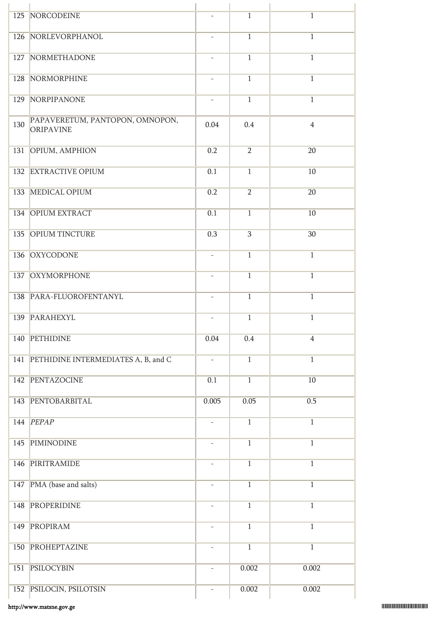|     | 125 NORCODEINE                               | $\overline{\phantom{a}}$ | $\mathbf{1}$   | $\mathbf{1}$   |
|-----|----------------------------------------------|--------------------------|----------------|----------------|
|     | 126 NORLEVORPHANOL                           | $\overline{\phantom{a}}$ | $\overline{1}$ | $\mathbf{1}$   |
| 127 | NORMETHADONE                                 | $\overline{\phantom{a}}$ | $\overline{1}$ | $\mathbf{1}$   |
| 128 | NORMORPHINE                                  | $\overline{\phantom{a}}$ | $\overline{1}$ | $\mathbf{1}$   |
| 129 | NORPIPANONE                                  | $\overline{\phantom{a}}$ | $\overline{1}$ | $\overline{1}$ |
| 130 | PAPAVERETUM, PANTOPON, OMNOPON,<br>ORIPAVINE | 0.04                     | 0.4            | $\overline{4}$ |
| 131 | OPIUM, AMPHION                               | 0.2                      | $\overline{2}$ | 20             |
|     | 132 EXTRACTIVE OPIUM                         | 0.1                      | $\mathbf{1}$   | 10             |
| 133 | MEDICAL OPIUM                                | 0.2                      | $\overline{2}$ | 20             |
|     | 134 OPIUM EXTRACT                            | 0.1                      | $\mathbf{1}$   | 10             |
| 135 | <b>OPIUM TINCTURE</b>                        | 0.3                      | $\overline{3}$ | 30             |
| 136 | <b>OXYCODONE</b>                             |                          | $\overline{1}$ | $\overline{1}$ |
| 137 | OXYMORPHONE                                  | $\overline{\phantom{a}}$ | $\overline{1}$ | $\mathbf{1}$   |
| 138 | PARA-FLUOROFENTANYL                          | $\overline{\phantom{a}}$ | $\mathbf{1}$   | $\overline{1}$ |
| 139 | PARAHEXYL                                    | $\overline{\phantom{a}}$ | $\mathbf{1}$   | $\mathbf{1}$   |
| 140 | PETHIDINE                                    | 0.04                     | 0.4            | $\overline{4}$ |
| 141 | PETHIDINE INTERMEDIATES A, B, and C          | $\qquad \qquad -$        | $\overline{1}$ | $\overline{1}$ |
|     | 142 PENTAZOCINE                              | 0.1                      | $\overline{1}$ | 10             |
| 143 | PENTOBARBITAL                                | 0.005                    | 0.05           | 0.5            |
|     | 144 PEPAP                                    |                          | $\overline{1}$ | $\overline{1}$ |
| 145 | <b>PIMINODINE</b>                            | $\overline{\phantom{m}}$ | $\overline{1}$ | $\overline{1}$ |
| 146 | PIRITRAMIDE                                  | $\overline{\phantom{a}}$ | $\overline{1}$ | $\overline{1}$ |
| 147 | PMA (base and salts)                         | $\overline{\phantom{a}}$ | $\overline{1}$ | $\mathbf{1}$   |
| 148 | PROPERIDINE                                  |                          | $\overline{1}$ | $\overline{1}$ |
| 149 | PROPIRAM                                     | $\overline{\phantom{a}}$ | $\overline{1}$ | $\overline{1}$ |
|     | 150 PROHEPTAZINE                             | $\overline{\phantom{a}}$ | $\overline{1}$ | $\overline{1}$ |
| 151 | <b>PSILOCYBIN</b>                            | $\overline{\phantom{a}}$ | 0.002          | 0.002          |
|     | 152 PSILOCIN, PSILOTSIN                      |                          | 0.002          | 0.002          |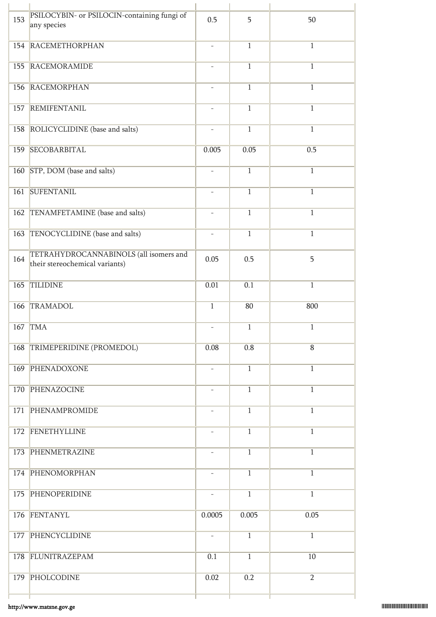| 153 | PSILOCYBIN- or PSILOCIN-containing fungi of<br>any species               | 0.5                      | 5              | 50             |
|-----|--------------------------------------------------------------------------|--------------------------|----------------|----------------|
| 154 | <b>RACEMETHORPHAN</b>                                                    | $\bar{\phantom{a}}$      | $\mathbf{1}$   | $\overline{1}$ |
| 155 | RACEMORAMIDE                                                             |                          | $\mathbf{1}$   | 1              |
| 156 | <b>RACEMORPHAN</b>                                                       |                          | $\overline{1}$ | $\overline{1}$ |
| 157 | REMIFENTANIL                                                             | $\overline{\phantom{a}}$ | $\overline{1}$ | $\overline{1}$ |
|     | 158 ROLICYCLIDINE (base and salts)                                       | $\bar{\phantom{a}}$      | $\overline{1}$ | $\mathbf{1}$   |
| 159 | SECOBARBITAL                                                             | 0.005                    | 0.05           | 0.5            |
| 160 | STP, DOM (base and salts)                                                |                          | $\mathbf{1}$   | $\overline{1}$ |
| 161 | <b>SUFENTANIL</b>                                                        | $\overline{\phantom{a}}$ | $\mathbf{1}$   | $\mathbf{1}$   |
| 162 | TENAMFETAMINE (base and salts)                                           | $\overline{\phantom{a}}$ | $\mathbf{1}$   | $\mathbf{1}$   |
| 163 | TENOCYCLIDINE (base and salts)                                           | $\overline{\phantom{a}}$ | $\mathbf{1}$   | $\mathbf{1}$   |
| 164 | TETRAHYDROCANNABINOLS (all isomers and<br>their stereochemical variants) | 0.05                     | 0.5            | 5              |
| 165 | <b>TILIDINE</b>                                                          | 0.01                     | 0.1            | $\overline{1}$ |
| 166 | <b>TRAMADOL</b>                                                          | $\mathbf 1$              | 80             | 800            |
|     | 167 TMA                                                                  |                          | $\mathbf{1}$   | $\mathbf{1}$   |
| 168 | TRIMEPERIDINE (PROMEDOL)                                                 | 0.08                     | 0.8            | $\, 8$         |
| 169 | PHENADOXONE                                                              | $\overline{\phantom{a}}$ | $\mathbf{1}$   | $\overline{1}$ |
|     | 170 PHENAZOCINE                                                          | $\overline{\phantom{a}}$ | $\mathbf{1}$   | $\mathbf{1}$   |
| 171 | PHENAMPROMIDE                                                            | $\overline{\phantom{a}}$ | $\mathbf{1}$   | $\mathbf{1}$   |
| 172 | FENETHYLLINE                                                             | $\overline{\phantom{a}}$ | $\mathbf{1}$   | $\mathbf{1}$   |
| 173 | PHENMETRAZINE                                                            |                          | $\overline{1}$ | $\overline{1}$ |
|     | 174 PHENOMORPHAN                                                         | $\overline{\phantom{a}}$ | $\mathbf{1}$   | $\mathbf{1}$   |
| 175 | PHENOPERIDINE                                                            | $\overline{\phantom{a}}$ | $\mathbf{1}$   | $\mathbf{1}$   |
| 176 | FENTANYL                                                                 | 0.0005                   | 0.005          | 0.05           |
| 177 | PHENCYCLIDINE                                                            | $\overline{\phantom{a}}$ | $\mathbf{1}$   | $\overline{1}$ |
|     | 178 FLUNITRAZEPAM                                                        | 0.1                      | $\mathbf{1}$   | 10             |
| 179 | PHOLCODINE                                                               | 0.02                     | 0.2            | $\overline{2}$ |
|     |                                                                          |                          |                |                |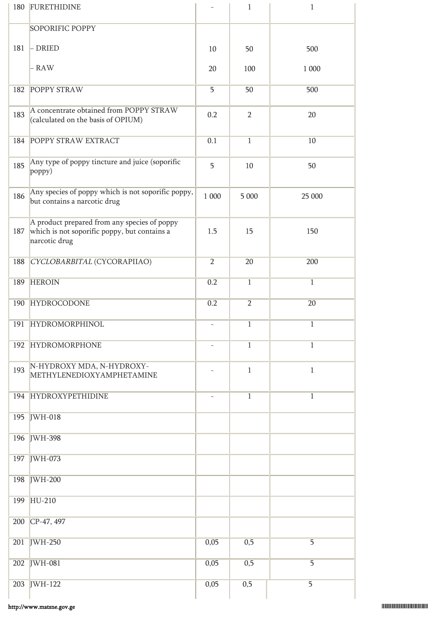|     | 180 FURETHIDINE                                                                                               |                          | $\mathbf{1}$   | $\mathbf{1}$   |
|-----|---------------------------------------------------------------------------------------------------------------|--------------------------|----------------|----------------|
|     | SOPORIFIC POPPY                                                                                               |                          |                |                |
| 181 | $-$ DRIED                                                                                                     | 10                       | 50             | 500            |
|     | - RAW                                                                                                         | 20                       | 100            | 1 000          |
| 182 | <b>POPPY STRAW</b>                                                                                            | 5                        | 50             | 500            |
| 183 | A concentrate obtained from POPPY STRAW<br>(calculated on the basis of OPIUM)                                 | 0.2                      | $\overline{2}$ | 20             |
| 184 | POPPY STRAW EXTRACT                                                                                           | 0.1                      | $\overline{1}$ | 10             |
| 185 | Any type of poppy tincture and juice (soporific<br>poppy)                                                     |                          | 10             | 50             |
| 186 | Any species of poppy which is not soporific poppy,<br>but contains a narcotic drug                            | 1 000                    | 5 000          | 25 000         |
| 187 | A product prepared from any species of poppy<br>which is not soporific poppy, but contains a<br>narcotic drug | 1.5                      | 15             | 150            |
| 188 | CYCLOBARBITAL (CYCORAPIIAO)                                                                                   | $\overline{2}$           | 20             | 200            |
| 189 | <b>HEROIN</b>                                                                                                 | 0.2                      | $\overline{1}$ | $\mathbf{1}$   |
| 190 | HYDROCODONE                                                                                                   | 0.2                      | $\overline{2}$ | 20             |
| 191 | HYDROMORPHINOL                                                                                                | $\overline{\phantom{0}}$ | $\,1\,$        | $\,1$          |
|     | 192 HYDROMORPHONE                                                                                             |                          | $\mathbf{1}$   | $\mathbf{1}$   |
| 193 | N-HYDROXY MDA, N-HYDROXY-<br>METHYLENEDIOXYAMPHETAMINE                                                        |                          | $\mathbf{1}$   | $\mathbf{1}$   |
|     | 194 HYDROXYPETHIDINE                                                                                          | $\qquad \qquad -$        | $\mathbf{1}$   | $\mathbf{1}$   |
| 195 | <b>IWH-018</b>                                                                                                |                          |                |                |
|     | 196 JWH-398                                                                                                   |                          |                |                |
| 197 | <b>JWH-073</b>                                                                                                |                          |                |                |
|     | 198 JWH-200                                                                                                   |                          |                |                |
| 199 | $HU-210$                                                                                                      |                          |                |                |
| 200 | CP-47, 497                                                                                                    |                          |                |                |
| 201 | $JWH-250$                                                                                                     | 0,05                     | 0,5            | $\overline{5}$ |
|     | 202 JWH-081                                                                                                   | 0,05                     | 0,5            | 5              |
| 203 | $JWH-122$                                                                                                     | 0,05                     | 0,5            | 5              |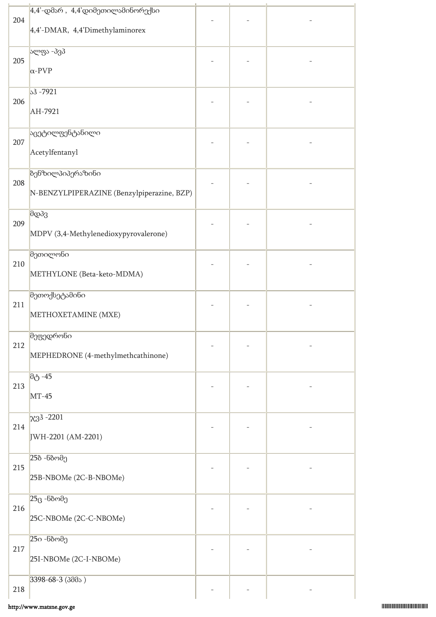|     | $4.4'$ -დმარ, $4.4'$ დიმეთილამინორექსი     |  |  |
|-----|--------------------------------------------|--|--|
| 204 |                                            |  |  |
|     | 4,4'-DMAR, 4,4'Dimethylaminorex            |  |  |
|     | ალფა -პვპ                                  |  |  |
| 205 |                                            |  |  |
|     | $\alpha$ -PVP                              |  |  |
|     | $33 - 7921$                                |  |  |
| 206 |                                            |  |  |
|     | AH-7921                                    |  |  |
|     | აცეტილფენტანილი                            |  |  |
| 207 | Acetylfentanyl                             |  |  |
|     |                                            |  |  |
|     | <b>ბენზილპიპერაზინი</b>                    |  |  |
| 208 | N-BENZYLPIPERAZINE (Benzylpiperazine, BZP) |  |  |
|     |                                            |  |  |
| 209 | მდპვ                                       |  |  |
|     | MDPV (3,4-Methylenedioxypyrovalerone)      |  |  |
|     |                                            |  |  |
| 210 | მეთილონი                                   |  |  |
|     | METHYLONE (Beta-keto-MDMA)                 |  |  |
|     | მეთოქსეტამინი                              |  |  |
| 211 |                                            |  |  |
|     | METHOXETAMINE (MXE)                        |  |  |
|     | მეფედრონი                                  |  |  |
| 212 |                                            |  |  |
|     | MEPHEDRONE (4-methylmethcathinone)         |  |  |
|     | მტ -45                                     |  |  |
| 213 | $MT-45$                                    |  |  |
|     |                                            |  |  |
|     | $x3^3 - 2201$                              |  |  |
| 214 | JWH-2201 (AM-2201)                         |  |  |
|     |                                            |  |  |
| 215 | 25ბ -ნბომე                                 |  |  |
|     | 25B-NBOMe (2C-B-NBOMe)                     |  |  |
|     |                                            |  |  |
| 216 | $25$ ც -ნბომე                              |  |  |
|     | 25C-NBOMe (2C-C-NBOMe)                     |  |  |
|     | 25ი -ნბომე                                 |  |  |
| 217 |                                            |  |  |
|     | 25I-NBOMe (2C-I-NBOMe)                     |  |  |
|     | 3398-68-3 (3005)                           |  |  |
| 218 |                                            |  |  |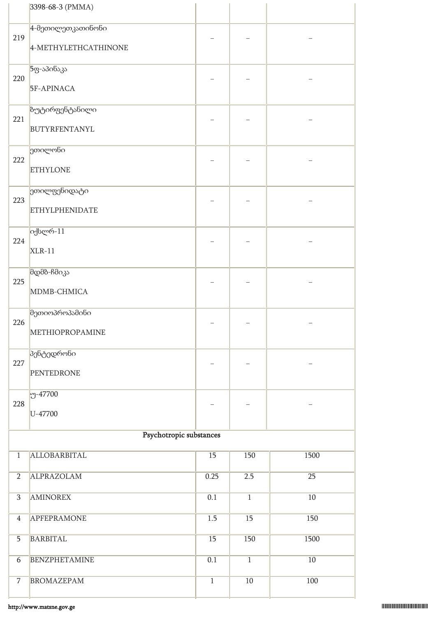|                | 3398-68-3 (PMMA)                          |                  |                |                 |
|----------------|-------------------------------------------|------------------|----------------|-----------------|
| 219            | 4-მეთილეთკათინონი<br>4-METHYLETHCATHINONE |                  |                |                 |
| 220            | 5ფ-აპინაკა<br>5F-APINACA                  |                  |                |                 |
| 221            | ზუტირფენტანილი<br><b>BUTYRFENTANYL</b>    |                  |                |                 |
| 222            | ეთილონი<br><b>ETHYLONE</b>                |                  |                |                 |
| 223            | ეთილფენიდატი<br><b>ETHYLPHENIDATE</b>     |                  |                |                 |
| 224            | იქსლრ-11<br>$XLR-11$                      |                  |                |                 |
| 225            | მდმბ-ჩმიკა<br>MDMB-CHMICA                 |                  |                |                 |
| 226            | მეთიოპროპამინი<br>METHIOPROPAMINE         |                  |                |                 |
| 227            | პენტედრონი<br><b>PENTEDRONE</b>           |                  |                |                 |
| 228            | $-47700$<br>U-47700                       |                  |                |                 |
|                | Psychotropic substances                   |                  |                |                 |
| $\overline{1}$ | ALLOBARBITAL                              | 15               | 150            | 1500            |
| $\overline{2}$ | <b>ALPRAZOLAM</b>                         | 0.25             | 2.5            | $\overline{25}$ |
| $\overline{3}$ | <b>AMINOREX</b>                           | 0.1              | $\overline{1}$ | 10              |
| $\overline{4}$ | <b>APFEPRAMONE</b>                        | 1.5              | 15             | 150             |
| $\overline{5}$ | <b>BARBITAL</b>                           | 15               | 150            | 1500            |
| 6              | <b>BENZPHETAMINE</b>                      | $\overline{0.1}$ | $\overline{1}$ | 10              |
| $\overline{7}$ | <b>BROMAZEPAM</b>                         | $\overline{1}$   | $10$           | 100             |
|                |                                           |                  |                |                 |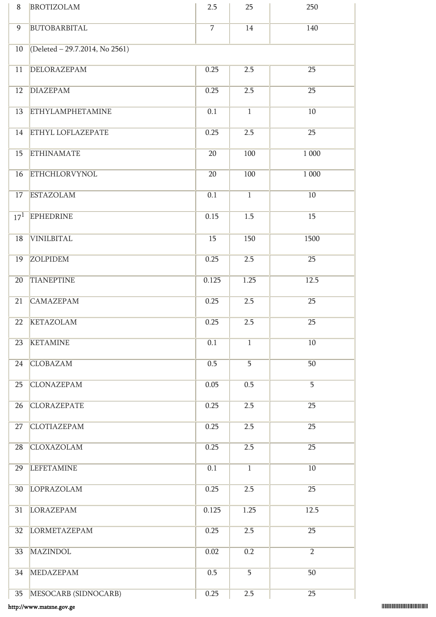| 8        | <b>BROTIZOLAM</b>              | 2.5            | 25             | 250             |
|----------|--------------------------------|----------------|----------------|-----------------|
| 9        | BUTOBARBITAL                   | $\overline{7}$ | 14             | 140             |
| 10       | (Deleted - 29.7.2014, No 2561) |                |                |                 |
| 11       | <b>DELORAZEPAM</b>             | 0.25           | 2.5            | $\overline{25}$ |
| 12       | <b>DIAZEPAM</b>                | 0.25           | 2.5            | $\overline{25}$ |
| 13       | <b>ETHYLAMPHETAMINE</b>        | 0.1            | $\overline{1}$ | 10              |
| 14       | <b>ETHYL LOFLAZEPATE</b>       | 0.25           | 2.5            | $\overline{25}$ |
| 15       | <b>ETHINAMATE</b>              | 20             | 100            | 1 000           |
| 16       | <b>ETHCHLORVYNOL</b>           | 20             | 100            | 1 000           |
| 17       | <b>ESTAZOLAM</b>               | 0.1            | $\overline{1}$ | $10\,$          |
| $17^{1}$ | <b>EPHEDRINE</b>               | 0.15           | 1.5            | 15              |
| 18       | <b>VINILBITAL</b>              | 15             | 150            | 1500            |
| 19       | <b>ZOLPIDEM</b>                | 0.25           | 2.5            | 25              |
| 20       | <b>TIANEPTINE</b>              | 0.125          | 1.25           | 12.5            |
| 21       | <b>CAMAZEPAM</b>               | 0.25           | 2.5            | 25              |
| 22       | <b>KETAZOLAM</b>               | 0.25           | 2.5            | 25              |
| 23       | <b>KETAMINE</b>                | 0.1            | $\mathbf{1}$   | 10              |
| 24       | <b>CLOBAZAM</b>                | 0.5            | $\overline{5}$ | 50              |
| 25       | <b>CLONAZEPAM</b>              | 0.05           | 0.5            | $\overline{5}$  |
| 26       | <b>CLORAZEPATE</b>             | 0.25           | 2.5            | 25              |
| 27       | <b>CLOTIAZEPAM</b>             | 0.25           | 2.5            | 25              |
| 28       | CLOXAZOLAM                     | 0.25           | 2.5            | 25              |
| 29       | <b>LEFETAMINE</b>              | 0.1            | $\overline{1}$ | 10              |
| 30       | LOPRAZOLAM                     | 0.25           | 2.5            | 25              |
| 31       | LORAZEPAM                      | 0.125          | 1.25           | 12.5            |
| 32       | LORMETAZEPAM                   | 0.25           | 2.5            | 25              |
| 33       | <b>MAZINDOL</b>                | 0.02           | 0.2            | $\overline{2}$  |
| 34       | <b>MEDAZEPAM</b>               | 0.5            | $\overline{5}$ | 50              |
| 35       | MESOCARB (SIDNOCARB)           | 0.25           | 2.5            | 25              |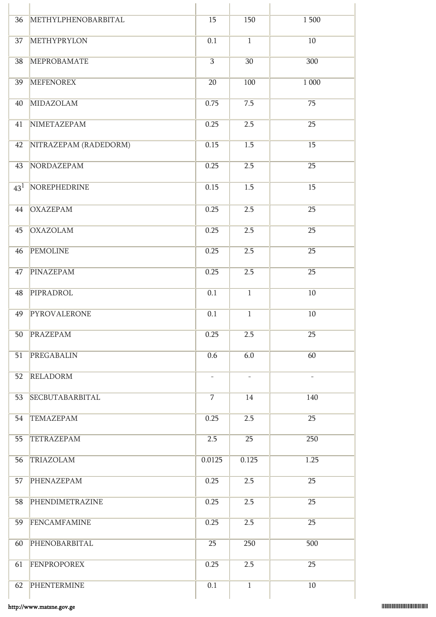| 36              | METHYLPHENOBARBITAL    | $\overline{15}$          | 150                      | 1500                     |
|-----------------|------------------------|--------------------------|--------------------------|--------------------------|
| 37              | <b>METHYPRYLON</b>     | $\overline{0.1}$         | $\overline{1}$           | 10                       |
| 38              | <b>MEPROBAMATE</b>     | $\overline{3}$           | $\overline{30}$          | 300                      |
| 39              | <b>MEFENOREX</b>       | $\overline{20}$          | 100                      | 1 000                    |
| 40              | MIDAZOLAM              | 0.75                     | 7.5                      | $\overline{75}$          |
| 41              | NIMETAZEPAM            | 0.25                     | 2.5                      | $\overline{25}$          |
| 42              | NITRAZEPAM (RADEDORM)  | 0.15                     | $\overline{1.5}$         | 15                       |
| 43              | NORDAZEPAM             | 0.25                     | 2.5                      | $\overline{25}$          |
| 43 <sup>1</sup> | NOREPHEDRINE           | 0.15                     | 1.5                      | 15                       |
| 44              | <b>OXAZEPAM</b>        | 0.25                     | 2.5                      | $\overline{25}$          |
| 45              | <b>OXAZOLAM</b>        | 0.25                     | 2.5                      | 25                       |
| 46              | <b>PEMOLINE</b>        | 0.25                     | 2.5                      | 25                       |
| 47              | PINAZEPAM              | 0.25                     | 2.5                      | $\overline{25}$          |
| 48              | PIPRADROL              | 0.1                      | $\overline{1}$           | 10                       |
| 49              | PYROVALERONE           | $\overline{0.1}$         | $\overline{1}$           | $10$                     |
| 50              | PRAZEPAM               | 0.25                     | 2.5                      | 25                       |
| 51              | PREGABALIN             | 0.6                      | 6.0                      | 60                       |
| 52              | RELADORM               | $\overline{\phantom{a}}$ | $\overline{\phantom{a}}$ | $\overline{\phantom{a}}$ |
| 53              | <b>SECBUTABARBITAL</b> | $\overline{7}$           | 14                       | 140                      |
| 54              | <b>TEMAZEPAM</b>       | 0.25                     | 2.5                      | 25                       |
| 55              | <b>TETRAZEPAM</b>      | 2.5                      | $\overline{25}$          | 250                      |
| 56              | TRIAZOLAM              | 0.0125                   | 0.125                    | 1.25                     |
| 57              | PHENAZEPAM             | 0.25                     | 2.5                      | 25                       |
| 58              | PHENDIMETRAZINE        | 0.25                     | 2.5                      | 25                       |
| 59              | FENCAMFAMINE           | 0.25                     | 2.5                      | $\overline{25}$          |
| 60              | PHENOBARBITAL          | 25                       | 250                      | 500                      |
| 61              | FENPROPOREX            | 0.25                     | 2.5                      | 25                       |
| 62              | PHENTERMINE            | $\overline{0.1}$         | $\overline{1}$           | 10                       |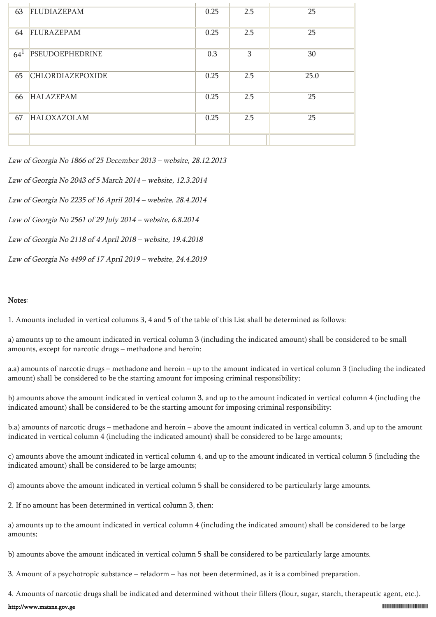| 63     | FLUDIAZEPAM             | 0.25 | 2.5 | 25   |
|--------|-------------------------|------|-----|------|
| 64     | FLURAZEPAM              | 0.25 | 2.5 | 25   |
| $64^1$ | <b>PSEUDOEPHEDRINE</b>  | 0.3  | 3   | 30   |
| 65     | <b>CHLORDIAZEPOXIDE</b> | 0.25 | 2.5 | 25.0 |
| 66     | <b>HALAZEPAM</b>        | 0.25 | 2.5 | 25   |
| 67     | <b>HALOXAZOLAM</b>      | 0.25 | 2.5 | 25   |
|        |                         |      |     |      |

Law of Georgia No 1866 of 25 December 2013 – website, 28.12.2013

Law of Georgia No 2043 of 5 March 2014 – website, 12.3.2014

Law of Georgia No 2235 of 16 April 2014 – website, 28.4.2014

Law of Georgia No 2561 of 29 July 2014 – website, 6.8.2014

Law of Georgia No 2118 of 4 April 2018 – website, 19.4.2018

Law of Georgia No 4499 of 17 April 2019 – website, 24.4.2019

#### Notes:

1. Amounts included in vertical columns 3, 4 and 5 of the table of this List shall be determined as follows:

a) amounts up to the amount indicated in vertical column 3 (including the indicated amount) shall be considered to be small amounts, except for narcotic drugs – methadone and heroin:

a.a) amounts of narcotic drugs – methadone and heroin – up to the amount indicated in vertical column 3 (including the indicated amount) shall be considered to be the starting amount for imposing criminal responsibility;

b) amounts above the amount indicated in vertical column 3, and up to the amount indicated in vertical column 4 (including the indicated amount) shall be considered to be the starting amount for imposing criminal responsibility:

b.a) amounts of narcotic drugs – methadone and heroin – above the amount indicated in vertical column 3, and up to the amount indicated in vertical column 4 (including the indicated amount) shall be considered to be large amounts;

c) amounts above the amount indicated in vertical column 4, and up to the amount indicated in vertical column 5 (including the indicated amount) shall be considered to be large amounts;

d) amounts above the amount indicated in vertical column 5 shall be considered to be particularly large amounts.

2. If no amount has been determined in vertical column 3, then:

a) amounts up to the amount indicated in vertical column 4 (including the indicated amount) shall be considered to be large amounts;

b) amounts above the amount indicated in vertical column 5 shall be considered to be particularly large amounts.

3. Amount of a psychotropic substance – reladorm – has not been determined, as it is a combined preparation.

4. Amounts of narcotic drugs shall be indicated and determined without their fillers (flour, sugar, starch, therapeutic agent, etc.).